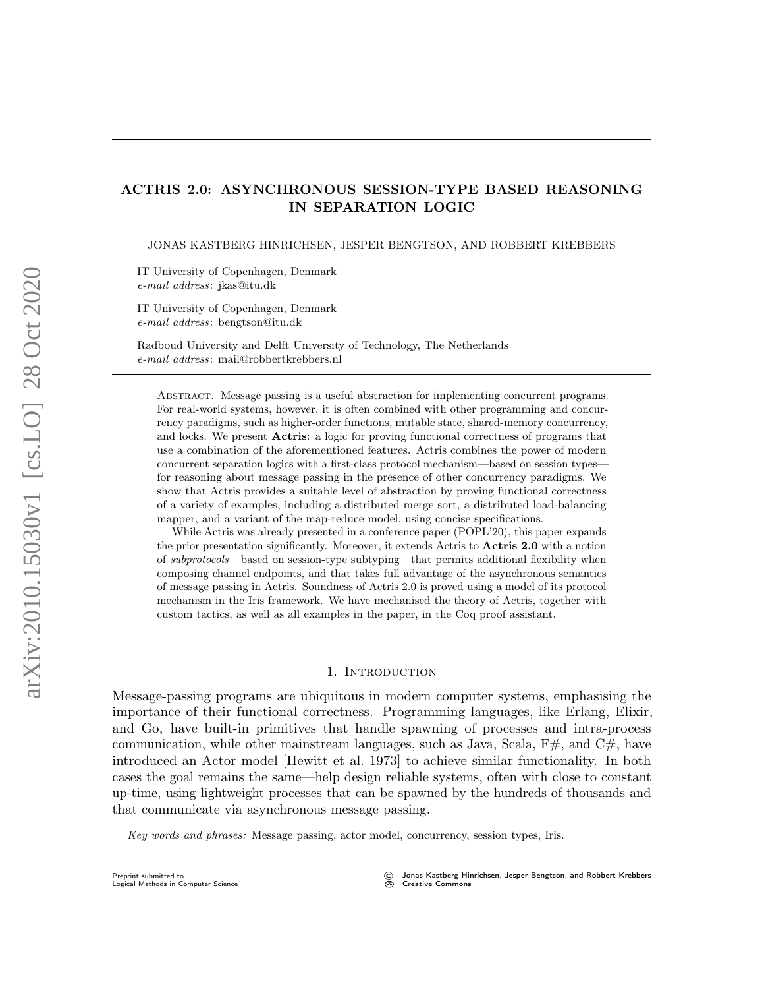# ACTRIS 2.0: ASYNCHRONOUS SESSION-TYPE BASED REASONING IN SEPARATION LOGIC

JONAS KASTBERG HINRICHSEN, JESPER BENGTSON, AND ROBBERT KREBBERS

IT University of Copenhagen, Denmark e-mail address: jkas@itu.dk

IT University of Copenhagen, Denmark e-mail address: bengtson@itu.dk

Radboud University and Delft University of Technology, The Netherlands e-mail address: mail@robbertkrebbers.nl

Abstract. Message passing is a useful abstraction for implementing concurrent programs. For real-world systems, however, it is often combined with other programming and concurrency paradigms, such as higher-order functions, mutable state, shared-memory concurrency, and locks. We present Actris: a logic for proving functional correctness of programs that use a combination of the aforementioned features. Actris combines the power of modern concurrent separation logics with a first-class protocol mechanism—based on session types for reasoning about message passing in the presence of other concurrency paradigms. We show that Actris provides a suitable level of abstraction by proving functional correctness of a variety of examples, including a distributed merge sort, a distributed load-balancing mapper, and a variant of the map-reduce model, using concise specifications.

While Actris was already presented in a conference paper (POPL'20), this paper expands the prior presentation significantly. Moreover, it extends Actris to Actris 2.0 with a notion of subprotocols—based on session-type subtyping—that permits additional flexibility when composing channel endpoints, and that takes full advantage of the asynchronous semantics of message passing in Actris. Soundness of Actris 2.0 is proved using a model of its protocol mechanism in the Iris framework. We have mechanised the theory of Actris, together with custom tactics, as well as all examples in the paper, in the Coq proof assistant.

#### 1. INTRODUCTION

<span id="page-0-0"></span>Message-passing programs are ubiquitous in modern computer systems, emphasising the importance of their functional correctness. Programming languages, like Erlang, Elixir, and Go, have built-in primitives that handle spawning of processes and intra-process communication, while other mainstream languages, such as Java, Scala,  $F#$ , and  $C#$ , have introduced an Actor model [\[Hewitt et al.](#page-53-0) [1973\]](#page-53-0) to achieve similar functionality. In both cases the goal remains the same—help design reliable systems, often with close to constant up-time, using lightweight processes that can be spawned by the hundreds of thousands and that communicate via asynchronous message passing.

Key words and phrases: Message passing, actor model, concurrency, session types, Iris.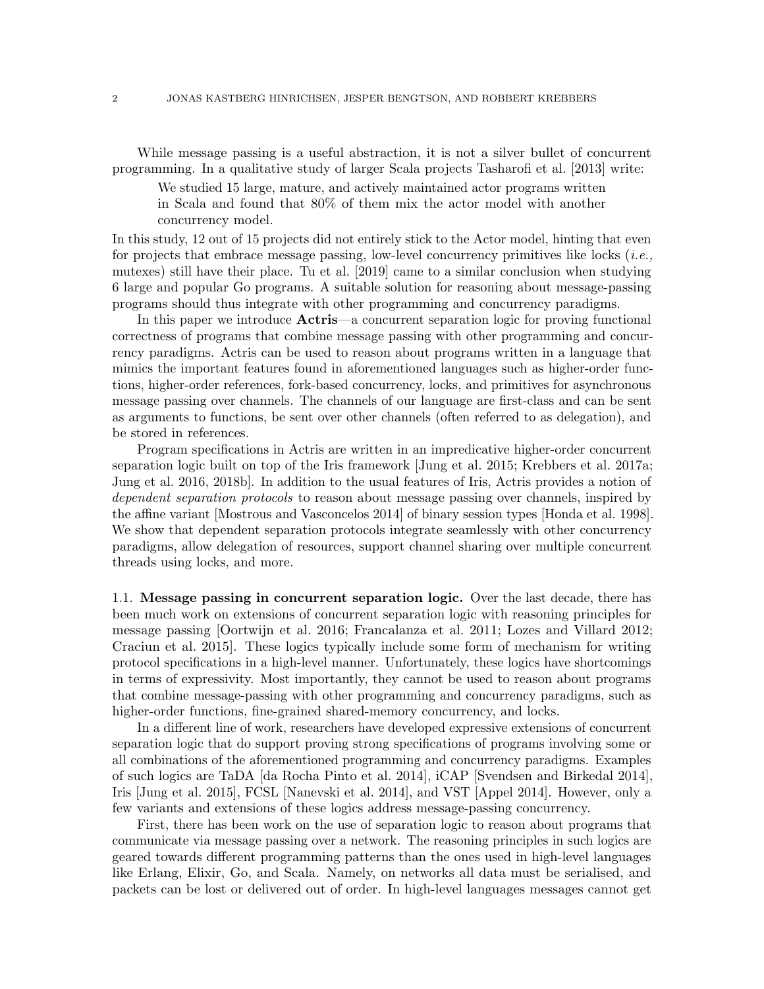While message passing is a useful abstraction, it is not a silver bullet of concurrent programming. In a qualitative study of larger Scala projects [Tasharofi et al.](#page-55-0) [\[2013\]](#page-55-0) write:

We studied 15 large, mature, and actively maintained actor programs written in Scala and found that 80% of them mix the actor model with another concurrency model.

In this study, 12 out of 15 projects did not entirely stick to the Actor model, hinting that even for projects that embrace message passing, low-level concurrency primitives like locks (*i.e.*, mutexes) still have their place. [Tu et al.](#page-55-1) [\[2019\]](#page-55-1) came to a similar conclusion when studying 6 large and popular Go programs. A suitable solution for reasoning about message-passing programs should thus integrate with other programming and concurrency paradigms.

In this paper we introduce **Actris**—a concurrent separation logic for proving functional correctness of programs that combine message passing with other programming and concurrency paradigms. Actris can be used to reason about programs written in a language that mimics the important features found in aforementioned languages such as higher-order functions, higher-order references, fork-based concurrency, locks, and primitives for asynchronous message passing over channels. The channels of our language are first-class and can be sent as arguments to functions, be sent over other channels (often referred to as delegation), and be stored in references.

Program specifications in Actris are written in an impredicative higher-order concurrent separation logic built on top of the Iris framework [\[Jung et al.](#page-53-1) [2015;](#page-53-1) [Krebbers et al.](#page-54-0) [2017a;](#page-54-0) [Jung et al.](#page-53-2) [2016,](#page-53-2) [2018b\]](#page-53-3). In addition to the usual features of Iris, Actris provides a notion of dependent separation protocols to reason about message passing over channels, inspired by the affine variant [\[Mostrous and Vasconcelos 2014\]](#page-54-1) of binary session types [\[Honda et al.](#page-53-4) [1998\]](#page-53-4). We show that dependent separation protocols integrate seamlessly with other concurrency paradigms, allow delegation of resources, support channel sharing over multiple concurrent threads using locks, and more.

<span id="page-1-0"></span>1.1. Message passing in concurrent separation logic. Over the last decade, there has been much work on extensions of concurrent separation logic with reasoning principles for message passing [\[Oortwijn et al.](#page-54-2) [2016;](#page-54-2) [Francalanza et al.](#page-53-5) [2011;](#page-53-5) [Lozes and Villard 2012;](#page-54-3) [Craciun et al.](#page-52-0) [2015\]](#page-52-0). These logics typically include some form of mechanism for writing protocol specifications in a high-level manner. Unfortunately, these logics have shortcomings in terms of expressivity. Most importantly, they cannot be used to reason about programs that combine message-passing with other programming and concurrency paradigms, such as higher-order functions, fine-grained shared-memory concurrency, and locks.

In a different line of work, researchers have developed expressive extensions of concurrent separation logic that do support proving strong specifications of programs involving some or all combinations of the aforementioned programming and concurrency paradigms. Examples of such logics are TaDA [\[da Rocha Pinto et al.](#page-52-1) [2014\]](#page-52-1), iCAP [\[Svendsen and Birkedal 2014\]](#page-54-4), Iris [\[Jung et al.](#page-53-1) [2015\]](#page-53-1), FCSL [\[Nanevski et al.](#page-54-5) [2014\]](#page-54-5), and VST [\[Appel 2014\]](#page-52-2). However, only a few variants and extensions of these logics address message-passing concurrency.

First, there has been work on the use of separation logic to reason about programs that communicate via message passing over a network. The reasoning principles in such logics are geared towards different programming patterns than the ones used in high-level languages like Erlang, Elixir, Go, and Scala. Namely, on networks all data must be serialised, and packets can be lost or delivered out of order. In high-level languages messages cannot get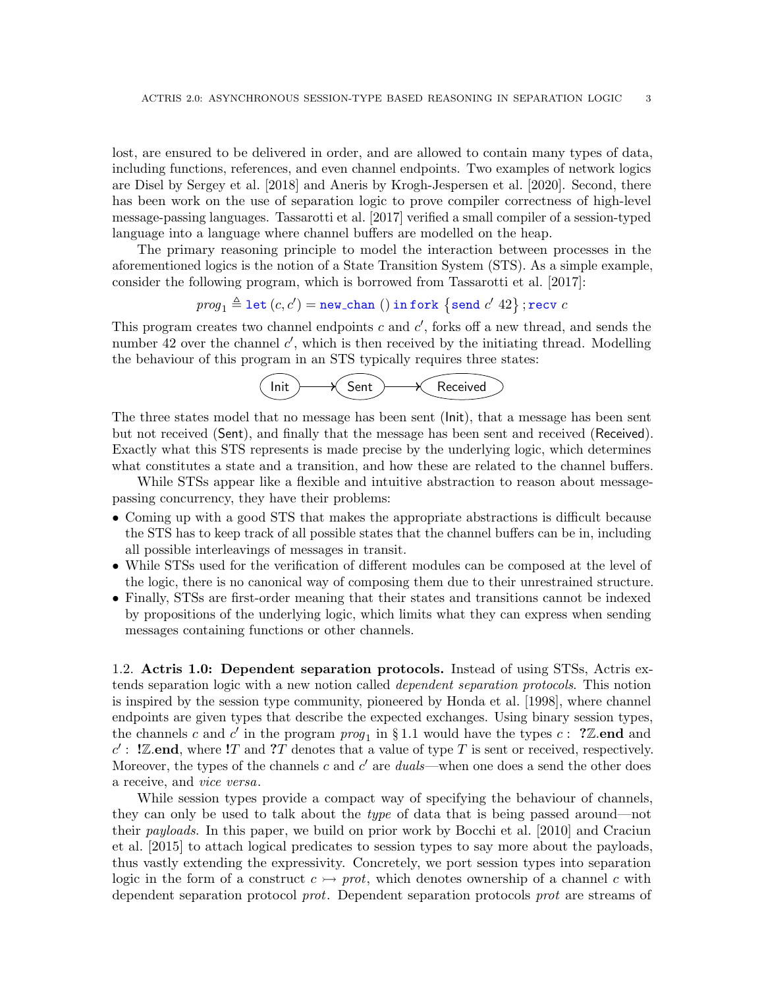lost, are ensured to be delivered in order, and are allowed to contain many types of data, including functions, references, and even channel endpoints. Two examples of network logics are Disel by [Sergey et al.](#page-54-6) [\[2018\]](#page-54-6) and Aneris by [Krogh-Jespersen et al.](#page-54-7) [\[2020\]](#page-54-7). Second, there has been work on the use of separation logic to prove compiler correctness of high-level message-passing languages. [Tassarotti et al.](#page-55-2) [\[2017\]](#page-55-2) verified a small compiler of a session-typed language into a language where channel buffers are modelled on the heap.

The primary reasoning principle to model the interaction between processes in the aforementioned logics is the notion of a State Transition System (STS). As a simple example, consider the following program, which is borrowed from [Tassarotti et al.](#page-55-2) [\[2017\]](#page-55-2):

$$
\textit{prog}_1 \triangleq \mathtt{let} \left( c, c' \right) = \mathtt{new\_chan} \;() \; \mathtt{in} \; \mathtt{fork} \; \left\{ \mathtt{send} \; c' \; 42 \right\}; \mathtt{recv} \; c
$$

This program creates two channel endpoints  $c$  and  $c'$ , forks off a new thread, and sends the number 42 over the channel  $c'$ , which is then received by the initiating thread. Modelling the behaviour of this program in an STS typically requires three states:



The three states model that no message has been sent (Init), that a message has been sent but not received (Sent), and finally that the message has been sent and received (Received). Exactly what this STS represents is made precise by the underlying logic, which determines what constitutes a state and a transition, and how these are related to the channel buffers.

While STSs appear like a flexible and intuitive abstraction to reason about messagepassing concurrency, they have their problems:

- Coming up with a good STS that makes the appropriate abstractions is difficult because the STS has to keep track of all possible states that the channel buffers can be in, including all possible interleavings of messages in transit.
- While STSs used for the verification of different modules can be composed at the level of the logic, there is no canonical way of composing them due to their unrestrained structure.
- Finally, STSs are first-order meaning that their states and transitions cannot be indexed by propositions of the underlying logic, which limits what they can express when sending messages containing functions or other channels.

1.2. Actris 1.0: Dependent separation protocols. Instead of using STSs, Actris extends separation logic with a new notion called dependent separation protocols. This notion is inspired by the session type community, pioneered by [Honda et al.](#page-53-4) [\[1998\]](#page-53-4), where channel endpoints are given types that describe the expected exchanges. Using binary session types, the channels c and c' in the program  $proj_1$  in § [1.1](#page-1-0) would have the types c: ? Z.end and  $c'$ : ! Z.end, where ! T and ? T denotes that a value of type T is sent or received, respectively. Moreover, the types of the channels c and  $c'$  are duals—when one does a send the other does a receive, and vice versa.

While session types provide a compact way of specifying the behaviour of channels, they can only be used to talk about the type of data that is being passed around—not their payloads. In this paper, we build on prior work by [Bocchi et al.](#page-52-3) [\[2010\]](#page-52-3) and [Craciun](#page-52-0) [et al.](#page-52-0) [\[2015\]](#page-52-0) to attach logical predicates to session types to say more about the payloads, thus vastly extending the expressivity. Concretely, we port session types into separation logic in the form of a construct  $c \rightarrow prot$ , which denotes ownership of a channel c with dependent separation protocol prot. Dependent separation protocols prot are streams of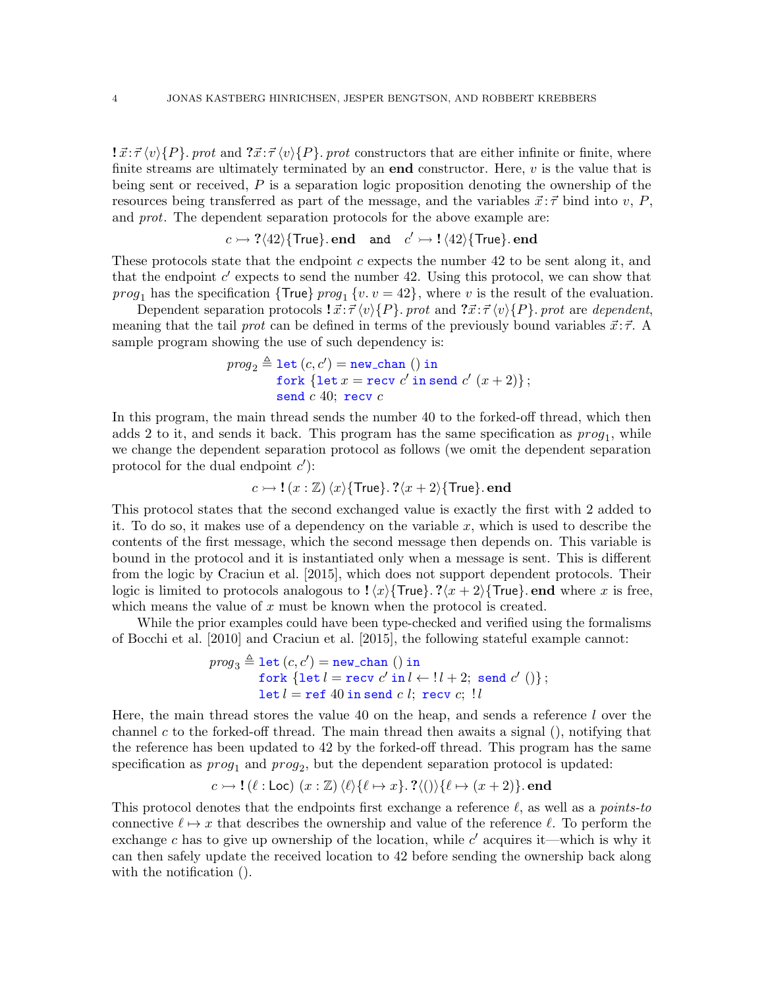$\vec{x}$ : $\vec{\tau} \langle v \rangle \{P\}$ . prot and  $\vec{x}$ : $\vec{\tau} \langle v \rangle \{P\}$ . prot constructors that are either infinite or finite, where finite streams are ultimately terminated by an **end** constructor. Here,  $v$  is the value that is being sent or received,  $P$  is a separation logic proposition denoting the ownership of the resources being transferred as part of the message, and the variables  $\vec{x}$ :  $\vec{\tau}$  bind into v, P, and *prot*. The dependent separation protocols for the above example are:

$$
c \rightarrow ?\langle 42\rangle
$$
{True}. end and  $c' \rightarrow !\langle 42\rangle$ {True}. end

These protocols state that the endpoint  $c$  expects the number 42 to be sent along it, and that the endpoint  $c'$  expects to send the number 42. Using this protocol, we can show that *prog*<sub>1</sub> has the specification { $True$ }  $prog_1 \{v. v = 42\}$ , where v is the result of the evaluation.

Dependent separation protocols  $\vec{x}$ :  $\vec{\tau} \langle v \rangle \{P\}$ . prot and  $\vec{x}$ :  $\vec{\tau} \langle v \rangle \{P\}$ . prot are dependent, meaning that the tail prot can be defined in terms of the previously bound variables  $\vec{x}$ :  $\vec{\tau}$ . A sample program showing the use of such dependency is:

$$
prog_2 \triangleq \text{let } (c, c') = \text{new\_chan } () \text{ in}
$$
\n
$$
\text{fork } \{\text{let } x = \text{recv } c' \text{ in send } c' \ (x+2)\};
$$
\n
$$
\text{send } c \text{ 40; } \text{recv } c
$$

In this program, the main thread sends the number 40 to the forked-off thread, which then adds 2 to it, and sends it back. This program has the same specification as  $prog<sub>1</sub>$ , while we change the dependent separation protocol as follows (we omit the dependent separation protocol for the dual endpoint  $c'$ :

$$
c \rightarrowtail \mathbf{!}(x : \mathbb{Z}) \langle x \rangle \{\text{True}\}.
$$
 ? $\langle x + 2 \rangle \{\text{True}\}.$  end

This protocol states that the second exchanged value is exactly the first with 2 added to it. To do so, it makes use of a dependency on the variable x, which is used to describe the contents of the first message, which the second message then depends on. This variable is bound in the protocol and it is instantiated only when a message is sent. This is different from the logic by [Craciun et al.](#page-52-0) [\[2015\]](#page-52-0), which does not support dependent protocols. Their logic is limited to protocols analogous to  $\langle x \rangle$ {True}. ? $\langle x + 2 \rangle$ {True}. end where x is free, which means the value of  $x$  must be known when the protocol is created.

While the prior examples could have been type-checked and verified using the formalisms of [Bocchi et al.](#page-52-3) [\[2010\]](#page-52-3) and [Craciun et al.](#page-52-0) [\[2015\]](#page-52-0), the following stateful example cannot:

$$
prog_3 \triangleq \text{let } (c, c') = \text{new-chain } () \text{ in } \text{fork } \{\text{let } l = \text{recv } c' \text{ in } l \leftarrow !l + 2; \text{ send } c' () \};
$$
  

$$
\text{let } l = \text{ref } 40 \text{ in send } c \text{ } l; \text{recv } c; \text{ } !l
$$

Here, the main thread stores the value 40 on the heap, and sends a reference l over the channel c to the forked-off thread. The main thread then awaits a signal  $($ ), notifying that the reference has been updated to 42 by the forked-off thread. This program has the same specification as  $prog_1$  and  $prog_2$ , but the dependent separation protocol is updated:

$$
c \rightarrowtail !(\ell : Loc) (x : \mathbb{Z}) \langle \ell \rangle \{ \ell \mapsto x \}.
$$
 ?(()) $\{ \ell \mapsto (x+2) \}.$  end

This protocol denotes that the endpoints first exchange a reference  $\ell$ , as well as a *points-to* connective  $\ell \mapsto x$  that describes the ownership and value of the reference  $\ell$ . To perform the exchange c has to give up ownership of the location, while  $c'$  acquires it—which is why it can then safely update the received location to 42 before sending the ownership back along with the notification ().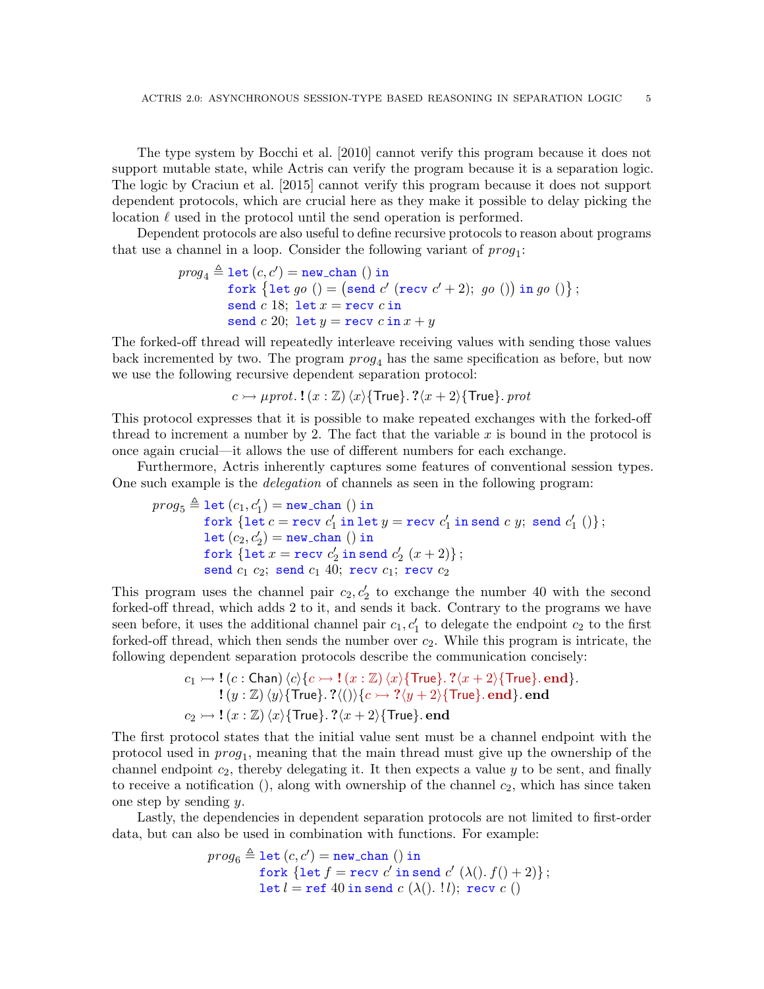The type system by [Bocchi et al.](#page-52-3) [\[2010\]](#page-52-3) cannot verify this program because it does not support mutable state, while Actris can verify the program because it is a separation logic. The logic by [Craciun et al.](#page-52-0) [\[2015\]](#page-52-0) cannot verify this program because it does not support dependent protocols, which are crucial here as they make it possible to delay picking the location  $\ell$  used in the protocol until the send operation is performed.

Dependent protocols are also useful to define recursive protocols to reason about programs that use a channel in a loop. Consider the following variant of  $prog_1$ :

$$
prog_4 \triangleq \text{let } (c, c') = \text{new-chain } () \text{ in } \\\text{fork } \{\text{let } go () = (\text{send } c' \text{ (recv } c' + 2); go ()\} \text{ in } go ()\}; \\\text{send } c \text{ 18; let } x = \text{recv } c \text{ in } \\\text{send } c \text{ 20; let } y = \text{recv } c \text{ in } x + y
$$

The forked-off thread will repeatedly interleave receiving values with sending those values back incremented by two. The program  $prog<sub>4</sub>$  has the same specification as before, but now we use the following recursive dependent separation protocol:

$$
c \rightarrow \mu prot. \mathbf{!}(x : \mathbb{Z}) \langle x \rangle \{ \text{True} \} . \mathbf{?} \langle x + 2 \rangle \{ \text{True} \} . \text{ } prot
$$

This protocol expresses that it is possible to make repeated exchanges with the forked-off thread to increment a number by 2. The fact that the variable x is bound in the protocol is once again crucial—it allows the use of different numbers for each exchange.

Furthermore, Actris inherently captures some features of conventional session types. One such example is the delegation of channels as seen in the following program:

$$
\begin{array}{l} \mathit{prog}_5 \triangleq \texttt{let}\ (c_1,c_1') = \texttt{new\_chan}\ ()\ \texttt{in} \\ \quad \mathit{fork}\ \{\texttt{let}\ c = \texttt{recv}\ c_1'\ \texttt{in}\ \texttt{let}\ y = \texttt{recv}\ c_1'\ \texttt{in}\ \texttt{send}\ c\ y;\ \texttt{send}\ c_1'\ ()\}\ ; \\ \quad \mathit{let}\ (c_2,c_2') = \texttt{new\_chan}\ ()\ \texttt{in} \\ \quad \mathit{fork}\ \{\texttt{let}\ x = \texttt{recv}\ c_2'\ \texttt{in}\ \texttt{send}\ c_2'\ (x+2)\}\ ; \\ \quad \mathit{send}\ c_1\ c_2;\ \mathit{send}\ c_1\ 40;\ \texttt{recv}\ c_1;\ \texttt{recv}\ c_2 \end{array}
$$

This program uses the channel pair  $c_2, c_2'$  to exchange the number 40 with the second forked-off thread, which adds 2 to it, and sends it back. Contrary to the programs we have seen before, it uses the additional channel pair  $c_1, c'_1$  to delegate the endpoint  $c_2$  to the first forked-off thread, which then sends the number over  $c_2$ . While this program is intricate, the following dependent separation protocols describe the communication concisely:

$$
c_1 \rightarrow \mathbf{!}\ (c:\text{Chan}) \langle c \rangle \{c \rightarrow \mathbf{!}\ (x:\mathbb{Z}) \langle x \rangle \{\text{True}\}.\ ? \langle x+2 \rangle \{\text{True}\}.\ \text{end}\}.
$$

$$
\mathbf{!}\ (y:\mathbb{Z}) \langle y \rangle \{\text{True}\}.\ ? \langle () \rangle \{c \rightarrow \mathbf{?}\langle y+2 \rangle \{\text{True}\}.\ \text{end}\}.\ \text{end}.
$$

$$
c_2 \rightarrow \mathbf{!}\ (x:\mathbb{Z}) \langle x \rangle \{\text{True}\}.\ ? \langle x+2 \rangle \{\text{True}\}.\ \text{end}
$$

The first protocol states that the initial value sent must be a channel endpoint with the protocol used in  $prog_1$ , meaning that the main thread must give up the ownership of the channel endpoint  $c_2$ , thereby delegating it. It then expects a value y to be sent, and finally to receive a notification  $($ ), along with ownership of the channel  $c_2$ , which has since taken one step by sending y.

Lastly, the dependencies in dependent separation protocols are not limited to first-order data, but can also be used in combination with functions. For example:

$$
\begin{array}{c} \mathit{prog}_6 \triangleq \texttt{let}\,(c,c') = \texttt{new\_chan}\,\,() \text{ in} \\ \quad \texttt{fork}\,\,\{\texttt{let}\,f = \texttt{recv}\,c' \text{ in send}\,c'\,(\lambda().f() + 2)\}\,; \\ \quad \texttt{let}\,l = \texttt{ref}\,\,40 \text{ in send}\,c\,(\lambda().\,l\,); \,\,\texttt{recv}\,c\,\,() \end{array}
$$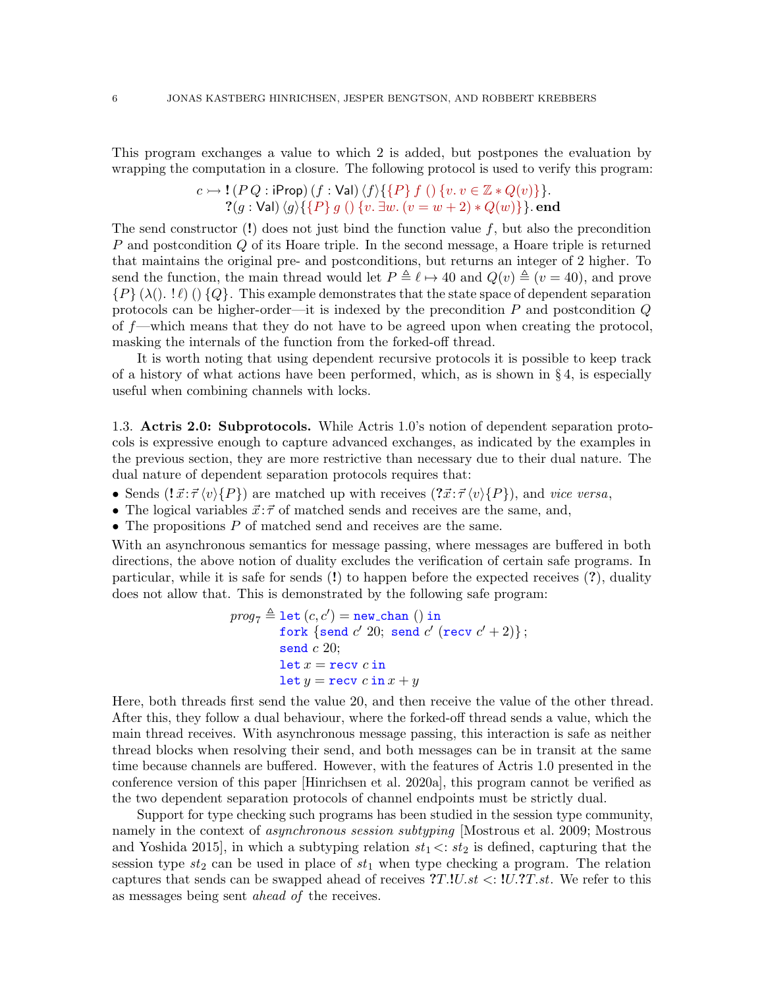This program exchanges a value to which 2 is added, but postpones the evaluation by wrapping the computation in a closure. The following protocol is used to verify this program:

> $c \rightarrow ! (P Q : iProp) (f : Val) \langle f \rangle \{ \{P\} f () \{v. v \in \mathbb{Z} * Q(v)\} \}.$  $? (g : Val) \langle g \rangle \{\{P\} g \;() \; \{v. \exists w. \; (v = w + 2) * Q(w)\}\}.$  end

The send constructor  $(!)$  does not just bind the function value f, but also the precondition P and postcondition Q of its Hoare triple. In the second message, a Hoare triple is returned that maintains the original pre- and postconditions, but returns an integer of 2 higher. To send the function, the main thread would let  $P \triangleq \ell \mapsto 40$  and  $Q(v) \triangleq (v = 40)$ , and prove  ${P} (\lambda(.) \cdot \ell)$  ()  ${Q}$ . This example demonstrates that the state space of dependent separation protocols can be higher-order—it is indexed by the precondition  $P$  and postcondition  $Q$ of f—which means that they do not have to be agreed upon when creating the protocol, masking the internals of the function from the forked-off thread.

It is worth noting that using dependent recursive protocols it is possible to keep track of a history of what actions have been performed, which, as is shown in  $\S 4$ , is especially useful when combining channels with locks.

<span id="page-5-0"></span>1.3. Actris 2.0: Subprotocols. While Actris 1.0's notion of dependent separation protocols is expressive enough to capture advanced exchanges, as indicated by the examples in the previous section, they are more restrictive than necessary due to their dual nature. The dual nature of dependent separation protocols requires that:

- Sends  $({}_{\vec{x}}:\vec{\tau}\langle v\rangle\{P\})$  are matched up with receives  $({}_{\vec{x}}:\vec{\tau}\langle v\rangle\{P\})$ , and vice versa,
- The logical variables  $\vec{x}$ :  $\vec{\tau}$  of matched sends and receives are the same, and,
- The propositions  $P$  of matched send and receives are the same.

With an asynchronous semantics for message passing, where messages are buffered in both directions, the above notion of duality excludes the verification of certain safe programs. In particular, while it is safe for sends (!) to happen before the expected receives (?), duality does not allow that. This is demonstrated by the following safe program:

$$
prog_7 \triangleq \text{let } (c, c') = \text{new-chain } () \text{ in } \\ \text{fork } \{\text{send } c' \text{ } 20; \text{ send } c' \text{ (recv } c' + 2)\}; \\ \text{send } c \text{ } 20; \\ \text{let } x = \text{recv } c \text{ in } \\ \text{let } y = \text{recv } c \text{ in } x + y
$$

Here, both threads first send the value 20, and then receive the value of the other thread. After this, they follow a dual behaviour, where the forked-off thread sends a value, which the main thread receives. With asynchronous message passing, this interaction is safe as neither thread blocks when resolving their send, and both messages can be in transit at the same time because channels are buffered. However, with the features of Actris 1.0 presented in the conference version of this paper [\[Hinrichsen et al.](#page-53-6) [2020a\]](#page-53-6), this program cannot be verified as the two dependent separation protocols of channel endpoints must be strictly dual.

Support for type checking such programs has been studied in the session type community, namely in the context of *asynchronous session subtyping* [\[Mostrous et al.](#page-54-8) [2009;](#page-54-8) [Mostrous](#page-54-9) [and Yoshida 2015\]](#page-54-9), in which a subtyping relation  $st_1 \lt: st_2$  is defined, capturing that the session type  $st_2$  can be used in place of  $st_1$  when type checking a program. The relation captures that sends can be swapped ahead of receives  $T.I.U.st < :!U.T.st.$  We refer to this as messages being sent ahead of the receives.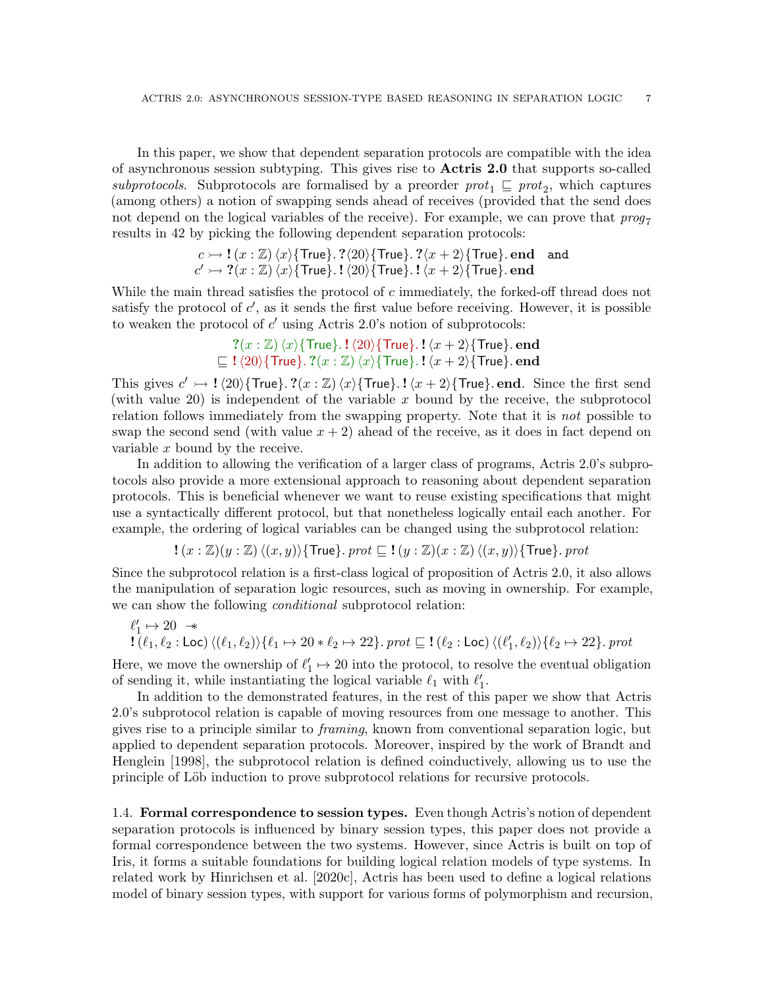In this paper, we show that dependent separation protocols are compatible with the idea of asynchronous session subtyping. This gives rise to Actris 2.0 that supports so-called subprotocols. Subprotocols are formalised by a preorder  $prot_1 \subseteq prot_2$ , which captures (among others) a notion of swapping sends ahead of receives (provided that the send does not depend on the logical variables of the receive). For example, we can prove that  $proj_7$ results in 42 by picking the following dependent separation protocols:

$$
c \rightarrow ! (x : \mathbb{Z}) \langle x \rangle \{ \text{True} \} . ? \langle 20 \rangle \{ \text{True} \} . ? \langle x + 2 \rangle \{ \text{True} \} . \text{end} \text{ and}
$$
  

$$
c' \rightarrow ? (x : \mathbb{Z}) \langle x \rangle \{ \text{True} \} . ! \langle 20 \rangle \{ \text{True} \} . ! \langle x + 2 \rangle \{ \text{True} \} . \text{end}
$$

While the main thread satisfies the protocol of c immediately, the forked-off thread does not satisfy the protocol of  $c'$ , as it sends the first value before receiving. However, it is possible to weaken the protocol of  $c'$  using Actris 2.0's notion of subprotocols:

$$
? (x : \mathbb{Z}) \langle x \rangle \{ \text{True} \} . ! \langle 20 \rangle \{ \text{True} \} . ! \langle x + 2 \rangle \{ \text{True} \} . \text{end}
$$
  
\n
$$
\subseteq ! \langle 20 \rangle \{ \text{True} \} . ? (x : \mathbb{Z}) \langle x \rangle \{ \text{True} \} . ! \langle x + 2 \rangle \{ \text{True} \} . \text{end}
$$

This gives  $c' \rightarrow ! \langle 20 \rangle$ {True}. ?(x : Z) $\langle x \rangle$ {True}. ! $\langle x + 2 \rangle$ {True}. end. Since the first send (with value 20) is independent of the variable  $x$  bound by the receive, the subprotocol relation follows immediately from the swapping property. Note that it is *not* possible to swap the second send (with value  $x + 2$ ) ahead of the receive, as it does in fact depend on variable x bound by the receive.

In addition to allowing the verification of a larger class of programs, Actris 2.0's subprotocols also provide a more extensional approach to reasoning about dependent separation protocols. This is beneficial whenever we want to reuse existing specifications that might use a syntactically different protocol, but that nonetheless logically entail each another. For example, the ordering of logical variables can be changed using the subprotocol relation:

$$
\mathbf{!}\ (x:\mathbb{Z})(y:\mathbb{Z})\ \langle (x,y) \rangle \{\mathsf{True} \}.\ \mathit{prot} \sqsubseteq \mathbf{!}\ (y:\mathbb{Z})(x:\mathbb{Z})\ \langle (x,y) \rangle \{\mathsf{True} \}.\ \mathit{prot}
$$

Since the subprotocol relation is a first-class logical of proposition of Actris 2.0, it also allows the manipulation of separation logic resources, such as moving in ownership. For example, we can show the following *conditional* subprotocol relation:

$$
\begin{array}{l} \ell_1' \mapsto 20 \;\; \twoheadrightarrow \\ 1 \left(\ell_1, \ell_2 : \text{Loc} \right) \langle (\ell_1, \ell_2) \rangle \{ \ell_1 \mapsto 20 * \ell_2 \mapsto 22 \}. \; prot \sqsubseteq 1 \left(\ell_2 : \text{Loc} \right) \langle (\ell_1', \ell_2) \rangle \{ \ell_2 \mapsto 22 \}. \; prot \end{array}
$$

Here, we move the ownership of  $\ell'_1 \mapsto 20$  into the protocol, to resolve the eventual obligation of sending it, while instantiating the logical variable  $\ell_1$  with  $\ell'_1$ .

In addition to the demonstrated features, in the rest of this paper we show that Actris 2.0's subprotocol relation is capable of moving resources from one message to another. This gives rise to a principle similar to framing, known from conventional separation logic, but applied to dependent separation protocols. Moreover, inspired by the work of [Brandt and](#page-52-4) [Henglein](#page-52-4) [\[1998\]](#page-52-4), the subprotocol relation is defined coinductively, allowing us to use the principle of Löb induction to prove subprotocol relations for recursive protocols.

1.4. Formal correspondence to session types. Even though Actris's notion of dependent separation protocols is influenced by binary session types, this paper does not provide a formal correspondence between the two systems. However, since Actris is built on top of Iris, it forms a suitable foundations for building logical relation models of type systems. In related work by [Hinrichsen et al.](#page-53-7) [\[2020c\]](#page-53-7), Actris has been used to define a logical relations model of binary session types, with support for various forms of polymorphism and recursion,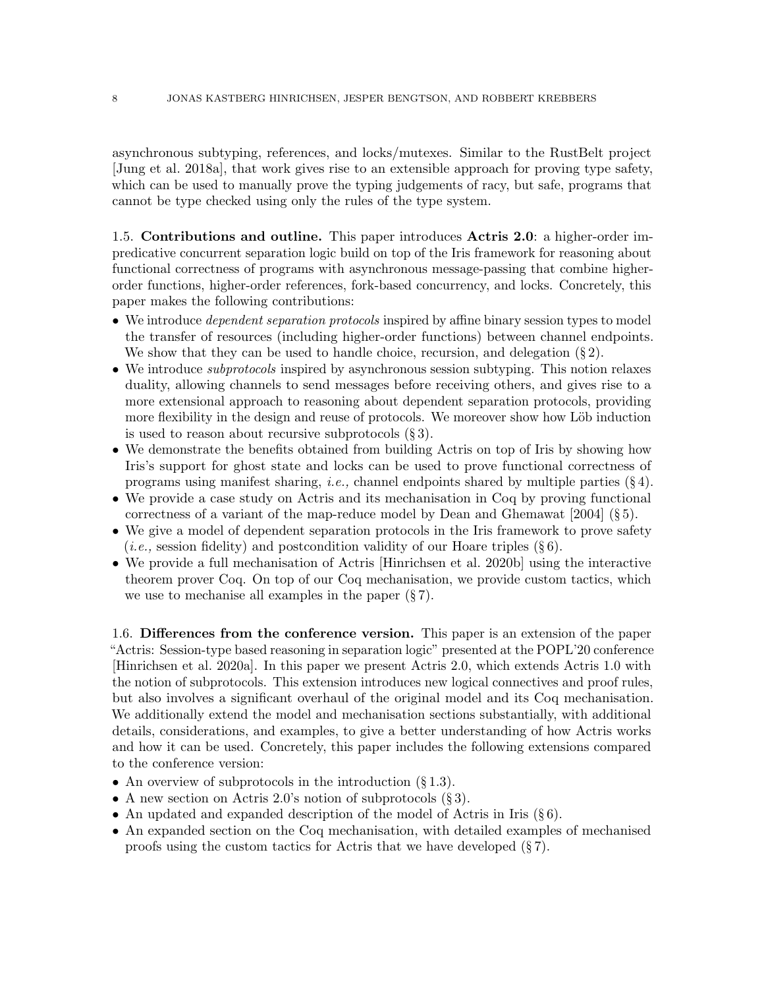asynchronous subtyping, references, and locks/mutexes. Similar to the RustBelt project [\[Jung et al.](#page-53-8) [2018a\]](#page-53-8), that work gives rise to an extensible approach for proving type safety, which can be used to manually prove the typing judgements of racy, but safe, programs that cannot be type checked using only the rules of the type system.

1.5. Contributions and outline. This paper introduces Actris 2.0: a higher-order impredicative concurrent separation logic build on top of the Iris framework for reasoning about functional correctness of programs with asynchronous message-passing that combine higherorder functions, higher-order references, fork-based concurrency, and locks. Concretely, this paper makes the following contributions:

- We introduce *dependent separation protocols* inspired by affine binary session types to model the transfer of resources (including higher-order functions) between channel endpoints. We show that they can be used to handle choice, recursion, and delegation  $(\S 2)$  $(\S 2)$ .
- We introduce *subprotocols* inspired by asynchronous session subtyping. This notion relaxes duality, allowing channels to send messages before receiving others, and gives rise to a more extensional approach to reasoning about dependent separation protocols, providing more flexibility in the design and reuse of protocols. We moreover show how Löb induction is used to reason about recursive subprotocols  $(\S 3)$  $(\S 3)$ .
- We demonstrate the benefits obtained from building Actris on top of Iris by showing how Iris's support for ghost state and locks can be used to prove functional correctness of programs using manifest sharing, *i.e.*, channel endpoints shared by multiple parties  $(\S 4)$  $(\S 4)$ .
- We provide a case study on Actris and its mechanisation in Coq by proving functional correctness of a variant of the map-reduce model by [Dean and Ghemawat](#page-52-5) [\[2004\]](#page-52-5) (§ [5\)](#page-30-0).
- We give a model of dependent separation protocols in the Iris framework to prove safety (*i.e.*, session fidelity) and postcondition validity of our Hoare triples  $(\S 6)$  $(\S 6)$ .
- We provide a full mechanisation of Actris [\[Hinrichsen et al.](#page-53-9) [2020b\]](#page-53-9) using the interactive theorem prover Coq. On top of our Coq mechanisation, we provide custom tactics, which we use to mechanise all examples in the paper  $(\S 7)$  $(\S 7)$ .

1.6. Differences from the conference version. This paper is an extension of the paper "Actris: Session-type based reasoning in separation logic" presented at the POPL'20 conference [\[Hinrichsen et al.](#page-53-6) [2020a\]](#page-53-6). In this paper we present Actris 2.0, which extends Actris 1.0 with the notion of subprotocols. This extension introduces new logical connectives and proof rules, but also involves a significant overhaul of the original model and its Coq mechanisation. We additionally extend the model and mechanisation sections substantially, with additional details, considerations, and examples, to give a better understanding of how Actris works and how it can be used. Concretely, this paper includes the following extensions compared to the conference version:

- An overview of subprotocols in the introduction  $(\S 1.3)$  $(\S 1.3)$ .
- A new section on Actris 2.0's notion of subprotocols  $(\S 3)$  $(\S 3)$ .
- An updated and expanded description of the model of Actris in Iris  $(\S 6)$  $(\S 6)$ .
- An expanded section on the Coq mechanisation, with detailed examples of mechanised proofs using the custom tactics for Actris that we have developed  $(\S 7)$  $(\S 7)$ .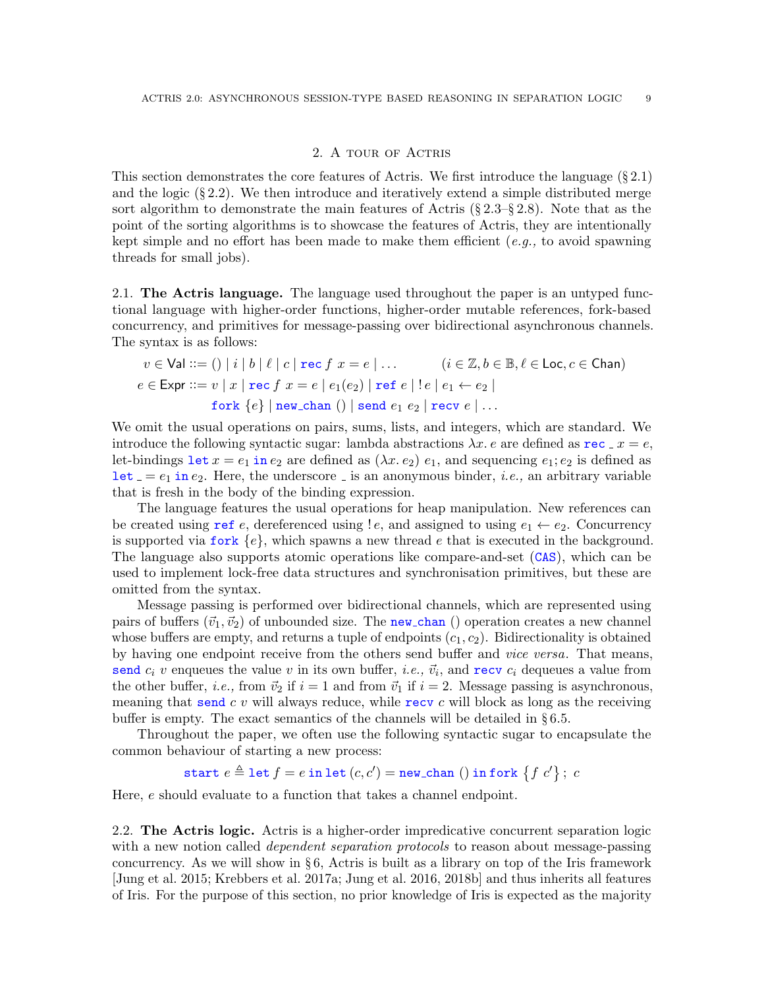### 2. A tour of Actris

<span id="page-8-0"></span>This section demonstrates the core features of Actris. We first introduce the language (§ [2.1\)](#page-8-1) and the logic  $(\S 2.2)$  $(\S 2.2)$ . We then introduce and iteratively extend a simple distributed merge sort algorithm to demonstrate the main features of Actris  $(\S 2.3-\S 2.8)$  $(\S 2.3-\S 2.8)$ . Note that as the point of the sorting algorithms is to showcase the features of Actris, they are intentionally kept simple and no effort has been made to make them efficient  $(e.q.,)$  to avoid spawning threads for small jobs).

<span id="page-8-1"></span>2.1. The Actris language. The language used throughout the paper is an untyped functional language with higher-order functions, higher-order mutable references, fork-based concurrency, and primitives for message-passing over bidirectional asynchronous channels. The syntax is as follows:

$$
v \in \text{Val} ::= () \mid i \mid b \mid \ell \mid c \mid \text{rec } f \ x = e \mid \dots \qquad (i \in \mathbb{Z}, b \in \mathbb{B}, \ell \in \text{Loc}, c \in \text{Chan})
$$

$$
e \in \text{Expr} ::= v \mid x \mid \text{rec } f \ x = e \mid e_1(e_2) \mid \text{ref } e \mid !e \mid e_1 \leftarrow e_2 \mid
$$

$$
\text{fork } \{e\} \mid \text{new\_chan } () \mid \text{send } e_1 \ e_2 \mid \text{recv } e \mid \dots
$$

We omit the usual operations on pairs, sums, lists, and integers, which are standard. We introduce the following syntactic sugar: lambda abstractions  $\lambda x$ . e are defined as  $\text{rec} \cdot x = e$ , let-bindings let  $x = e_1$  in  $e_2$  are defined as  $(\lambda x. e_2) e_1$ , and sequencing  $e_1$ ;  $e_2$  is defined as let  $= e_1$  in  $e_2$ . Here, the underscore is an anonymous binder, *i.e.*, an arbitrary variable that is fresh in the body of the binding expression.

The language features the usual operations for heap manipulation. New references can be created using ref e, dereferenced using  $!e$ , and assigned to using  $e_1 \leftarrow e_2$ . Concurrency is supported via fork  ${e}$ , which spawns a new thread e that is executed in the background. The language also supports atomic operations like compare-and-set (CAS), which can be used to implement lock-free data structures and synchronisation primitives, but these are omitted from the syntax.

Message passing is performed over bidirectional channels, which are represented using pairs of buffers  $(\vec{v}_1, \vec{v}_2)$  of unbounded size. The new chan () operation creates a new channel whose buffers are empty, and returns a tuple of endpoints  $(c_1, c_2)$ . Bidirectionality is obtained by having one endpoint receive from the others send buffer and vice versa. That means, send  $c_i$  v enqueues the value v in its own buffer, *i.e.*,  $\vec{v}_i$ , and **recv**  $c_i$  dequeues a value from the other buffer, *i.e.*, from  $\vec{v}_2$  if  $i = 1$  and from  $\vec{v}_1$  if  $i = 2$ . Message passing is asynchronous, meaning that send  $c \, v$  will always reduce, while recv  $c$  will block as long as the receiving buffer is empty. The exact semantics of the channels will be detailed in  $\S 6.5$ .

Throughout the paper, we often use the following syntactic sugar to encapsulate the common behaviour of starting a new process:

 $\texttt{start}\ e \triangleq \texttt{let}\ f = e \ \texttt{in}\ \texttt{let}\ (c, c') = \texttt{new\_chan}\ (\texttt) \ \texttt{in}\ \texttt{fork}\ \big\{f\ c'\big\}\, ;\ c$ 

Here, e should evaluate to a function that takes a channel endpoint.

<span id="page-8-2"></span>2.2. The Actris logic. Actris is a higher-order impredicative concurrent separation logic with a new notion called *dependent separation protocols* to reason about message-passing concurrency. As we will show in  $\S 6$ , Actris is built as a library on top of the Iris framework [\[Jung et al.](#page-53-1) [2015;](#page-53-1) [Krebbers et al.](#page-54-0) [2017a;](#page-54-0) [Jung et al.](#page-53-2) [2016,](#page-53-2) [2018b\]](#page-53-3) and thus inherits all features of Iris. For the purpose of this section, no prior knowledge of Iris is expected as the majority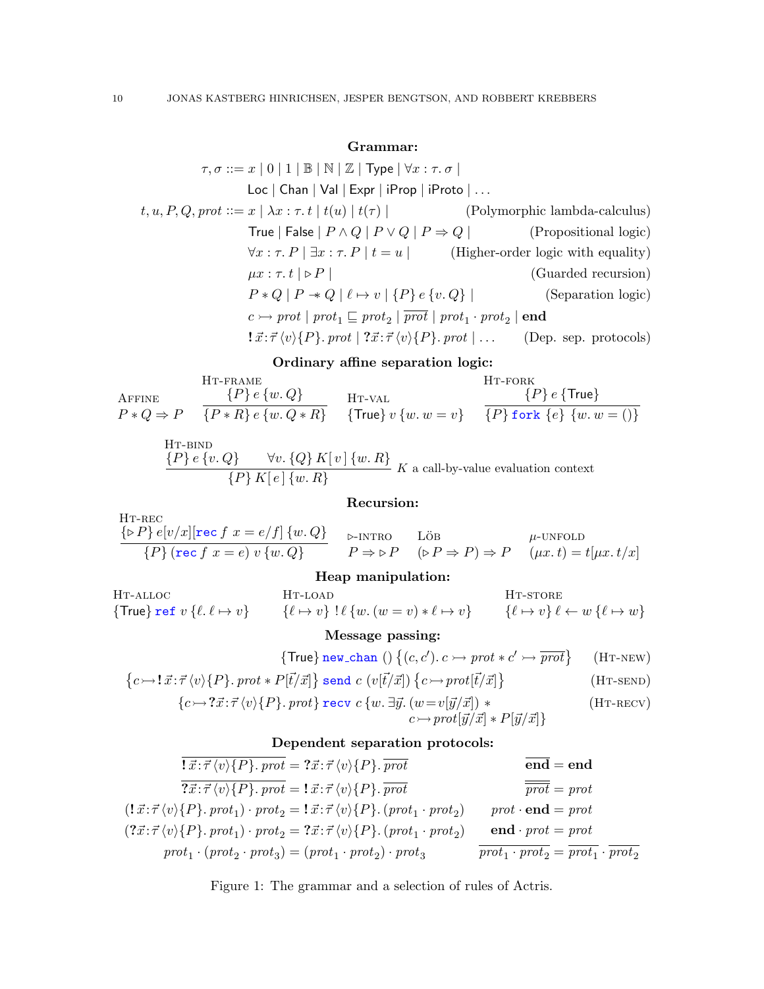# Grammar:

$$
\tau, \sigma ::= x \mid 0 \mid 1 \mid \mathbb{B} \mid \mathbb{N} \mid \mathbb{Z} \mid \text{Type} \mid \forall x : \tau. \sigma \mid
$$
  
\n
$$
\text{Loc} \mid \text{Chan} \mid \text{Val} \mid \text{Expr} \mid \text{Prop} \mid \text{Proof} \mid \dots
$$
  
\n
$$
t, u, P, Q, prot ::= x \mid \lambda x : \tau. t \mid t(u) \mid t(\tau) \mid \qquad \qquad \text{(Polymorphic lambda-calculus)}
$$
  
\n
$$
\text{True} \mid \text{False} \mid P \land Q \mid P \lor Q \mid P \Rightarrow Q \mid \qquad \qquad \text{(Propositional logic)}
$$
  
\n
$$
\forall x : \tau. P \mid \exists x : \tau. P \mid t = u \mid \qquad \qquad \text{(Higher-order logic with equality)}
$$
  
\n
$$
\mu x : \tau. t \mid \mathbb{P} P \mid \qquad \qquad \text{(Guarded recursion)}
$$
  
\n
$$
P * Q \mid P \twoheadleftarrow Q \mid \ell \mapsto v \mid \{P\} e \{v. Q\} \mid \qquad \qquad \text{(Separation logic)}
$$
  
\n
$$
c \rightarrow prot \mid prot_1 \sqsubseteq prot_2 \mid \overline{prot} \mid prot_1 \cdot prot_2 \mid \text{end}
$$
  
\n
$$
\text{I} \vec{x} : \vec{\tau} \langle v \rangle \{P\} . prot \mid \vec{x} : \vec{\tau} \langle v \rangle \{P\} . prot \mid \dots \qquad \text{(Dep. sep. protocols)}
$$

### <span id="page-9-9"></span>Ordinary affine separation logic:

<span id="page-9-4"></span>**AFFINE**  $P * Q \Rightarrow P$ Ht-frame  ${P}$  e  ${w,Q}$  ${P * R} e$  {w.  $Q * R}$ } H<sub>T</sub>-val  $\{True\} v \{w. w = v\}$ H<sub>T</sub>-fork  $\{P\}$   $e$   $\{$ True $\}$  ${P}$  fork  ${e}$   ${w.w = ()}$ 

HT-BIND

\n
$$
\frac{\{P\} e \{v.Q\}}{\{P\} K[e] \{w.R\}} K \text{ a call-by-value evaluation context}
$$

## <span id="page-9-8"></span><span id="page-9-3"></span><span id="page-9-1"></span>Recursion:

<span id="page-9-2"></span>HT-REC

\n
$$
\frac{\{\triangleright P\} e[v/x][\text{rec } f \ x = e/f] \ \{w, Q\}}{\{P\} (\text{rec } f \ x = e) \ v \ \{w, Q\}}
$$
\n
$$
\triangleright \text{-INTRO}
$$
\nLoB

\n
$$
\mu\text{-UNFOLD}
$$
\n
$$
P \Rightarrow \triangleright P \quad (\triangleright P \Rightarrow P) \Rightarrow P \quad (\mu x. t) = t[\mu x. t/x]
$$

# Heap manipulation:

H<sub>T</sub>-alloc  $\{True\}$  ref  $v \{ \ell. \ell \mapsto v \}$ H<sub>T-LOAD</sub>  $\{\ell \mapsto v\}$  !  $\ell \{w \ldots (w = v) * \ell \mapsto v\}$ HT-STORE  $\{\ell \mapsto v\} \ell \leftarrow w \{\ell \mapsto w\}$ 

#### Message passing:

$$
\{\mathsf{True}\}\,\mathbf{new}\_\mathsf{chan}\;() \;\{(c, c').\; c \rightarrow \mathit{prot} * c' \rightarrow \overline{\mathit{prot}}\} \qquad (\text{HT-NEW})
$$

$$
\left\{c \rightarrow \mathbf{l} \ \vec{x} : \vec{\tau} \left\langle v \right\rangle \{P\}.\;prot * P[\vec{t}/\vec{x}] \right\} \text{ send } c \ (v[\vec{t}/\vec{x}]) \left\{c \rightarrow prot[\vec{t}/\vec{x}] \right\} \tag{H\texttt{T-SEND}}
$$

$$
\{c \rightarrow ?\vec{x} : \vec{\tau} \langle v \rangle \{P\}.\text{prot} \} \text{ recv } c \{w. \exists \vec{y}. (w = v[\vec{y}/\vec{x}]) * \qquad (\text{HT-RECV})
$$

<span id="page-9-7"></span><span id="page-9-6"></span><span id="page-9-5"></span>
$$
c \rightarrow prot[\vec{y}/\vec{x}] * P[\vec{y}/\vec{x}] \}
$$

## Dependent separation protocols:

$$
\overline{\overline{\overline{x}}:\overline{\tau}\langle v\rangle\{P\}. \,prot} = ?\overline{x}:\overline{\tau}\langle v\rangle\{P\}.\, \overline{prot} \qquad \overline{end} = end
$$
\n
$$
\overline{\overline{\overline{x}}:\overline{\tau}\langle v\rangle\{P\}.\, prot} = !\overline{x}:\overline{\tau}\langle v\rangle\{P\}.\, \overline{prot} \qquad \overline{prot} = prot
$$
\n
$$
(!\overline{x}:\overline{\tau}\langle v\rangle\{P\}.\,prot_1) \cdot prot_2 = !\overline{x}:\overline{\tau}\langle v\rangle\{P\}.\, (prot_1 \cdot prot_2) \qquad prot \cdot end = prot
$$
\n
$$
(?\overline{x}:\overline{\tau}\langle v\rangle\{P\}.\,prot_1) \cdot prot_2 = ?\overline{x}:\overline{\tau}\langle v\rangle\{P\}.\, (prot_1 \cdot prot_2) \qquad end \cdot prot = prot
$$
\n
$$
prot_1 \cdot (prot_2 \cdot prot_3) = (prot_1 \cdot prot_2) \cdot prot_3 \qquad \overline{prot_1 \cdot prot_2} = \overline{prot_1} \cdot \overline{prot_2}
$$

<span id="page-9-0"></span>Figure 1: The grammar and a selection of rules of Actris.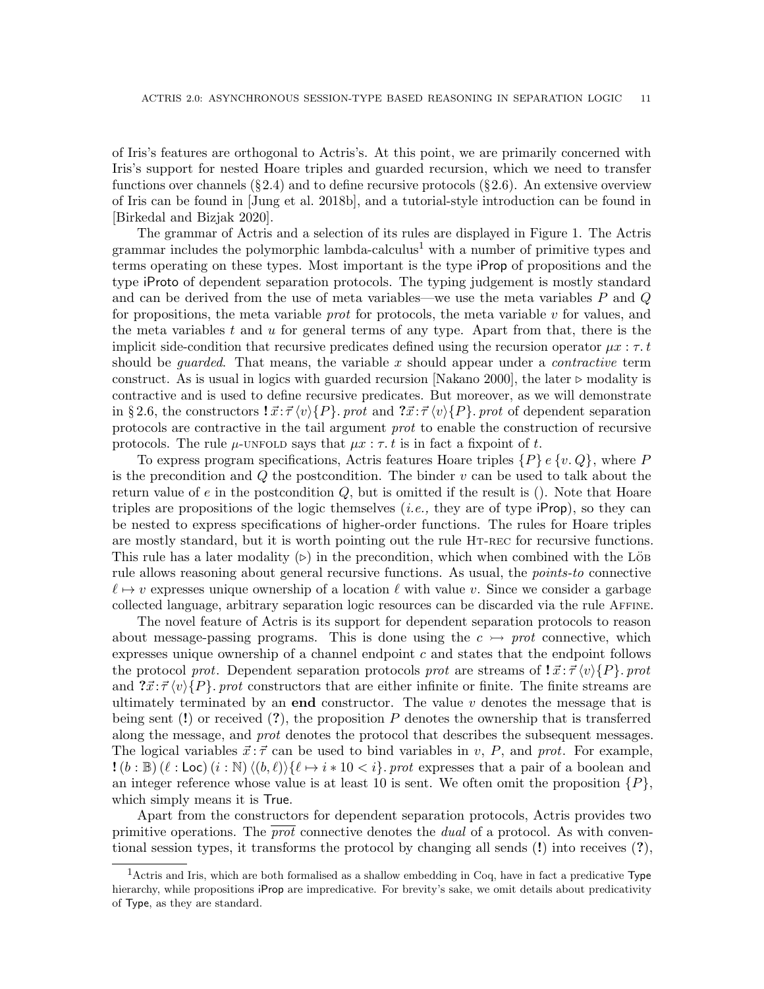of Iris's features are orthogonal to Actris's. At this point, we are primarily concerned with Iris's support for nested Hoare triples and guarded recursion, which we need to transfer functions over channels  $(\S 2.4)$  $(\S 2.4)$  and to define recursive protocols  $(\S 2.6)$  $(\S 2.6)$ . An extensive overview of Iris can be found in [\[Jung et al.](#page-53-3) [2018b\]](#page-53-3), and a tutorial-style introduction can be found in [\[Birkedal and Bizjak 2020\]](#page-52-6).

The grammar of Actris and a selection of its rules are displayed in Figure [1.](#page-9-0) The Actris grammar includes the polymorphic lambda-calculus<sup>[1](#page-10-0)</sup> with a number of primitive types and terms operating on these types. Most important is the type iProp of propositions and the type iProto of dependent separation protocols. The typing judgement is mostly standard and can be derived from the use of meta variables—we use the meta variables  $P$  and  $Q$ for propositions, the meta variable *prot* for protocols, the meta variable  $v$  for values, and the meta variables t and  $u$  for general terms of any type. Apart from that, there is the implicit side-condition that recursive predicates defined using the recursion operator  $\mu x : \tau, t$ should be *guarded*. That means, the variable  $x$  should appear under a *contractive* term construct. As is usual in logics with guarded recursion [\[Nakano 2000\]](#page-54-10), the later  $\triangleright$  modality is contractive and is used to define recursive predicates. But moreover, as we will demonstrate in § [2.6,](#page-14-0) the constructors  $\vec{x}$ :  $\vec{\tau} \langle v \rangle \{P\}$ . prot and  $\vec{x}$ :  $\vec{\tau} \langle v \rangle \{P\}$ . prot of dependent separation protocols are contractive in the tail argument prot to enable the construction of recursive protocols. The rule  $\mu$ [-unfold](#page-9-1) says that  $\mu x : \tau$  is in fact a fixpoint of t.

To express program specifications, Actris features Hoare triples  $\{P\}$  e  $\{v, Q\}$ , where P is the precondition and  $Q$  the postcondition. The binder  $v$  can be used to talk about the return value of  $e$  in the postcondition  $Q$ , but is omitted if the result is (). Note that Hoare triples are propositions of the logic themselves  $(i.e.,$  they are of type  $iProp$ , so they can be nested to express specifications of higher-order functions. The rules for Hoare triples are mostly standard, but it is worth pointing out the rule HT-REC for recursive functions. This rule has a later modality  $(\triangleright)$  in the precondition, which when combined with the Lös rule allows reasoning about general recursive functions. As usual, the points-to connective  $\ell \mapsto v$  expresses unique ownership of a location  $\ell$  with value v. Since we consider a garbage collected language, arbitrary separation logic resources can be discarded via the rule [Affine](#page-9-4).

The novel feature of Actris is its support for dependent separation protocols to reason about message-passing programs. This is done using the  $c \rightarrow prot$  connective, which expresses unique ownership of a channel endpoint  $c$  and states that the endpoint follows the protocol prot. Dependent separation protocols prot are streams of  $\vec{x} \cdot \vec{\tau} \langle v \rangle \{P\}$ . prot and  $\mathcal{T}x:\mathcal{T}\langle v\rangle\{P\}$ , prot constructors that are either infinite or finite. The finite streams are ultimately terminated by an **end** constructor. The value  $v$  denotes the message that is being sent (!) or received (?), the proposition P denotes the ownership that is transferred along the message, and prot denotes the protocol that describes the subsequent messages. The logical variables  $\vec{x}$ :  $\vec{\tau}$  can be used to bind variables in v, P, and prot. For example,  $!(b : \mathbb{B}) (\ell : \text{Loc}) (i : \mathbb{N}) \langle (b, \ell) \rangle$  $\{\ell \mapsto i * 10 < i\}$ . prot expresses that a pair of a boolean and an integer reference whose value is at least 10 is sent. We often omit the proposition  $\{P\}$ , which simply means it is True.

Apart from the constructors for dependent separation protocols, Actris provides two primitive operations. The prot connective denotes the dual of a protocol. As with conventional session types, it transforms the protocol by changing all sends (!) into receives (?),

<span id="page-10-0"></span><sup>1</sup>Actris and Iris, which are both formalised as a shallow embedding in Coq, have in fact a predicative Type hierarchy, while propositions iProp are impredicative. For brevity's sake, we omit details about predicativity of Type, as they are standard.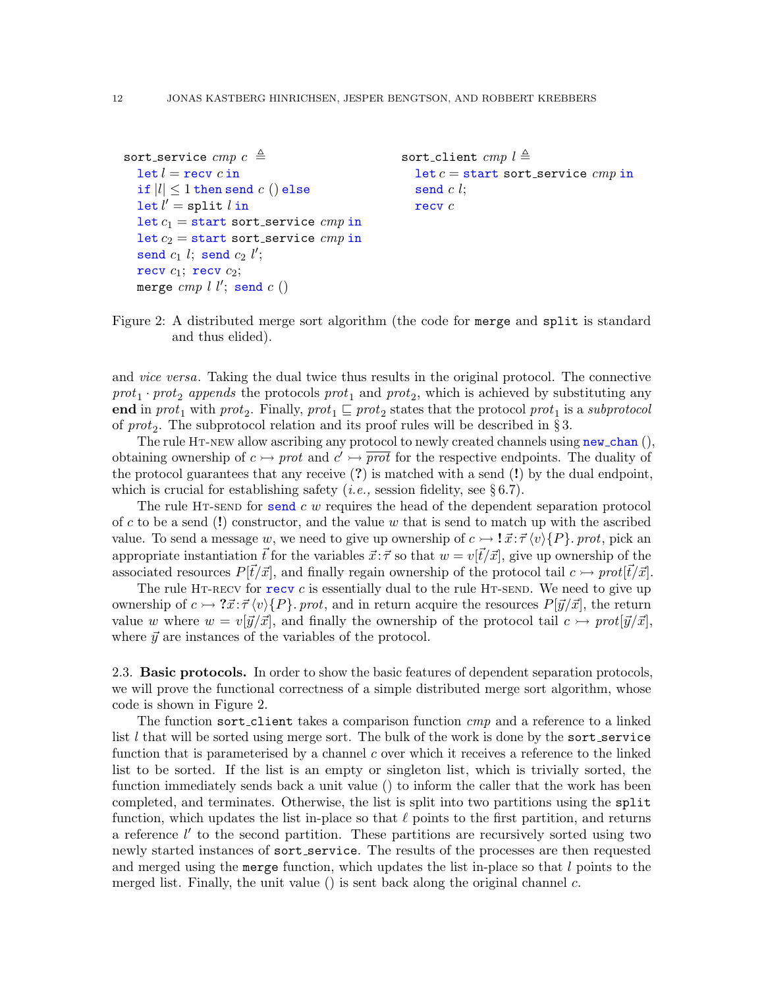```
sort_service cmp c \triangleqlet l = recv c in
  if |l| \leq 1 then send c () else
  \det l' = \mathtt{split}\ l\ \mathtt{in}let c_1 = start sort service cmp in
  let c_2 = start sort_service cmp in
  send c_1 l; send c_2 l';
  recv c_1; recv c_2;
  merge cmp l l'; send c ()sort_client cmp l \triangleq\texttt{let}\,c = \texttt{start}sort_service\mathit{cmp} in
                                                          send c l;
                                                          recv c
```

```
Figure 2: A distributed merge sort algorithm (the code for merge and split is standard
         and thus elided).
```
and vice versa. Taking the dual twice thus results in the original protocol. The connective  $prot_1 \cdot prot_2$  appends the protocols  $prot_1$  and  $prot_2$ , which is achieved by substituting any end in prot<sub>1</sub> with prot<sub>2</sub>. Finally, prot<sub>1</sub>  $\sqsubseteq$  prot<sub>2</sub> states that the protocol prot<sub>1</sub> is a subprotocol of  $prot_2$ . The subprotocol relation and its proof rules will be described in §[3.](#page-17-0)

The rule HT-NEW allow ascribing any protocol to newly created channels using  $new_{\text{chan}}($ ), obtaining ownership of  $c \rightarrow prot$  and  $c' \rightarrow \overline{prot}$  for the respective endpoints. The duality of the protocol guarantees that any receive  $(?)$  is matched with a send  $(!)$  by the dual endpoint, which is crucial for establishing safety (*i.e.*, session fidelity, see  $\S 6.7$ ).

The rule HT-send for send c w requires the head of the dependent separation protocol of c to be a send (!) constructor, and the value w that is send to match up with the ascribed value. To send a message w, we need to give up ownership of  $c \rightarrow \mathbf{!} \vec{x} : \vec{\tau} \langle v \rangle \{P\}$ . prot, pick an appropriate instantiation  $\vec{t}$  for the variables  $\vec{x}$ :  $\vec{\tau}$  so that  $w = v[\vec{t}/\vec{x}]$ , give up ownership of the associated resources  $P[\vec{t}/\vec{x}]$ , and finally regain ownership of the protocol tail  $c \rightarrow prot[\vec{t}/\vec{x}]$ .

The rule HT-RECV for  $\text{recv } c$  is essentially dual to the rule HT-SEND. We need to give up ownership of  $c \rightarrow ?\vec{x}:\vec{\tau}\langle v \rangle \{P\}$ . prot, and in return acquire the resources  $P[\vec{y}/\vec{x}]$ , the return value w where  $w = v[\vec{y}/\vec{x}]$ , and finally the ownership of the protocol tail  $c \rightarrow prot[\vec{y}/\vec{x}]$ , where  $\vec{y}$  are instances of the variables of the protocol.

<span id="page-11-0"></span>2.3. Basic protocols. In order to show the basic features of dependent separation protocols, we will prove the functional correctness of a simple distributed merge sort algorithm, whose code is shown in Figure [2.](#page-11-1)

The function sort-client takes a comparison function cmp and a reference to a linked list  $l$  that will be sorted using merge sort. The bulk of the work is done by the sort service function that is parameterised by a channel  $c$  over which it receives a reference to the linked list to be sorted. If the list is an empty or singleton list, which is trivially sorted, the function immediately sends back a unit value () to inform the caller that the work has been completed, and terminates. Otherwise, the list is split into two partitions using the split function, which updates the list in-place so that  $\ell$  points to the first partition, and returns a reference  $l'$  to the second partition. These partitions are recursively sorted using two newly started instances of sort service. The results of the processes are then requested and merged using the merge function, which updates the list in-place so that  $l$  points to the merged list. Finally, the unit value () is sent back along the original channel  $c$ .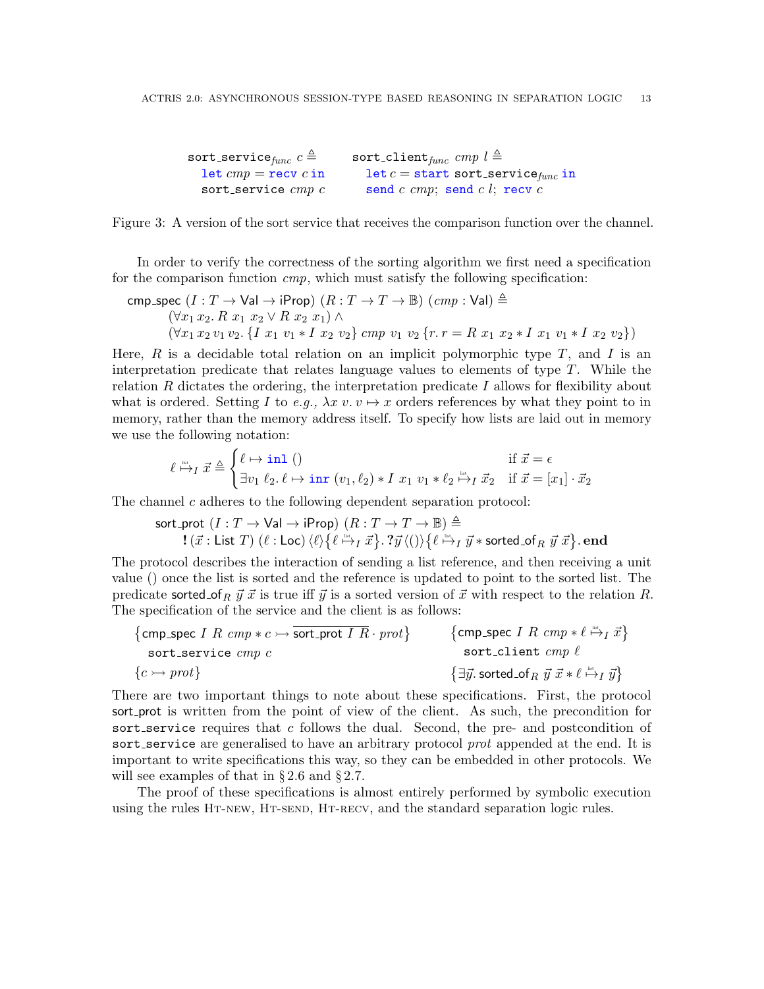| $\texttt{sort\_service}_{func} \ c \triangleq 0$ | sort_client <sub>func</sub> cmp $l \triangleq$  |
|--------------------------------------------------|-------------------------------------------------|
| $let \textit{cmp} = \textbf{recv} \textit{c}$ in | let $c =$ start sort_service <sub>func</sub> in |
| sort_service $cmp$ $c$                           | send $c \; comp$ ; send $c \; l$ ; recv $c$     |

<span id="page-12-0"></span>Figure 3: A version of the sort service that receives the comparison function over the channel.

In order to verify the correctness of the sorting algorithm we first need a specification for the comparison function  $cmp$ , which must satisfy the following specification:

$$
\begin{array}{l} \texttt{cmp\_spec}\ (I: T \rightarrow \textsf{Val} \rightarrow \textsf{iProp})\ (R: T \rightarrow T \rightarrow \mathbb{B})\ (\textit{cmp}:\textsf{Val}) \triangleq \\ \qquad \qquad (\forall x_1\,x_2.\,R\ x_1\ x_2 \vee R\ x_2\ x_1) \wedge \\ \qquad \qquad (\forall x_1\,x_2\,v_1\,v_2. \ \{I\ x_1\ v_1 \ast I\ x_2\ v_2\} \ \textit{cmp}\ v_1\ v_2 \ \{r.\,r = R\ x_1\ x_2 \ast I\ x_1\ v_1 \ast I\ x_2\ v_2\}) \end{array}
$$

Here,  $R$  is a decidable total relation on an implicit polymorphic type  $T$ , and  $I$  is an interpretation predicate that relates language values to elements of type  $T$ . While the relation R dictates the ordering, the interpretation predicate I allows for flexibility about what is ordered. Setting I to e.g.,  $\lambda x v. v \mapsto x$  orders references by what they point to in memory, rather than the memory address itself. To specify how lists are laid out in memory we use the following notation:

$$
\ell \stackrel{\text{dist}}{\mapsto}_I \vec{x} \triangleq \begin{cases} \ell \mapsto \text{in1} \ ( ) & \text{if } \vec{x} = \epsilon \\ \exists v_1 \ \ell_2, \ell \mapsto \text{inr} \ (v_1, \ell_2) \ast I \ x_1 \ v_1 \ast \ell_2 \stackrel{\text{dist}}{\mapsto}_I \vec{x}_2 & \text{if } \vec{x} = [x_1] \cdot \vec{x}_2 \end{cases}
$$

The channel  $c$  adheres to the following dependent separation protocol:

$$
\begin{array}{c} \text{sort\_prot} \ (I : T \to \mathsf{Val} \to \mathsf{iProp}) \ (R : T \to T \to \mathbb{B}) \triangleq \\ \mathbf{!} \ (\vec{x} : \mathsf{List} \ T) \ (\ell : \mathsf{Loc}) \ \langle \ell \rangle \big\{ \ell \stackrel{\text{def}}{\mapsto}_I \vec{x} \big\} . \ \mathsf{?} \vec{y} \ \langle () \rangle \big\{ \ell \stackrel{\text{def}}{\mapsto}_I \vec{y} * \mathsf{sorted\_of}_R \ \vec{y} \ \vec{x} \big\} . \ \mathbf{end} \end{array}
$$

The protocol describes the interaction of sending a list reference, and then receiving a unit value () once the list is sorted and the reference is updated to point to the sorted list. The predicate sorted of  $_R \vec{y} \cdot \vec{x}$  is true iff  $\vec{y}$  is a sorted version of  $\vec{x}$  with respect to the relation R. The specification of the service and the client is as follows:

$$
\begin{array}{ll}\n\text{{cmp\_spec } I \ R \ cmp * c \rightarrow \overline{\text{sort\_prot } I \ R} \cdot \text{prot}\n\} & \text{{cmp\_spec } I \ R \ cmp * \ell \xrightarrow{\cong_{} I \ \overline{x}}\n\end{array}
$$
\n
$$
\begin{array}{ll}\n\text{sort\_client } \text{cmp } \ell \\
\text{sort\_client } \text{cmp } \ell\n\end{array}
$$
\n
$$
\begin{array}{ll}\n\text{sort\_client } \text{cmp } \ell \\
\{\exists \overline{y} \text{. sorted\_of}_R \ \overline{y} \ \overline{x} * \ell \xrightarrow{\cong_{} I \ \overline{y}}\n\}\n\end{array}
$$

There are two important things to note about these specifications. First, the protocol sort prot is written from the point of view of the client. As such, the precondition for sort service requires that c follows the dual. Second, the pre- and postcondition of sort service are generalised to have an arbitrary protocol prot appended at the end. It is important to write specifications this way, so they can be embedded in other protocols. We will see examples of that in  $\S 2.6$  $\S 2.6$  and  $\S 2.7$ .

The proof of these specifications is almost entirely performed by symbolic execution using the rules HT-NEW, HT-SEND, HT-RECV, and the standard separation logic rules.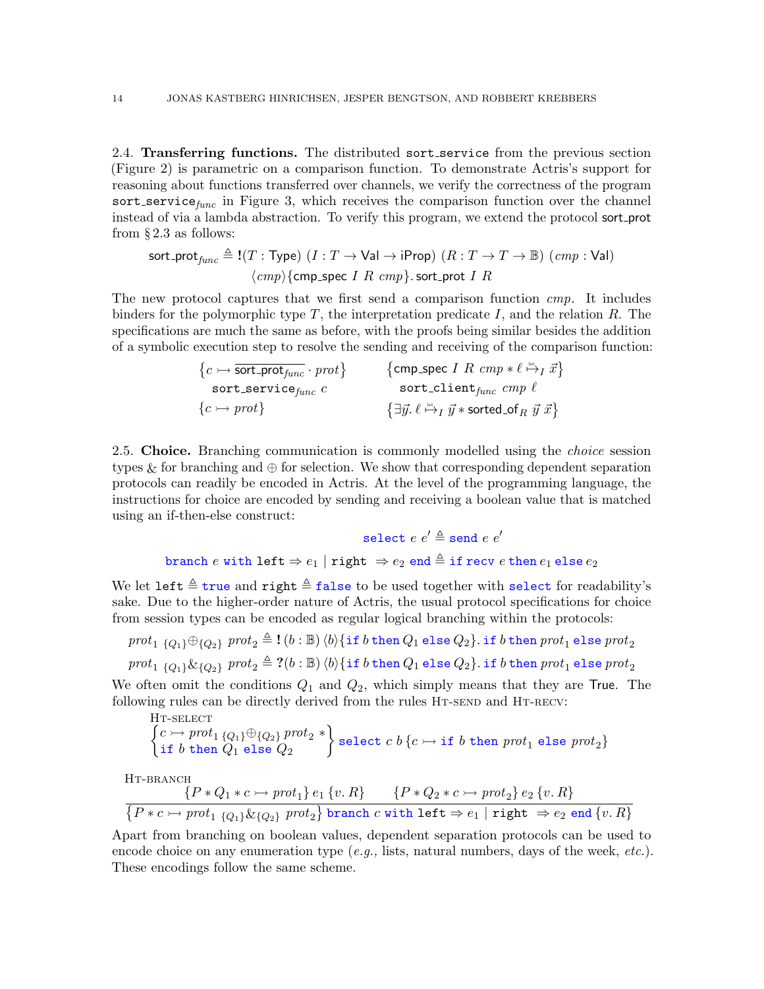<span id="page-13-0"></span>2.4. Transferring functions. The distributed sort service from the previous section (Figure [2\)](#page-11-1) is parametric on a comparison function. To demonstrate Actris's support for reasoning about functions transferred over channels, we verify the correctness of the program sort service $_{func}$  in Figure [3,](#page-12-0) which receives the comparison function over the channel instead of via a lambda abstraction. To verify this program, we extend the protocol sort prot from  $\S 2.3$  $\S 2.3$  as follows:

$$
sort\_prot_{func} \triangleq I(T: Type) (I: T \rightarrow Val \rightarrow iProp) (R: T \rightarrow T \rightarrow \mathbb{B}) (cmp: Val)
$$
  

$$
\langle cmp \rangle \{cmp\_spec \; I \; R \; cmp \}.
$$
sort\\_prot \; I \; R

The new protocol captures that we first send a comparison function *cmp*. It includes binders for the polymorphic type  $T$ , the interpretation predicate  $I$ , and the relation  $R$ . The specifications are much the same as before, with the proofs being similar besides the addition of a symbolic execution step to resolve the sending and receiving of the comparison function:

| $\{c \rightarrowtail \overline{\mathsf{sort\_prot}_{func}} \cdot \mathit{prot}\}$ | $\{$ cmp_spec I R cmp $* \ell \stackrel{\text{list}}{\mapsto} I \overrightarrow{x}$                                          |
|-----------------------------------------------------------------------------------|------------------------------------------------------------------------------------------------------------------------------|
| $\texttt{sort\_service}_{func}$ $c$                                               | sort_client $_{func}$ $cmp$ $\ell$                                                                                           |
| $\{c \rightarrow prot\}$                                                          | $\{\exists \vec{y}. \ell \stackrel{\text{\tiny{list}}}{\mapsto} I \ \vec{y} * \text{\sf sorted\_of}_R \ \vec{y} \ \vec{x}\}$ |

<span id="page-13-3"></span>2.5. Choice. Branching communication is commonly modelled using the *choice* session types & for branching and  $\oplus$  for selection. We show that corresponding dependent separation protocols can readily be encoded in Actris. At the level of the programming language, the instructions for choice are encoded by sending and receiving a boolean value that is matched using an if-then-else construct:

$$
\mathtt{select}\ e\ e'\triangleq\mathtt{send}\ e\ e'\\ \mathtt{branch}\ e\ \mathtt{with}\ \mathtt{left}\Rightarrow e_1\ |\ \mathtt{right}\ \Rightarrow e_2\ \mathtt{end}\triangleq\mathtt{if}\ \mathtt{recv}\ e\ \mathtt{then}\ e_1\ \mathtt{else}\ e_2
$$

We let left  $\triangleq$  true and right  $\triangleq$  false to be used together with select for readability's sake. Due to the higher-order nature of Actris, the usual protocol specifications for choice from session types can be encoded as regular logical branching within the protocols:

 $\textit{prot}_1 \; \{Q_1\} \oplus \{Q_2\} \; \textit{prot}_2 \triangleq \textbf{!}\; (b : \mathbb{B})\, \langle b \rangle \{\texttt{if} \; b \; \texttt{then} \; Q_1 \; \texttt{else} \; Q_2\}. \; \texttt{if} \; b \; \texttt{then} \; \textit{prot}_1 \; \texttt{else} \; \textit{prot}_2$ 

 $prot_1 \{Q_1\} \& \{Q_2\}$   $prot_2 \triangleq ?(b : \mathbb{B}) \langle b \rangle \{\text{if } b \text{ then } Q_1 \text{ else } Q_2\}.$  if  $b \text{ then }prot_1 \text{ else }prot_2$ 

We often omit the conditions  $Q_1$  and  $Q_2$ , which simply means that they are True. The following rules can be directly derived from the rules HT-SEND and HT-RECV:

<span id="page-13-2"></span>\n
$$
\left\{\n \begin{array}{l}\n c \rightarrow \text{prot}_1 \{Q_1\} \oplus \{Q_2\} \text{prot}_2 \ * \\
 \text{if } b \text{ then } Q_1 \text{ else } Q_2\n \end{array}\n \right\}
$$
\n

\n\n $\text{select } c \ b \{c \rightarrow \text{if } b \text{ then } \text{prot}_1 \text{ else } \text{prot}_2\}$ \n

HT-BRANCH

<span id="page-13-1"></span>
$$
\frac{\{P*Q_1*c\rightarrow prot_1\}e_1\{v,R\}}{\{P*c\rightarrow prot_1\{Q_1\}\&\{Q_2\} \;prot_2\} \; \texttt{branch}\; c \; \texttt{with}\; \texttt{left} \Rightarrow e_1 \; | \; \texttt{right} \; \Rightarrow e_2 \; \texttt{end}\; \{v,R\}}
$$

Apart from branching on boolean values, dependent separation protocols can be used to encode choice on any enumeration type  $(e.g.,$  lists, natural numbers, days of the week,  $etc.$ ). These encodings follow the same scheme.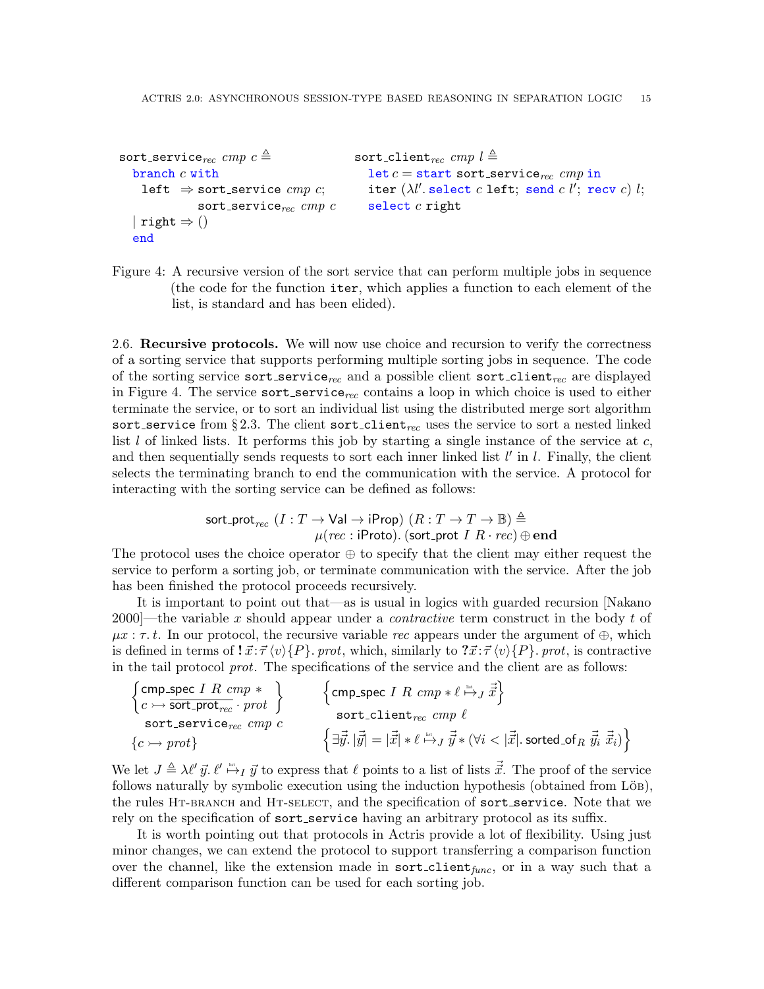```
sort_service<sub>rec</sub> cmp c \triangleqbranch c with
     left \Rightarrow sort_service cmp c;
                  sort_service_{rec} cmp c| right \Rightarrow ()
   end
                                                        sort_client<sub>rec</sub> cmp l \triangleqlet c = start sort_service<sub>rec</sub> cmp in
                                                            iter (\lambda l'.{\tt select}\; c\; {\tt left};\; {\tt send}\; c\; l';\; {\tt recv}\; c) \; l;select c right
```

```
Figure 4: A recursive version of the sort service that can perform multiple jobs in sequence
         (the code for the function iter, which applies a function to each element of the
          list, is standard and has been elided).
```
<span id="page-14-0"></span>2.6. Recursive protocols. We will now use choice and recursion to verify the correctness of a sorting service that supports performing multiple sorting jobs in sequence. The code of the sorting service sort service<sub>rec</sub> and a possible client sort client<sub>rec</sub> are displayed in Figure [4.](#page-14-1) The service sort service<sub>rec</sub> contains a loop in which choice is used to either terminate the service, or to sort an individual list using the distributed merge sort algorithm sort service from §[2.3.](#page-11-0) The client sort client<sub>rec</sub> uses the service to sort a nested linked list  $l$  of linked lists. It performs this job by starting a single instance of the service at  $c$ , and then sequentially sends requests to sort each inner linked list  $l'$  in  $l$ . Finally, the client selects the terminating branch to end the communication with the service. A protocol for interacting with the sorting service can be defined as follows:

> $\mathsf{sort\_prot}_{rec}\,\left(I:T\rightarrow \mathsf{Val}\rightarrow \mathsf{iProp}\right)\,\left(R:T\rightarrow T\rightarrow \mathbb{B}\right)\triangleq$  $\mu(rec: \text{iProto}).$  (sort\_prot  $I~R \cdot rec) \oplus \textbf{end}$

The protocol uses the choice operator ⊕ to specify that the client may either request the service to perform a sorting job, or terminate communication with the service. After the job has been finished the protocol proceeds recursively.

It is important to point out that—as is usual in logics with guarded recursion [\[Nakano](#page-54-10) 2000—the variable x should appear under a *contractive* term construct in the body t of  $\mu x : \tau, t$ . In our protocol, the recursive variable rec appears under the argument of  $\oplus$ , which is defined in terms of  $\vec{x}$ :  $\vec{\tau} \langle v \rangle \{P\}$ . prot, which, similarly to  $\vec{x}$ :  $\vec{\tau} \langle v \rangle \{P\}$ . prot, is contractive in the tail protocol prot. The specifications of the service and the client are as follows:

$$
\begin{array}{ll}\n\left\{\text{cmp\_spec } I \ R \ cmp * \right\} & \left\{\text{cmp\_spec } I \ R \ cmp * \ell \stackrel{\text{loc}}{\mapsto} J \ \vec{x}\right\} \\
\text{sort\_service}_{rec} \ cmp c & \left\{\text{c} \mapsto \text{prot}\right\} & \left\{\exists \vec{y}. \ |\vec{y}| = |\vec{x}| * \ell \stackrel{\text{last}}{\mapsto} J \ \vec{y} * (\forall i < |\vec{x}|) \ \text{sorted\_of}_R \ \vec{y}_i \ \vec{x}_i)\right\}\n\end{array}
$$

We let  $J \triangleq \lambda \ell' \vec{y}$ .  $\ell' \stackrel{\text{def}}{\mapsto} I \vec{y}$  to express that  $\ell$  points to a list of lists  $\vec{\vec{x}}$ . The proof of the service follows naturally by symbolic execution using the induction hypothesis (obtained from LöB), the rules HT-BRANCH and HT-SELECT, and the specification of sort\_service. Note that we rely on the specification of sort\_service having an arbitrary protocol as its suffix.

It is worth pointing out that protocols in Actris provide a lot of flexibility. Using just minor changes, we can extend the protocol to support transferring a comparison function over the channel, like the extension made in  $sort$ -client<sub>func</sub>, or in a way such that a different comparison function can be used for each sorting job.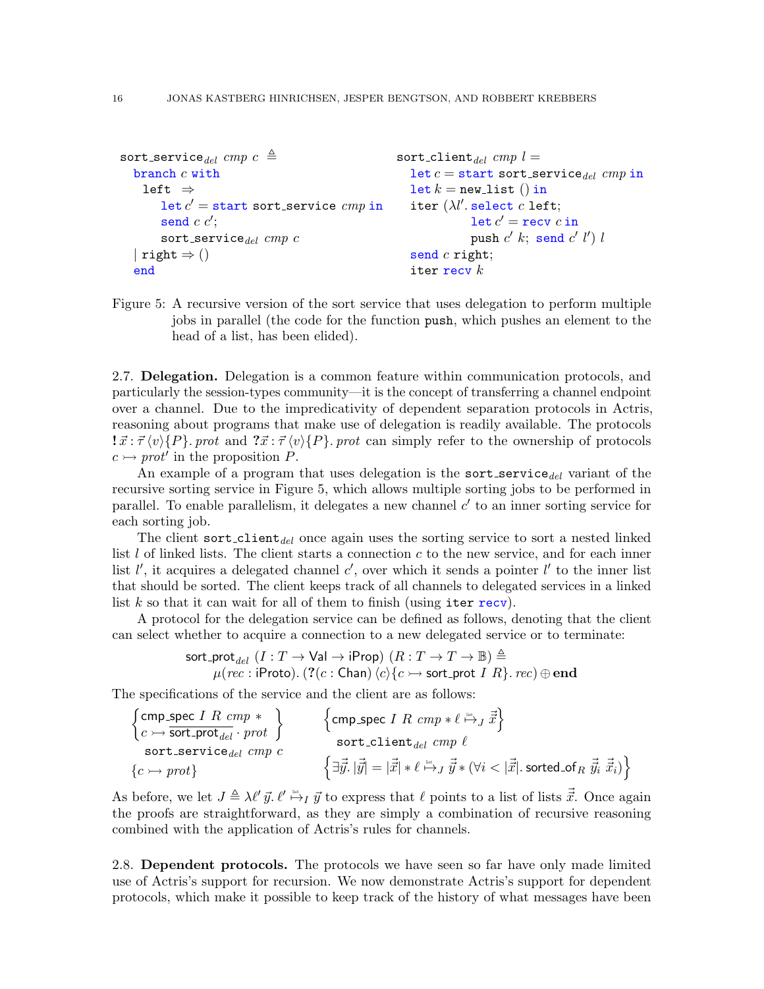```
sort_service_{del} cmp c \triangleqbranch c with
    left ⇒
        \det c' = \texttt{start} sort_service \textit{cmp} in
        send c c';
        sort_service_{del} cmp c| right \Rightarrow ()
  end
                                                         sort_client<sub>del</sub> cmp l =let c = start sort_service<sub>del</sub> cmp in
                                                            let k = new\_list() in
                                                            iter (\lambda l'. select c left;
                                                                         \texttt{let}~ c' = \texttt{recv}~ c in
                                                                         push c' k; send c' l') lsend c right;
                                                            iter recy k
```
<span id="page-15-2"></span>Figure 5: A recursive version of the sort service that uses delegation to perform multiple jobs in parallel (the code for the function push, which pushes an element to the head of a list, has been elided).

<span id="page-15-1"></span>2.7. Delegation. Delegation is a common feature within communication protocols, and particularly the session-types community—it is the concept of transferring a channel endpoint over a channel. Due to the impredicativity of dependent separation protocols in Actris, reasoning about programs that make use of delegation is readily available. The protocols  $\vec{x}$ :  $\vec{\tau}$  (v) {P}. prot and  $\vec{x}$ :  $\vec{\tau}$  (v) {P}. prot can simply refer to the ownership of protocols  $c \rightarrow prot'$  in the proposition P.

An example of a program that uses delegation is the sort service  $_{del}$  variant of the recursive sorting service in Figure [5,](#page-15-2) which allows multiple sorting jobs to be performed in parallel. To enable parallelism, it delegates a new channel  $c'$  to an inner sorting service for each sorting job.

The client sort-client<sub>del</sub> once again uses the sorting service to sort a nested linked list  $l$  of linked lists. The client starts a connection  $c$  to the new service, and for each inner list  $l'$ , it acquires a delegated channel c', over which it sends a pointer  $l'$  to the inner list that should be sorted. The client keeps track of all channels to delegated services in a linked list  $k$  so that it can wait for all of them to finish (using iter recv).

A protocol for the delegation service can be defined as follows, denoting that the client can select whether to acquire a connection to a new delegated service or to terminate:

$$
\mathsf{sort}\_\mathsf{prot}_{del}~(I:T\to\mathsf{Val}\to\mathsf{iProp})~(R:T\to T\to\mathbb{B})\triangleq\\\mu(rec:\mathsf{iProb}).~(?(c:\mathsf{Chan})~\langle c\rangle\{c\mapsto\mathsf{sort}\_\mathsf{prot}~I~R\}.\ rec)\oplus\mathsf{end}
$$

The specifications of the service and the client are as follows:

$$
\begin{array}{ll}\left\{\text{cmp\_spec } I \ \text{$R$ } \text{cmp} * \\ \text{c} \rightarrow \text{sort\_prot}_{\text{del}} \cdot \text{prot} \end{array}\right\} & \left\{\text{cmp\_spec } I \ \text{$R$ } \text{cmp} * \ell \xrightarrow{\text{in}} J \ \vec{\vec{x}}\right\} \\ \text{sort\_service}_{\text{del}} \ \text{cmp } c \\ \left\{\text{c} \rightarrow \text{prot}\right\} & \left\{\exists \vec{y}. \ |\vec{y}| = |\vec{x}| * \ell \xrightarrow{\text{in}} J \ \vec{\vec{y}} * (\forall i < |\vec{\vec{x}|}. \ \text{sorted\_of}_R \ \vec{\vec{y}}_i \ \vec{\vec{x}}_i)\right\} \end{array}
$$

As before, we let  $J \triangleq \lambda \ell' \vec{y}$ .  $\ell' \stackrel{\text{def}}{\mapsto} I \vec{y}$  to express that  $\ell$  points to a list of lists  $\vec{\vec{x}}$ . Once again the proofs are straightforward, as they are simply a combination of recursive reasoning combined with the application of Actris's rules for channels.

<span id="page-15-0"></span>2.8. Dependent protocols. The protocols we have seen so far have only made limited use of Actris's support for recursion. We now demonstrate Actris's support for dependent protocols, which make it possible to keep track of the history of what messages have been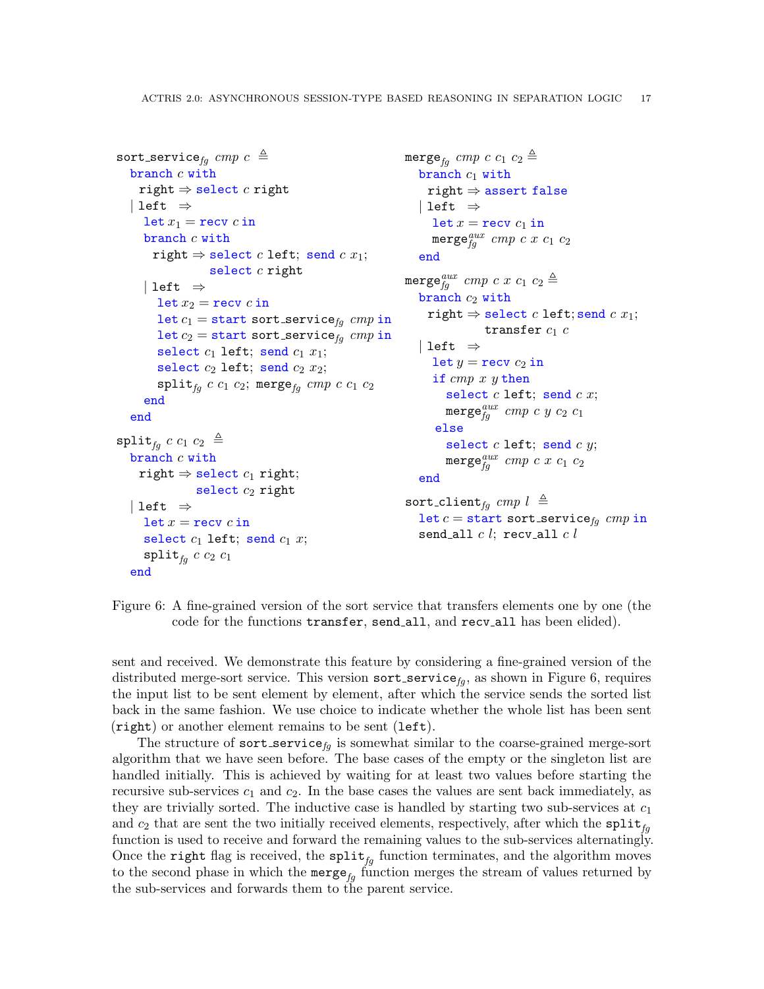```
sort_service_{fg} cmp c \triangleqbranch c withright \Rightarrow select c right
   | left \Rightarrowlet x_1 = recv c in
      branch c with
        right \Rightarrow select c left; send c x_1;
                    select c right
      | left \Rightarrowlet x_2 = recv c in
         let c_1 = start sort service<sub>fg</sub> cmp in
         let c_2 = start sort service<sub>fg</sub> cmp in
         select c_1 left; send c_1 x_1;
         select c_2 left; send c_2 x_2;
         split_{fg} c c_1 c_2; merge<sub>fa</sub> cmp c c_1 c_2end
   end
\text{split}_{fq} c c_1 c_2 \triangleqbranch c with
     right \Rightarrow select c_1 right;
                 select c_2 right
    left \Rightarrowlet x = \text{recv } c in
      select c_1 left; send c_1 x;
      \text{split}_{fq} c c_2 c_1end
                                                                merge<sub>fa</sub> cmp c c_1 c_2 \triangleqbranch c_1 with
                                                                     right \Rightarrow assert false
                                                                   | left \Rightarrowlet x = \text{recv } c_1 in
                                                                      \texttt{merge}^{aux}_{fg} \textit{cmp}\ c\ x\ c_1\ c_2end
                                                                merge_{fg}^{aux} \emph{cmp} c x c_1 c_2 \triangleqbranch c_2 with
                                                                     right \Rightarrow select c left; send c x_1;
                                                                                 transfer c_1 c| left \Rightarrowlet y = \text{recv } c_2 in
                                                                      if cmp x y then
                                                                         select c left; send c x;
                                                                         \texttt{merge}^{aux}_{fg} cmp c y c_2 c_1else
                                                                         select c left; send c y;
                                                                         merge_{fg}^{aux} cmp c x c<sub>1</sub> c<sub>2</sub>
                                                                   end
                                                                sort_client<sub>fa</sub> cmp l \triangleqlet c = start sort_service<sub>fa</sub> cmp in
                                                                   send all c l; recv_all c l
```
<span id="page-16-0"></span>Figure 6: A fine-grained version of the sort service that transfers elements one by one (the code for the functions transfer, send all, and recv all has been elided).

sent and received. We demonstrate this feature by considering a fine-grained version of the distributed merge-sort service. This version sort\_service<sub>fq</sub>, as shown in Figure [6,](#page-16-0) requires the input list to be sent element by element, after which the service sends the sorted list back in the same fashion. We use choice to indicate whether the whole list has been sent (right) or another element remains to be sent (left).

The structure of sort\_service<sub>fq</sub> is somewhat similar to the coarse-grained merge-sort algorithm that we have seen before. The base cases of the empty or the singleton list are handled initially. This is achieved by waiting for at least two values before starting the recursive sub-services  $c_1$  and  $c_2$ . In the base cases the values are sent back immediately, as they are trivially sorted. The inductive case is handled by starting two sub-services at  $c_1$ and  $c_2$  that are sent the two initially received elements, respectively, after which the split<sub>fa</sub> function is used to receive and forward the remaining values to the sub-services alternatingly. Once the right flag is received, the  $split_{fg}$  function terminates, and the algorithm moves to the second phase in which the merge<sub>fa</sub> function merges the stream of values returned by the sub-services and forwards them to the parent service.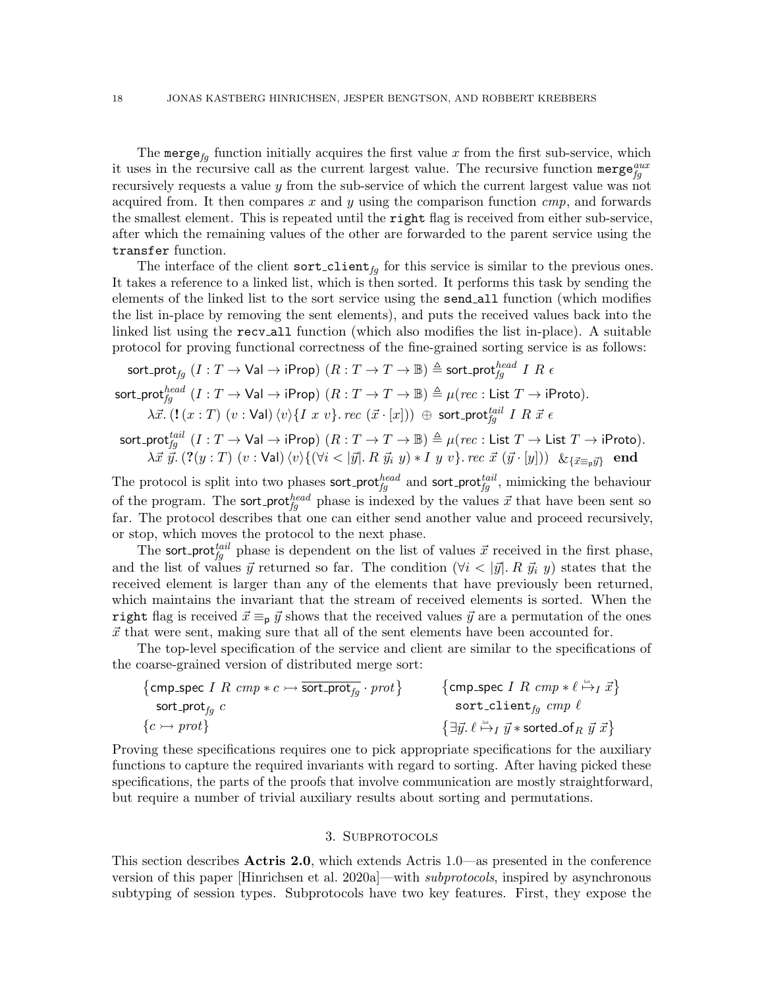The merge<sub>fa</sub> function initially acquires the first value x from the first sub-service, which it uses in the recursive call as the current largest value. The recursive function merge $_{fg}^{aux}$ recursively requests a value y from the sub-service of which the current largest value was not acquired from. It then compares x and y using the comparison function  $cmp$ , and forwards the smallest element. This is repeated until the right flag is received from either sub-service, after which the remaining values of the other are forwarded to the parent service using the transfer function.

The interface of the client sort-client<sub>fg</sub> for this service is similar to the previous ones. It takes a reference to a linked list, which is then sorted. It performs this task by sending the elements of the linked list to the sort service using the send all function (which modifies the list in-place by removing the sent elements), and puts the received values back into the linked list using the recv all function (which also modifies the list in-place). A suitable protocol for proving functional correctness of the fine-grained sorting service is as follows:

$$
\mathsf{sort}\_\mathsf{prot}_{fg} (I: T \to \mathsf{Val} \to \mathsf{iProp}) (R: T \to T \to \mathbb{B}) \triangleq \mathsf{sort}\_\mathsf{prot}_{fg}^{head} I R \in \mathsf{sort}\_\mathsf{prot}_{fg}^{head} (I: T \to \mathsf{Val} \to \mathsf{iProp}) (R: T \to T \to \mathbb{B}) \triangleq \mu (rec: \mathsf{List} T \to \mathsf{iProb}).
$$

$$
\lambda \vec{x}.\ (\mathbf{l}\ (x:T)\ (v:\mathsf{Val})\ \langle v\rangle\{I\ x\ v\}.\ rec\ (\vec{x}\cdot [x]))\ \oplus\ \mathsf{sort\_prot}_{fg}^{tail}\ I\ R\ \vec{x}\ \epsilon
$$

 $\mathsf{sort\_prot}^{\mathit{tail}}_{fg} \; (I : T \to \mathsf{Val} \to \mathsf{iProp}) \; (R : T \to T \to \mathbb{B}) \triangleq \mu(\mathit{rec} : \mathsf{List}\; T \to \mathsf{List}\; T \to \mathsf{iProb}).$  $\lambda\vec{x}~\vec{y}.~(?(\overline{y}~:~T)~(\overline{v}~:~\textsf{Val})~\langle \overline{v}\rangle\{(\forall i < |\vec{y}|.~R~\vec{y_i}~y) * I~y~\overline{v}\}$ .  $\overline{rec}~\vec{x}~(\vec{y}~\cdot~[\overline{y}]))~$   $\&_{\{\vec{x}\equiv_{\mathsf{p}}\vec{y}\}}$   $\overline{\phantom{rec}re}$ 

The protocol is split into two phases sort-prot $_{fg}^{head}$  and sort-prot $_{fg}^{tail}$ , mimicking the behaviour of the program. The sort-prot $_{fg}^{head}$  phase is indexed by the values  $\vec{x}$  that have been sent so far. The protocol describes that one can either send another value and proceed recursively, or stop, which moves the protocol to the next phase.

The sort prot<sup>tail</sup> phase is dependent on the list of values  $\vec{x}$  received in the first phase, and the list of values  $\vec{y}$  returned so far. The condition  $(\forall i < |\vec{y}|. R \ \vec{y}_i y)$  states that the received element is larger than any of the elements that have previously been returned, which maintains the invariant that the stream of received elements is sorted. When the right flag is received  $\vec{x} \equiv_p \vec{y}$  shows that the received values  $\vec{y}$  are a permutation of the ones  $\vec{x}$  that were sent, making sure that all of the sent elements have been accounted for.

The top-level specification of the service and client are similar to the specifications of the coarse-grained version of distributed merge sort:

$$
\begin{array}{ll}\n\{\texttt{cmp\_spec} \ I \ R \ \texttt{cmp} * c \rightarrow \overline{\texttt{sort\_prot}}_g \cdot \texttt{prot}\} & \{\texttt{cmp\_spec} \ I \ R \ \texttt{cmp} * \ell \stackrel{\text{int.}}{\rightarrow} I \ \vec{x}\} \\
\texttt{sort\_client}_g \ \texttt{cmp} \ \ell & \{\texttt{c} \rightarrow \texttt{prot}\} & \{\exists \vec{y}. \ \ell \stackrel{\text{int.}}{\rightarrow} I \ \vec{y} * \texttt{sorted\_of}_R \ \vec{y} \ \vec{x}\}\n\end{array}
$$

Proving these specifications requires one to pick appropriate specifications for the auxiliary functions to capture the required invariants with regard to sorting. After having picked these specifications, the parts of the proofs that involve communication are mostly straightforward, but require a number of trivial auxiliary results about sorting and permutations.

### 3. Subprotocols

<span id="page-17-0"></span>This section describes Actris 2.0, which extends Actris 1.0—as presented in the conference version of this paper [\[Hinrichsen et al.](#page-53-6) [2020a\]](#page-53-6)—with subprotocols, inspired by asynchronous subtyping of session types. Subprotocols have two key features. First, they expose the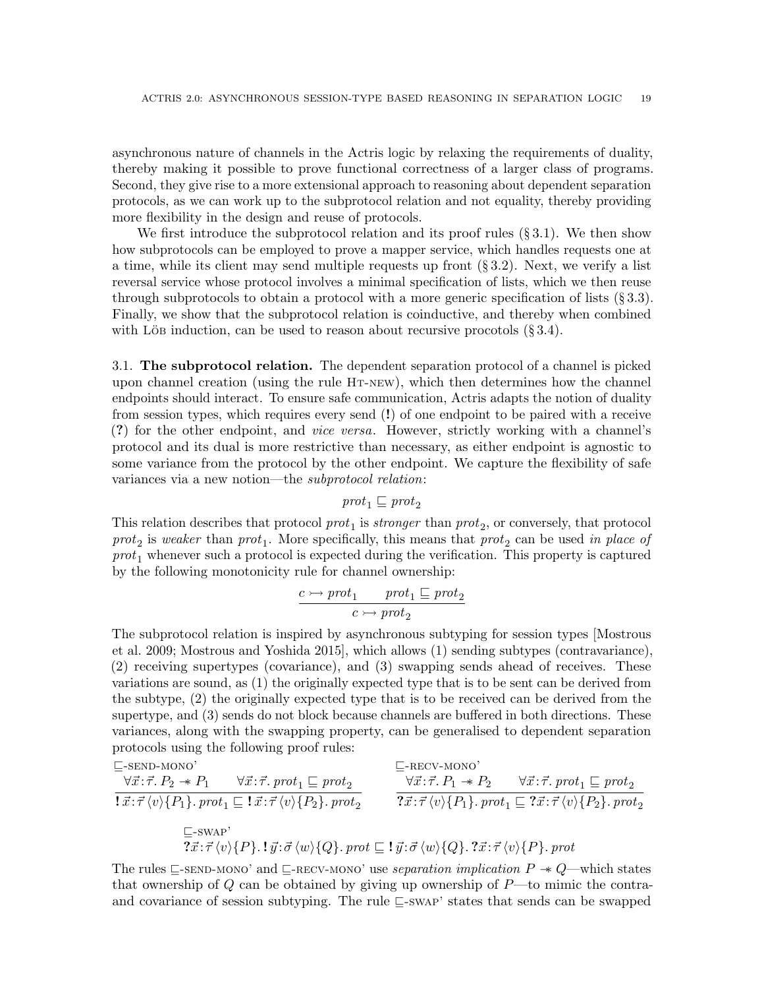asynchronous nature of channels in the Actris logic by relaxing the requirements of duality, thereby making it possible to prove functional correctness of a larger class of programs. Second, they give rise to a more extensional approach to reasoning about dependent separation protocols, as we can work up to the subprotocol relation and not equality, thereby providing more flexibility in the design and reuse of protocols.

We first introduce the subprotocol relation and its proof rules  $(\S 3.1)$  $(\S 3.1)$ . We then show how subprotocols can be employed to prove a mapper service, which handles requests one at a time, while its client may send multiple requests up front  $(\S 3.2)$  $(\S 3.2)$ . Next, we verify a list reversal service whose protocol involves a minimal specification of lists, which we then reuse through subprotocols to obtain a protocol with a more generic specification of lists  $(\S 3.3)$  $(\S 3.3)$ . Finally, we show that the subprotocol relation is coinductive, and thereby when combined with Lös induction, can be used to reason about recursive procotols  $(\S 3.4)$  $(\S 3.4)$ .

<span id="page-18-0"></span>3.1. The subprotocol relation. The dependent separation protocol of a channel is picked upon channel creation (using the rule [Ht-new](#page-9-5)), which then determines how the channel endpoints should interact. To ensure safe communication, Actris adapts the notion of duality from session types, which requires every send (!) of one endpoint to be paired with a receive (?) for the other endpoint, and vice versa. However, strictly working with a channel's protocol and its dual is more restrictive than necessary, as either endpoint is agnostic to some variance from the protocol by the other endpoint. We capture the flexibility of safe variances via a new notion—the subprotocol relation:

 $prot_1 \sqsubseteq prot_2$ 

This relation describes that protocol  $prot_1$  is *stronger* than  $prot_2$ , or conversely, that protocol  $prot_2$  is weaker than  $prot_1$ . More specifically, this means that  $prot_2$  can be used in place of  $prot_1$  whenever such a protocol is expected during the verification. This property is captured by the following monotonicity rule for channel ownership:

<span id="page-18-2"></span>
$$
\cfrac{c \rightarrow \mathit{prot}_1}{c \rightarrow \mathit{prot}_2} \xrightarrow{prot_1} \; \sqsubseteq \mathit{prot}_2
$$

The subprotocol relation is inspired by asynchronous subtyping for session types [\[Mostrous](#page-54-8) [et al.](#page-54-8) [2009;](#page-54-8) [Mostrous and Yoshida 2015\]](#page-54-9), which allows (1) sending subtypes (contravariance), (2) receiving supertypes (covariance), and (3) swapping sends ahead of receives. These variations are sound, as (1) the originally expected type that is to be sent can be derived from the subtype, (2) the originally expected type that is to be received can be derived from the supertype, and (3) sends do not block because channels are buffered in both directions. These variances, along with the swapping property, can be generalised to dependent separation protocols using the following proof rules:

<span id="page-18-1"></span>
$$
\begin{array}{ll}\n\text{E-sEND-MONO'} & \text{E-RECV-MONO'} \\
\hline\n\forall \vec{x} : \vec{\tau}. P_2 \twoheadrightarrow P_1 & \forall \vec{x} : \vec{\tau}. \text{prot}_1 \sqsubseteq \text{prot}_2 \\
\hline\n\{\vec{x} : \vec{\tau} \langle v \rangle \{P_1\}. \text{prot}_1 \sqsubseteq \mathbf{1} \vec{x} : \vec{\tau} \langle v \rangle \{P_2\}. \text{prot}_2 & \n\end{array}\n\quad\n\begin{array}{ll}\n\text{E-RECV-MONO'} \\
\hline\n\forall \vec{x} : \vec{\tau}. P_1 \twoheadrightarrow P_2 & \forall \vec{x} : \vec{\tau}. \text{prot}_1 \sqsubseteq \text{prot}_2 \\
\hline\n\{\vec{x} : \vec{\tau} \langle v \rangle \{P_1\}. \text{prot}_1 \sqsubseteq \mathbf{2} \vec{x} : \vec{\tau} \langle v \rangle \{P_2\}. \text{prot}_2\n\end{array}
$$

<span id="page-18-3"></span>The rules  $\subseteq$ [-send-mono'](#page-18-1) and  $\subseteq$ [-recv-mono'](#page-18-2) use separation implication  $P \rightarrow Q$ —which states that ownership of  $Q$  can be obtained by giving up ownership of  $P$ —to mimic the contraand covariance of session subtyping. The rule  $\sqsubseteq$ [-swap'](#page-18-3) states that sends can be swapped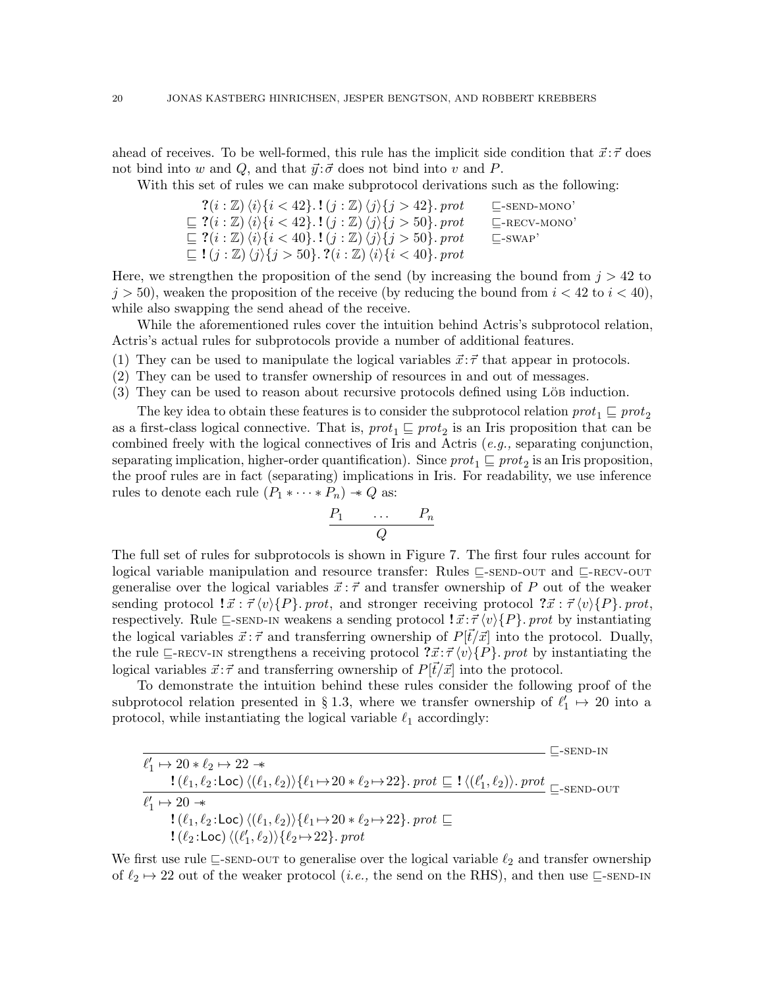ahead of receives. To be well-formed, this rule has the implicit side condition that  $\vec{x}$ :  $\vec{\tau}$  does not bind into w and Q, and that  $\vec{y}$ : $\vec{\sigma}$  does not bind into v and P.

With this set of rules we can make subprotocol derivations such as the following:

| $?$ $(i : \mathbb{Z}) \langle i \rangle \{i < 42\}$ . $!(j : \mathbb{Z}) \langle j \rangle \{j > 42\}$ . prot            | $\mathsf{L}\text{-}\mathrm{SEND}\text{-}\mathrm{MONO}$ |
|--------------------------------------------------------------------------------------------------------------------------|--------------------------------------------------------|
| $\subseteq$ ?(i : Z) $\langle i \rangle$ {i < 42}.! $(j : \mathbb{Z}) \langle j \rangle$ {j > 50}. prot                  | $L$ -RECV-MONO'                                        |
| $\subseteq$ ?(i : Z) $\langle i \rangle$ {i < 40}.! $(j : \mathbb{Z}) \langle j \rangle$ {j > 50}. prot                  | $\Box$ -SWAP'                                          |
| $\subseteq$ ! $(j : \mathbb{Z}) \langle j \rangle \{j > 50\}$ . ? $(i : \mathbb{Z}) \langle i \rangle \{i < 40\}$ . prot |                                                        |

Here, we strengthen the proposition of the send (by increasing the bound from  $j > 42$  to  $j > 50$ , weaken the proposition of the receive (by reducing the bound from  $i < 42$  to  $i < 40$ ), while also swapping the send ahead of the receive.

While the aforementioned rules cover the intuition behind Actris's subprotocol relation, Actris's actual rules for subprotocols provide a number of additional features.

- (1) They can be used to manipulate the logical variables  $\vec{x}$ :  $\vec{\tau}$  that appear in protocols.
- (2) They can be used to transfer ownership of resources in and out of messages.
- $(3)$  They can be used to reason about recursive protocols defined using Löb induction.

The key idea to obtain these features is to consider the subprotocol relation  $prot_1 \sqsubseteq prot_2$ as a first-class logical connective. That is,  $prot_1 \sqsubseteq prot_2$  is an Iris proposition that can be combined freely with the logical connectives of Iris and Actris (e.g., separating conjunction, separating implication, higher-order quantification). Since  $prot_1 \sqsubseteq prot_2$  is an Iris proposition, the proof rules are in fact (separating) implications in Iris. For readability, we use inference rules to denote each rule  $(P_1 * \cdots * P_n) \rightarrow Q$  as:

$$
\begin{array}{ccc}\nP_1 & \dots & P_n \\
\hline\nQ\n\end{array}
$$

The full set of rules for subprotocols is shown in Figure [7.](#page-20-0) The first four rules account for logical variable manipulation and resource transfer: Rules  $\sqsubseteq$ [-send-out](#page-20-1) and  $\sqsubseteq$ [-recv-out](#page-20-2) generalise over the logical variables  $\vec{x}$ :  $\vec{\tau}$  and transfer ownership of P out of the weaker sending protocol  $\vec{x} : \vec{\tau} \langle v \rangle \{P\}$ . prot, and stronger receiving protocol  $\vec{x} : \vec{\tau} \langle v \rangle \{P\}$ . prot, respectively. Rule  $\subseteq$ [-send-in](#page-20-3) weakens a sending protocol  $\colon \vec{x} : \vec{\tau} \langle v \rangle \{P\}$ . prot by instantiating the logical variables  $\vec{x}$ :  $\vec{\tau}$  and transferring ownership of  $P[\vec{t}/\vec{x}]$  into the protocol. Dually, the rule  $\subseteq$ [-recv-in](#page-20-4) strengthens a receiving protocol  $\vec{x}$ :  $\vec{\tau}$   $\langle v \rangle$   $\{P\}$ . prot by instantiating the logical variables  $\vec{x}$ :  $\vec{\tau}$  and transferring ownership of  $P[\vec{t}/\vec{x}]$  into the protocol.

To demonstrate the intuition behind these rules consider the following proof of the subprotocol relation presented in § [1.3,](#page-5-0) where we transfer ownership of  $\ell'_1 \mapsto 20$  into a protocol, while instantiating the logical variable  $\ell_1$  accordingly:

|                                                                                                                            | $\mathsf{L}\text{-}\mathsf{SEND}\text{-}\mathsf{IN}$ |
|----------------------------------------------------------------------------------------------------------------------------|------------------------------------------------------|
| $\ell'_1 \mapsto 20 * \ell_2 \mapsto 22 *$                                                                                 |                                                      |
|                                                                                                                            |                                                      |
| $\ell'_1 \mapsto 20 \rightarrow$                                                                                           |                                                      |
| $!(\ell_1, \ell_2:\text{Loc})\langle(\ell_1, \ell_2)\rangle\{\ell_1 \mapsto 20 * \ell_2 \mapsto 22\}$ . prot $\sqsubseteq$ |                                                      |
| $\left\{(\ell_2:\text{Loc})\left\langle(\ell'_1,\ell_2)\right\rangle\right\}\left\{ \ell_2\mapsto 22\right\}.$ prot        |                                                      |

We first use rule  $\subseteq$ [-send-out](#page-20-1) to generalise over the logical variable  $\ell_2$  and transfer ownership of  $\ell_2 \mapsto 22$  out of the weaker protocol (*i.e.*, the send on the RHS), and then use  $\sqsubseteq$ [-send-in](#page-20-3)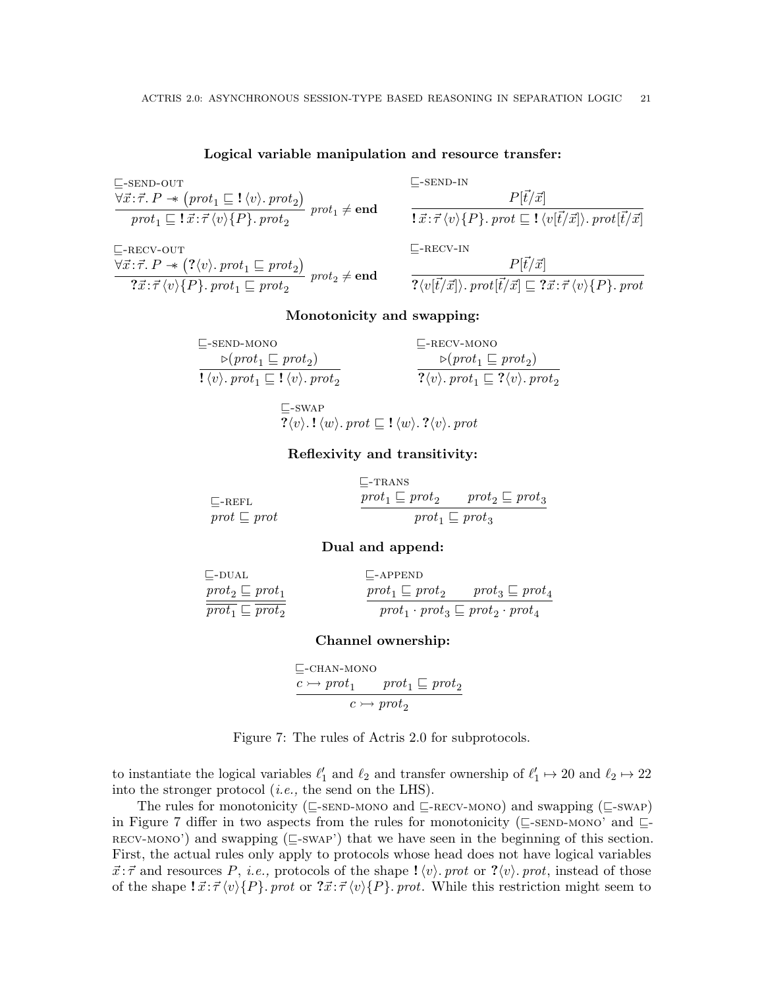### <span id="page-20-1"></span>Logical variable manipulation and resource transfer:

| $\sqsubseteq$ -SEND-OUT                                                                                                                  |  |
|------------------------------------------------------------------------------------------------------------------------------------------|--|
| $\forall \vec{x} : \vec{\tau} \cdot P \rightarrow (prot_1 \sqsubseteq ! \langle v \rangle . \text{prot}_2)$ prot <sub>1</sub> $\neq$ end |  |
| $prot_1 \sqsubseteq \{ \vec{x} : \vec{\tau} \langle v \rangle \{P\} \cdot prot_2 \}$                                                     |  |

<span id="page-20-2"></span> $\Box$ -RECV-OUT  $\forall \vec{x}$ : $\vec{\tau}$ .  $P \rightarrow (\langle v \rangle$ . pro $t_1 \sqsubseteq prot_2)$  $\overbrace{? \vec{x} : \vec{\tau} \langle v \rangle \{P\}.\;prot_1 \sqsubseteq prot_2}^{(v \lor v \lor r \lor v \lor 1 \sqsubseteq prot_2}) \;prot_2 \neq \mathbf{end}$ 

<span id="page-20-3"></span>
$$
\begin{aligned}\n&= \text{send-in} \\
&P[\vec{t}/\vec{x}] \\
&:\vec{x}:\vec{\tau}\langle v\rangle\{P\}.\text{ }prot \sqsubseteq !\langle v[\vec{t}/\vec{x}]\rangle.\text{ }prot[\vec{t}/\vec{x}] \\
&\sqsubseteq \text{-rev-in} \\
\end{aligned}
$$

<span id="page-20-6"></span><span id="page-20-4"></span>
$$
\frac{P[\vec{t}/\vec{x}]}{? \langle v[\vec{t}/\vec{x}] \rangle.\;prot[\vec{t}/\vec{x}]\sqsubseteq ?\vec{x} : \vec{\tau} \, \langle v\rangle \{P\}.\;prot}
$$

## <span id="page-20-5"></span>Monotonicity and swapping:

| $\Box$ -SEND-MONO                                                                                                 | $L$ -RECV-MONO                                                                                    |
|-------------------------------------------------------------------------------------------------------------------|---------------------------------------------------------------------------------------------------|
| $\triangleright$ (prot <sub>1</sub> $\sqsubseteq$ prot <sub>2</sub> )                                             | $\triangleright$ (prot <sub>1</sub> $\sqsubseteq$ prot <sub>2</sub> )                             |
| $\mathbf{l} \langle v \rangle$ . prot <sub>1</sub> $\sqsubseteq \mathbf{l} \langle v \rangle$ . prot <sub>2</sub> | $? \langle v \rangle$ . prot <sub>1</sub> $\sqsubseteq$ ? $\langle v \rangle$ . prot <sub>2</sub> |

<span id="page-20-7"></span> $\sqsubseteq$ -SWAP  $? \langle v \rangle$ .! $\langle w \rangle$ . prot  $\sqsubseteq$ ! $\langle w \rangle$ .? $\langle v \rangle$ . prot

## Reflexivity and transitivity:

<span id="page-20-8"></span>

|                                   | $\mathrel{\Box}$ -TRANS     |                             |
|-----------------------------------|-----------------------------|-----------------------------|
| $\mathsf{L}\text{-}\mathrm{REFL}$ | $prot_1 \sqsubseteq prot_2$ | $prot_2 \sqsubseteq prot_3$ |
| $prot \sqsubseteq prot$           |                             | $prot_1 \sqsubseteq prot_3$ |

#### <span id="page-20-11"></span><span id="page-20-9"></span>Dual and append:

<span id="page-20-10"></span>

| $\sqsubseteq$ -DUAL         | $\Box$ -APPEND                                        |                             |
|-----------------------------|-------------------------------------------------------|-----------------------------|
| $prot_2 \sqsubseteq prot_1$ | $prot_1 \sqsubseteq prot_2$                           | $prot_3 \sqsubseteq prot_4$ |
| $prot_1 \sqsubseteq prot_2$ | $prot_1 \cdot prot_3 \sqsubseteq prot_2 \cdot prot_4$ |                             |

### Channel ownership:

<span id="page-20-0"></span> $\Box$ -CHAN-MONO  $c \rightarrow prot_1 \quad prot_1 \sqsubseteq prot_2$  $\overline{c \rightarrow prot_2}$ 



to instantiate the logical variables  $\ell'_1$  and  $\ell_2$  and transfer ownership of  $\ell'_1 \mapsto 20$  and  $\ell_2 \mapsto 22$ into the stronger protocol (i.e., the send on the LHS).

The rules for monotonicity ( $\subseteq$ [-send-mono](#page-20-5) and  $\subseteq$ [-recv-mono](#page-20-6)) and swapping ( $\subseteq$ [-swap](#page-20-7)) in Figure [7](#page-20-0) differ in two aspects from the rules for monotonicity ( $\subseteq$ [-send-mono'](#page-18-1) and  $\subseteq$  $recv-MONO'$ ) and swapping ( $\sqsubseteq$ [-swap'](#page-18-3)) that we have seen in the beginning of this section. First, the actual rules only apply to protocols whose head does not have logical variables  $\vec{x}$ :  $\vec{\tau}$  and resources P, *i.e.*, protocols of the shape  $\psi$ . prot or ? $\langle v \rangle$ . prot, instead of those of the shape  $\vec{x}$ :  $\vec{\tau} \langle v \rangle \{P\}$ . prot or  $\vec{x}$ :  $\vec{\tau} \langle v \rangle \{P\}$ . prot. While this restriction might seem to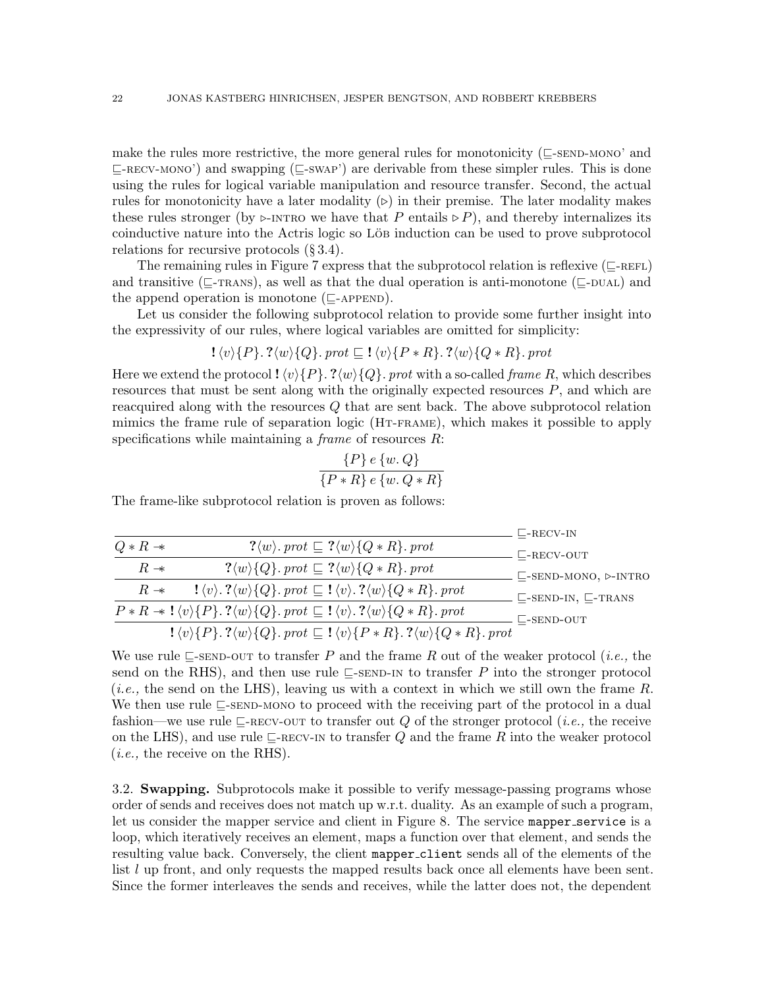make the rules more restrictive, the more general rules for monotonicity ( $\subseteq$ [-send-mono'](#page-18-1) and  $\subseteq$ [-recv-mono'](#page-18-2)) and swapping ( $\subseteq$ [-swap'](#page-18-3)) are derivable from these simpler rules. This is done using the rules for logical variable manipulation and resource transfer. Second, the actual rules for monotonicity have a later modality  $(\triangleright)$  in their premise. The later modality makes these rules stronger (by  $\triangleright$ [-intro](#page-9-8) we have that P entails  $\triangleright$  P), and thereby internalizes its coinductive nature into the Actris logic so Löbe induction can be used to prove subprotocol relations for recursive protocols (§ [3.4\)](#page-24-0).

The remaining rules in Figure [7](#page-20-0) express that the subprotocol relation is reflexive ( $\subseteq$ -REFL) and transitive ( $\subseteq$ -TRANS), as well as that the dual operation is anti-monotone ( $\subseteq$ -DUAL) and the append operation is monotone  $(\sqsubset_{\text{APPEND}})$ .

Let us consider the following subprotocol relation to provide some further insight into the expressivity of our rules, where logical variables are omitted for simplicity:

$$
\mathcal{!}\langle v \rangle \{P\}.\mathcal{?}\langle w \rangle \{Q\}.\text{prot} \sqsubseteq \mathcal{!}\langle v \rangle \{P * R\}.\mathcal{?}\langle w \rangle \{Q * R\}.\text{prot}
$$

Here we extend the protocol !  $\langle v \rangle$  {P}. ? $\langle w \rangle$  {Q}. prot with a so-called frame R, which describes resources that must be sent along with the originally expected resources  $P$ , and which are reacquired along with the resources Q that are sent back. The above subprotocol relation mimics the frame rule of separation logic ([Ht-frame](#page-9-9)), which makes it possible to apply specifications while maintaining a *frame* of resources  $R$ :

$$
\frac{\{P\} e \{w, Q\}}{\{P * R\} e \{w, Q * R\}}
$$

The frame-like subprotocol relation is proven as follows:

|                     |                                                                                                                                                       | $\mathsf{L}\text{-}\mathrm{RECV-IN}$                  |
|---------------------|-------------------------------------------------------------------------------------------------------------------------------------------------------|-------------------------------------------------------|
| $Q * R \rightarrow$ | $? \langle w \rangle$ . prot $\subseteq ? \langle w \rangle \{Q \ast R\}$ . prot                                                                      | $\mathsf{C}\text{-}\mathrm{RECV}\text{-}\mathrm{OUT}$ |
| $R \rightarrow$     | $? \langle w \rangle \{Q\}$ . prot $\subseteq ? \langle w \rangle \{Q \ast R\}$ . prot                                                                | $\sqsubseteq$ -SEND-MONO, $\triangleright$ -INTRO     |
| $R \rightarrow$     | $\{ \langle v \rangle \colon ? \langle w \rangle \} \{ Q \}$ . prot $\subseteq \{ \langle v \rangle \colon ? \langle w \rangle \} \{ Q * R \}$ . prot | $\sqsubseteq$ -SEND-IN, $\sqsubseteq$ -TRANS          |
|                     | $P * R \rightarrow \{\langle v \rangle\{P\}.\ ?\langle w \rangle\{Q\}.\ prot \sqsubseteq !\langle v \rangle.\ ?\langle w \rangle\{Q * R\}.\ prot$     | $\Box$ -SEND-OUT                                      |
|                     | $! \langle v \rangle \{P\}$ . $? \langle w \rangle \{Q\}$ . prot $\subseteq ! \langle v \rangle \{P * R\}$ . $? \langle w \rangle \{Q * R\}$ . prot   |                                                       |

We use rule  $\Box$ [-send-out](#page-20-1) to transfer P and the frame R out of the weaker protocol (*i.e.*, the send on the RHS), and then use rule  $\subseteq$ [-send-in](#page-20-3) to transfer P into the stronger protocol (*i.e.*, the send on the LHS), leaving us with a context in which we still own the frame  $R$ . We then use rule  $\subseteq$ [-send-mono](#page-20-5) to proceed with the receiving part of the protocol in a dual fashion—we use rule  $\sqsubseteq$ -RECV-OUT to transfer out Q of the stronger protocol (*i.e.*, the receive on the LHS), and use rule  $\sqsubseteq$ [-recv-in](#page-20-4) to transfer Q and the frame R into the weaker protocol (i.e., the receive on the RHS).

<span id="page-21-0"></span>3.2. Swapping. Subprotocols make it possible to verify message-passing programs whose order of sends and receives does not match up w.r.t. duality. As an example of such a program, let us consider the mapper service and client in Figure [8.](#page-22-0) The service mapper service is a loop, which iteratively receives an element, maps a function over that element, and sends the resulting value back. Conversely, the client mapper client sends all of the elements of the list l up front, and only requests the mapped results back once all elements have been sent. Since the former interleaves the sends and receives, while the latter does not, the dependent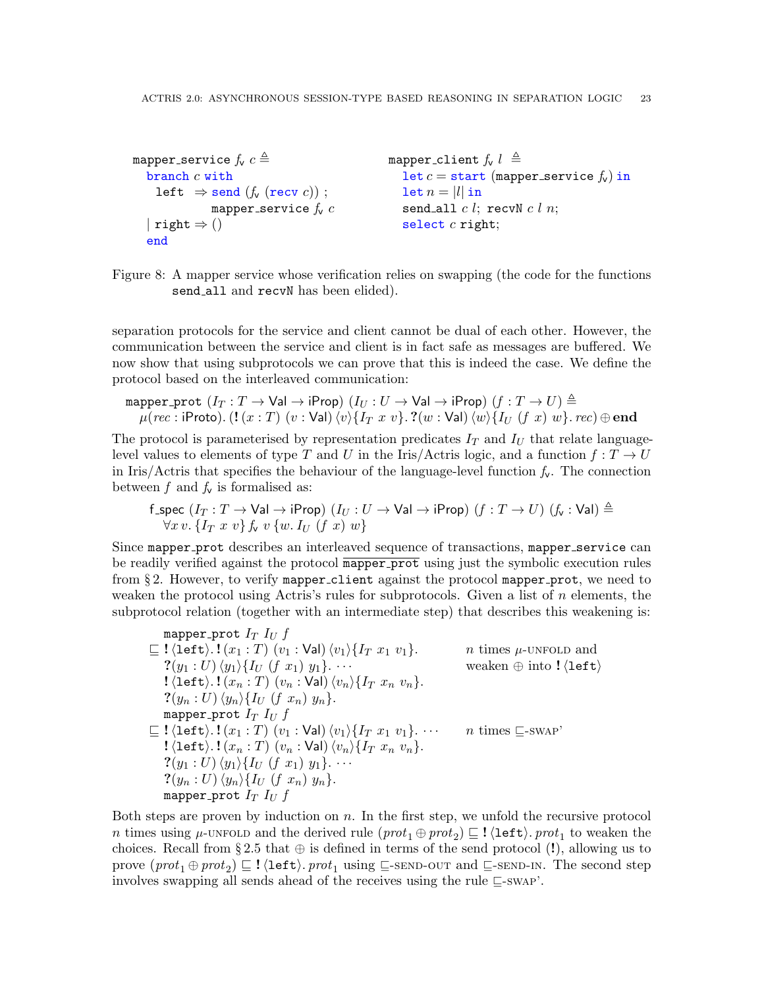```
mapper service f_v c \triangleqbranch c with
    left \Rightarrow send (f_v (recv c));
              mapper service f_v c| right \Rightarrow ()
  end
                                                mapper_client f_v l \triangleqlet c = start (mapper_service f_v) in
                                                   let n = |l| in
                                                   send_all c l; recvN c l n;
                                                   select c right;
```
<span id="page-22-0"></span>Figure 8: A mapper service whose verification relies on swapping (the code for the functions send\_all and recvN has been elided).

separation protocols for the service and client cannot be dual of each other. However, the communication between the service and client is in fact safe as messages are buffered. We now show that using subprotocols we can prove that this is indeed the case. We define the protocol based on the interleaved communication:

mapper\_prot  $(I_T : T \to \text{Val} \to \text{iProp})$   $(I_U : U \to \text{Val} \to \text{iProp})$   $(f : T \to U) \triangleq$  $\mu(rec: \mathsf{iProb}()$ .  $(\mathbf{l}(x : T) (v : \mathsf{Val}) \langle v \rangle \{I_T x v\}$ . ? $(w : \mathsf{Val}) \langle w \rangle \{I_U (f x) w\}$ . rec)  $\oplus$  end

The protocol is parameterised by representation predicates  $I_T$  and  $I_U$  that relate languagelevel values to elements of type T and U in the Iris/Actris logic, and a function  $f: T \to U$ in Iris/Actris that specifies the behaviour of the language-level function  $f_v$ . The connection between f and  $f_v$  is formalised as:

$$
\begin{array}{l} \text{f\_spec}(I_T: T \to \text{Val} \to \text{iProp}) \ (I_U: U \to \text{Val} \to \text{iProp}) \ (f: T \to U) \ (f_\mathsf{v}: \text{Val}) \triangleq \\ \forall x \, v. \ \{I_T \ x \ v \} \, f_\mathsf{v} \ v \ \{w.\ I_U \ (f \ x) \ w \} \end{array}
$$

Since mapper prot describes an interleaved sequence of transactions, mapper service can be readily verified against the protocol mapper prot using just the symbolic execution rules from  $\S 2$ . However, to verify mapper client against the protocol mapper prot, we need to weaken the protocol using Actris's rules for subprotocols. Given a list of  $n$  elements, the subprotocol relation (together with an intermediate step) that describes this weakening is:

mapper-prot 
$$
I_T I_U f
$$
  
\n
$$
\subseteq !\langle \text{left}\rangle .!(x_1:T) (v_1:\text{Val}) \langle v_1\rangle \{I_T x_1 v_1\}.
$$
 *n* times  $\mu$ -UNFOLD and  
\n
$$
?(y_1:U) \langle y_1\rangle \{I_U (f x_1) y_1\}...
$$
 *n* times  $\mu$ -UNFOLD and  
\nweaken  $\oplus$  into  $!(\text{left})$   
\n
$$
!(\text{left}\rangle .!(x_n:T) (v_n:\text{Val}) \langle v_n\rangle \{I_T x_n v_n\}.
$$
  
\n
$$
?(y_n:U) \langle y_n\rangle \{I_U (f x_n) y_n\}.
$$
  
\n
$$
?([\text{left}\rangle .!(x_1:T) (v_1:\text{Val}) \langle v_1\rangle \{I_T x_1 v_1\} ...
$$
 *n* times  $\sqsubseteq$ -swap'  
\n
$$
!(\text{left}\rangle .!(x_n:T) (v_n:\text{Val}) \langle v_n\rangle \{I_T x_n v_n\}.
$$
  
\n
$$
?(y_1:U) \langle y_1\rangle \{I_U (f x_1) y_1\} ...
$$
  
\n
$$
?(y_n:U) \langle y_n\rangle \{I_U (f x_n) y_n\}.
$$
  
\n
$$
?m = \text{maxper-prot } I_T I_U f
$$

Both steps are proven by induction on  $n$ . In the first step, we unfold the recursive protocol n times using  $\mu$ [-unfold](#page-9-1) and the derived rule  $(\text{prot}_1 \oplus \text{prot}_2) \sqsubseteq ! \langle \texttt{left} \rangle$ .  $\text{prot}_1$  to weaken the choices. Recall from §[2.5](#page-13-3) that  $\oplus$  is defined in terms of the send protocol (!), allowing us to prove  $(\text{prot}_1 \oplus \text{prot}_2) \sqsubseteq ! \langle \text{left} \rangle \ldotp \text{prot}_1 \text{ using } \sqsubseteq \text{-sem}$ -out and  $\sqsubseteq \text{-sem}$ -N. The second step involves swapping all sends ahead of the receives using the rule  $\sqsubseteq$ [-swap'](#page-18-3).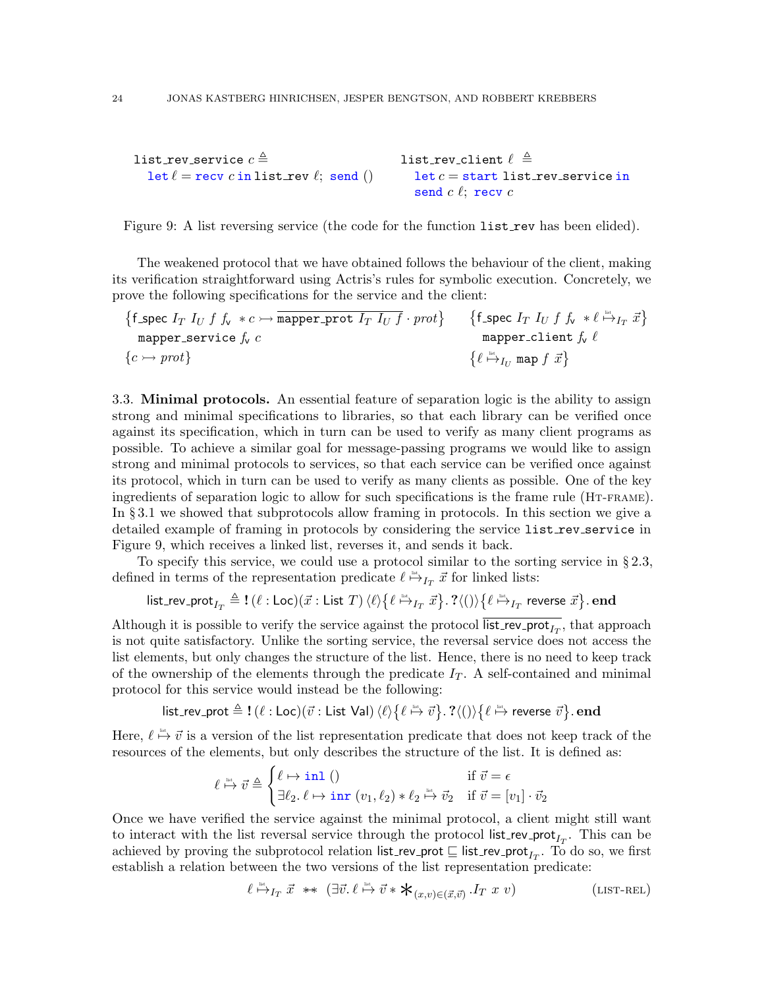```
list_rev_service c \triangleqlet \ell = recv c in list rev \ell; send ()
                                                   list_rev_client \ell \triangleqlet c = start list\_rev\_service insend c \ell; recv c
```
<span id="page-23-1"></span>Figure 9: A list reversing service (the code for the function list rev has been elided).

The weakened protocol that we have obtained follows the behaviour of the client, making its verification straightforward using Actris's rules for symbolic execution. Concretely, we prove the following specifications for the service and the client:

$$
\begin{array}{ll}\n\{\text{f\_spec } I_T \ I_U \ f \ f_v \ *\ c \rightarrow \text{mapper\_prot } I_T \ I_U \ f \cdot \text{prot}\} & \{\text{f\_spec } I_T \ I_U \ f \ f_v \ *\ \ell \stackrel{\text{int}}{\mapsto} I_T \ \vec{x}\} \\
\text{mapper\_stervice } f_v \ c \\
\{c \rightarrow \text{prot}\} & \{\ell \stackrel{\text{int}}{\mapsto} I_U \ \text{map } f \ \vec{x}\}\n\end{array}
$$

<span id="page-23-0"></span>3.3. Minimal protocols. An essential feature of separation logic is the ability to assign strong and minimal specifications to libraries, so that each library can be verified once against its specification, which in turn can be used to verify as many client programs as possible. To achieve a similar goal for message-passing programs we would like to assign strong and minimal protocols to services, so that each service can be verified once against its protocol, which in turn can be used to verify as many clients as possible. One of the key ingredients of separation logic to allow for such specifications is the frame rule ([Ht-frame](#page-9-9)). In § [3.1](#page-18-0) we showed that subprotocols allow framing in protocols. In this section we give a detailed example of framing in protocols by considering the service list rev service in Figure [9,](#page-23-1) which receives a linked list, reverses it, and sends it back.

To specify this service, we could use a protocol similar to the sorting service in § [2.3,](#page-11-0) defined in terms of the representation predicate  $\ell \stackrel{\text{def}}{\mapsto} I_T \vec{x}$  for linked lists:

$$
\mathsf{list\_rev\_prot}_{I_T} \triangleq \mathbf{!}\ (\ell:\mathsf{Loc})(\vec{x}:\mathsf{List}\ T)\ \langle \ell \rangle \big\{\ell \stackrel{\text{\tiny{def}}}{\mapsto}_{I_T} \vec{x}\big\}.\ \mathsf{?}\langle ()\rangle \big\{\ell \stackrel{\text{\tiny{def}}}{\mapsto}_{I_T} \mathsf{reverse}\ \vec{x}\big\}.\ \mathbf{end}
$$

Although it is possible to verify the service against the protocol list\_rev\_prot<sub> $I_T$ </sub>, that approach is not quite satisfactory. Unlike the sorting service, the reversal service does not access the list elements, but only changes the structure of the list. Hence, there is no need to keep track of the ownership of the elements through the predicate  $I_T$ . A self-contained and minimal protocol for this service would instead be the following:

 ${\sf list\_rev\_prot} \triangleq {\sf !\ } (\ell : {\sf Loc})(\vec v : {\sf List~Val}) \: \langle \ell \rangle \big\{ \ell \stackrel{\scriptscriptstyle{\sf list}}{\mapsto} \vec v \big\} . \; ? \langle () \rangle \big\{ \ell \stackrel{\scriptscriptstyle{\sf list}}{\mapsto} {\sf reverse} \; \vec v \big\} . \; {\bf end}$ 

Here,  $\ell \stackrel{\text{def}}{\mapsto} \vec{v}$  is a version of the list representation predicate that does not keep track of the resources of the elements, but only describes the structure of the list. It is defined as:

$$
\ell \stackrel{\text{\tiny{def}}}{\mapsto} \vec{v} \triangleq \begin{cases} \ell \mapsto \text{\rm{inl}} \ () & \text{\rm{if}} \ \vec{v} = \epsilon \\ \exists \ell_2, \ell \mapsto \text{\rm{inr}} \ (v_1, \ell_2) * \ell_2 \stackrel{\text{\tiny{def}}}{\mapsto} \vec{v}_2 & \text{\rm{if}} \ \vec{v} = [v_1] \cdot \vec{v}_2 \end{cases}
$$

Once we have verified the service against the minimal protocol, a client might still want to interact with the list reversal service through the protocol list\_rev\_prot<sub>I<sub>T</sub></sub>. This can be achieved by proving the subprotocol relation list\_rev\_prot  $\sqsubseteq$  list\_rev\_prot<sub>IT</sub>. To do so, we first establish a relation between the two versions of the list representation predicate:

<span id="page-23-2"></span>
$$
\ell \stackrel{\text{dist}}{\mapsto} I_T \ \vec{x} \ \ast \ast \ \left( \exists \vec{v} \ldotp \ell \stackrel{\text{dist}}{\mapsto} \vec{v} \ast \bigstar_{(x,v) \in (\vec{x},\vec{v})} I_T \ x \ v \right) \tag{LIST-REL}
$$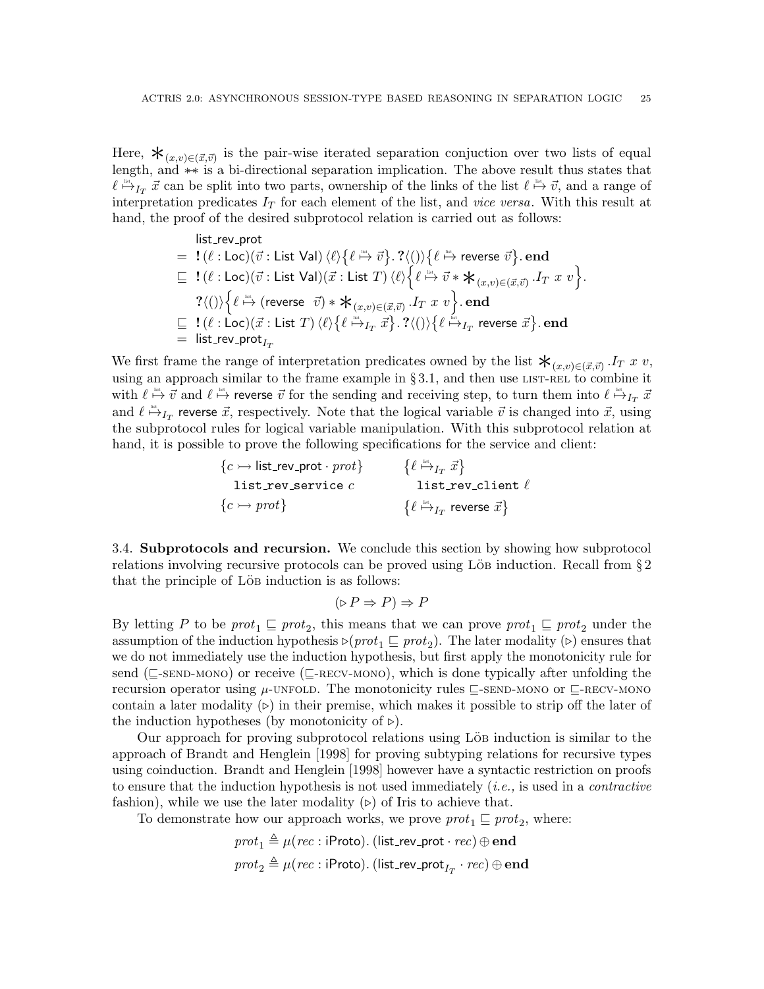Here,  $\mathbf{\dot{X}}_{(x,v)\in(\vec{x},\vec{v})}$  is the pair-wise iterated separation conjuction over two lists of equal length, and ∗−∗ is a bi-directional separation implication. The above result thus states that  $\ell \stackrel{\text{list}}{\mapsto} I_T \vec{x}$  can be split into two parts, ownership of the links of the list  $\ell \stackrel{\text{list}}{\mapsto} \vec{v}$ , and a range of interpretation predicates  $I_T$  for each element of the list, and *vice versa*. With this result at hand, the proof of the desired subprotocol relation is carried out as follows:

$$
\begin{array}{rl} & \text{list\_rev\_prot} \\ = & \text{!} \ (\ell : \text{Loc})(\vec{v} : \text{List Val}) \ \langle \ell \rangle \big\{ \ell \stackrel{\text{\tiny{int}}}{\mapsto} \vec{v} \big\} . \ ? \langle () \rangle \big\{ \ell \stackrel{\text{\tiny{int}}}{\mapsto} \text{reverse $\vec{v}$} \big\} . \ \textbf{end} \\ \sqsubseteq & \text{!} \ (\ell : \text{Loc})(\vec{v} : \text{List Val}) (\vec{x} : \text{List $T$}) \ \langle \ell \rangle \Big\{ \ell \stackrel{\text{\tiny{int}}}{\mapsto} \vec{v} * \bigstar_{(x,v) \in (\vec{x},\vec{v})} . I_T \ x \ v \Big\} . \\ & \text{?} \langle () \big\{ \ell \stackrel{\text{\tiny{int}}}{\mapsto} (\text{reverse $\vec{v}$}) * \bigstar_{(x,v) \in (\vec{x},\vec{v})} . I_T \ x \ v \Big\} . \ \textbf{end} \\ \sqsubseteq & \text{!} \ (\ell : \text{Loc})(\vec{x} : \text{List $T$}) \ \langle \ell \rangle \big\{ \ell \stackrel{\text{\tiny{int}}}{\mapsto}_{I_T} \vec{x} \big\} . \ ? \langle () \big\rangle \big\{ \ell \stackrel{\text{\tiny{int}}}{\mapsto}_{I_T} \ \text{reverse $\vec{x}$} \big\} . \ \textbf{end} \\ = & \text{list\_rev\_prot}_{I_T} \end{array}
$$

We first frame the range of interpretation predicates owned by the list  $\mathcal{F}_{(x,v)\in (\vec{x},\vec{v})}$ . IT x v, using an approach similar to the frame example in  $\S 3.1$ , and then use LIST-REL to combine it with  $\ell \overset{\text{list}}{\mapsto} \vec{v}$  and  $\ell \overset{\text{list}}{\mapsto}$  reverse  $\vec{v}$  for the sending and receiving step, to turn them into  $\ell \overset{\text{list}}{\mapsto} _{I_T} \vec{x}$ and  $\ell \stackrel{\text{def}}{\mapsto}_{I_T}$  reverse  $\vec{x}$ , respectively. Note that the logical variable  $\vec{v}$  is changed into  $\vec{x}$ , using the subprotocol rules for logical variable manipulation. With this subprotocol relation at hand, it is possible to prove the following specifications for the service and client:

> ${c \rightarrow \text{list\_rev\_prot} \cdot \text{prot}}$ list\_rev\_service  $c$  $\{c \rightarrow \text{prot}\}\$  $\left\{\ell \stackrel{\mbox{\tiny\rm{list}}}{\mapsto}_{I_T} \vec{x}\right\}$ list\_rev\_client  $\ell$  $\{ \ell \stackrel{\text{\tiny{list}}}{\mapsto} _{I_T}$  reverse  $\vec{x} \}$

<span id="page-24-0"></span>3.4. Subprotocols and recursion. We conclude this section by showing how subprotocol relations involving recursive protocols can be proved using Löb induction. Recall from  $\S 2$  $\S 2$ that the principle of Löbe induction is as follows:

$$
(\triangleright P \Rightarrow P) \Rightarrow P
$$

By letting P to be  $prot_1 \sqsubseteq prot_2$ , this means that we can prove  $prot_1 \sqsubseteq prot_2$  under the assumption of the induction hypothesis  $\triangleright(prot_1 \sqsubseteq prot_2)$ . The later modality ( $\triangleright$ ) ensures that we do not immediately use the induction hypothesis, but first apply the monotonicity rule for send ( $\subseteq$ [-send-mono](#page-20-5)) or receive ( $\subseteq$ [-recv-mono](#page-20-6)), which is done typically after unfolding the recursion operator using  $\mu$ -UNFOLD. The monotonicity rules  $\sqsubseteq$ -SEND-MONO or  $\sqsubseteq$ -RECV-MONO contain a later modality  $(\triangleright)$  in their premise, which makes it possible to strip off the later of the induction hypotheses (by monotonicity of  $\triangleright$ ).

Our approach for proving subprotocol relations using Löb induction is similar to the approach of [Brandt and Henglein](#page-52-4) [\[1998\]](#page-52-4) for proving subtyping relations for recursive types using coinduction. [Brandt and Henglein](#page-52-4) [\[1998\]](#page-52-4) however have a syntactic restriction on proofs to ensure that the induction hypothesis is not used immediately  $(i.e.,$  is used in a *contractive* fashion), while we use the later modality  $(\triangleright)$  of Iris to achieve that.

To demonstrate how our approach works, we prove  $prot_1 \sqsubseteq prot_2$ , where:

$$
prot_1 \triangleq \mu (rec: \text{iProb}).\text{ (list\_rev\_prot } \cdot rec) \oplus \textbf{end}\\ prot_2 \triangleq \mu (rec: \text{iProb}).\text{ (list\_rev\_prot}_{I_T} \cdot rec) \oplus \textbf{end}
$$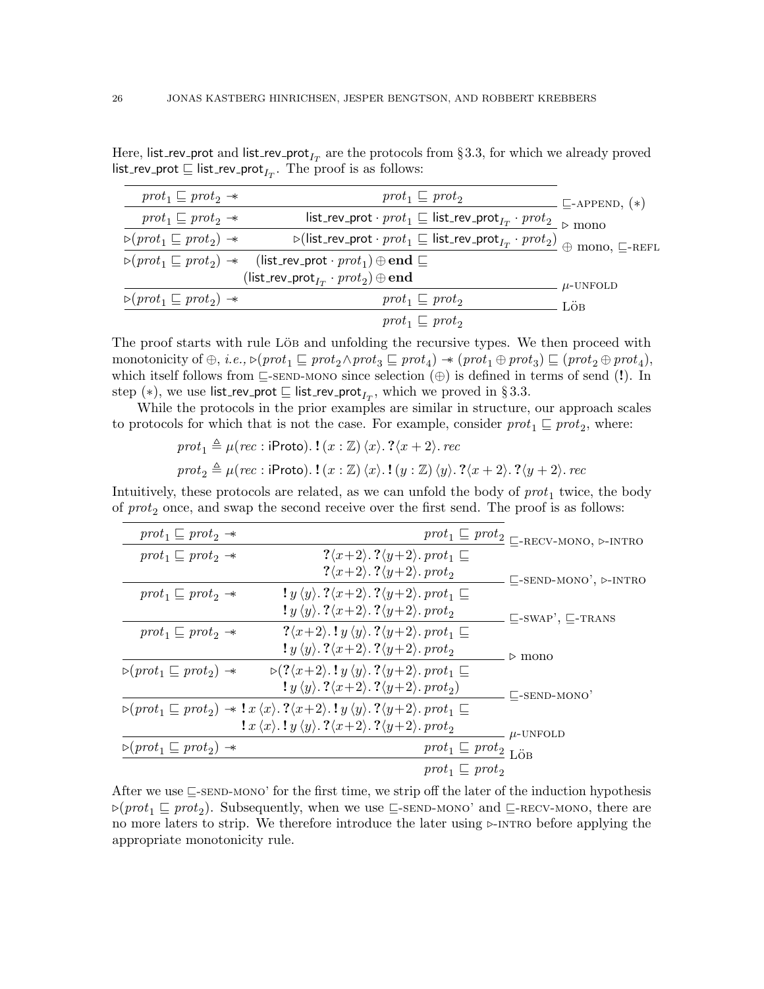Here, list\_rev\_prot and list\_rev\_prot $_{I_T}$  are the protocols from §[3.3,](#page-23-0) for which we already proved list\_rev\_prot  $\sqsubseteq$  list\_rev\_prot $_{I_T}.$  The proof is as follows:

| $prot_1 \sqsubseteq prot_2 \rightarrow$                                             | $prot_1 \sqsubseteq prot_2$                                                                                                                                | $\subseteq$ -APPEND, $(*)$ |
|-------------------------------------------------------------------------------------|------------------------------------------------------------------------------------------------------------------------------------------------------------|----------------------------|
| $prot_1 \sqsubseteq prot_2 \rightarrow$                                             | list_rev_prot $\cdot$ prot <sub>1</sub> $\sqsubseteq$ list_rev_prot <sub>I<sub>T</sub></sub> $\cdot$ prot <sub>2</sub> $\geq$ mono                         |                            |
| $\triangleright$ (prot <sub>1</sub> $\sqsubseteq$ prot <sub>2</sub> ) $\rightarrow$ | $\overline{\triangleright}$ (list_rev_prot · $prot_1 \sqsubseteq$ list_rev_prot <sub><math>I_T</math></sub> · $prot_2)$ $\oplus$ mono, $\sqsubseteq$ -REFL |                            |
|                                                                                     | $\triangleright(prot_1 \sqsubseteq prot_2) \rightarrow$ (list_rev_prot · prot <sub>1</sub> ) $\oplus$ end $\sqsubseteq$                                    |                            |
|                                                                                     | $(\textsf{list\_rev\_prot}_{I_T} \cdot \textit{prot}_2) \oplus \textbf{end}$                                                                               | $\mu$ -UNFOLD              |
| $\triangleright$ (prot <sub>1</sub> $\sqsubseteq$ prot <sub>2</sub> ) $\rightarrow$ | $prot_1 \sqsubseteq prot_2$                                                                                                                                | LÖB                        |
|                                                                                     | $prot_1 \sqsubseteq prot_2$                                                                                                                                |                            |

The proof starts with rule Löb and unfolding the recursive types. We then proceed with monotonicity of  $\oplus$ , *i.e.*,  $\triangleright(prot_1 \sqsubseteq prot_2 \wedge prot_3 \sqsubseteq prot_4) \rightarrow (prot_1 \oplus prot_3) \sqsubseteq (prot_2 \oplus prot_4)$ , which itself follows from  $\subseteq$ [-send-mono](#page-20-5) since selection  $(\oplus)$  is defined in terms of send (!). In step  $(*)$ , we use list\_rev\_prot  $\sqsubseteq$  list\_rev\_prot<sub>IT</sub>, which we proved in §[3.3.](#page-23-0)

While the protocols in the prior examples are similar in structure, our approach scales to protocols for which that is not the case. For example, consider  $prot_1 \sqsubseteq prot_2$ , where:

$$
prot_1 \triangleq \mu (rec : \text{iProto}). \cdot \{ (x : \mathbb{Z}) \langle x \rangle \cdot ? \langle x + 2 \rangle \cdot rec
$$

$$
prot_2 \triangleq \mu (rec : \text{iProto}). \cdot \{ (x : \mathbb{Z}) \langle x \rangle \cdot ? \langle y : \mathbb{Z} \rangle \langle y \rangle \cdot ? \langle x + 2 \rangle \cdot ? \langle y + 2 \rangle \cdot rec
$$

Intuitively, these protocols are related, as we can unfold the body of  $prot_1$  twice, the body of  $prot_2$  once, and swap the second receive over the first send. The proof is as follows:

| $prot_1 \sqsubseteq prot_2 \rightarrow$                                             |                                                                                                                                                                                                                                        |                                            |                                                    |
|-------------------------------------------------------------------------------------|----------------------------------------------------------------------------------------------------------------------------------------------------------------------------------------------------------------------------------------|--------------------------------------------|----------------------------------------------------|
| $prot_1 \sqsubseteq prot_2 \rightarrow$                                             | $? \langle x+2 \rangle$ . $? \langle y+2 \rangle$ . prot <sub>1</sub> $\sqsubseteq$                                                                                                                                                    |                                            |                                                    |
|                                                                                     | $\langle x+2\rangle$ . $\langle y+2\rangle$ . prot <sub>2</sub>                                                                                                                                                                        |                                            | $\sqsubseteq$ -SEND-MONO', $\triangleright$ -INTRO |
| $prot_1 \sqsubseteq prot_2 \rightarrow$                                             | $\{y \langle y \rangle \cdot \mathcal{X} \langle x+2 \rangle \cdot \mathcal{X} \langle y+2 \rangle \cdot \text{prot}_1 \sqsubseteq$                                                                                                    |                                            |                                                    |
|                                                                                     | $\langle y \rangle \langle y \rangle$ , $\langle x+2 \rangle$ , $\langle y+2 \rangle$ , prot <sub>2</sub>                                                                                                                              |                                            | $\sqsubseteq$ -SWAP', $\sqsubseteq$ -TRANS         |
| $prot_1 \sqsubseteq prot_2 \rightarrow$                                             | $? \langle x+2 \rangle$ .! $y \langle y \rangle$ .? $\langle y+2 \rangle$ . prot <sub>1</sub> $\sqsubseteq$                                                                                                                            |                                            |                                                    |
|                                                                                     | $\langle y \rangle \langle y \rangle$ . $\langle x+2 \rangle$ . $\langle y+2 \rangle$ . prot <sub>2</sub>                                                                                                                              |                                            | $\triangleright$ mono                              |
| $\triangleright$ (prot <sub>1</sub> $\sqsubseteq$ prot <sub>2</sub> ) $\rightarrow$ | $\triangleright$ (? $\langle x+2 \rangle$ .! $y \langle y \rangle$ .? $\langle y+2 \rangle$ . prot <sub>1</sub> $\sqsubseteq$                                                                                                          |                                            |                                                    |
|                                                                                     | $\langle y \rangle \langle y \rangle$ , $\langle x+2 \rangle$ , $\langle y+2 \rangle$ , prot <sub>2</sub> )                                                                                                                            |                                            | $\Box$ -SEND-MONO'                                 |
|                                                                                     | $\triangleright$ $(\text{prot}_1 \sqsubseteq \text{prot}_2) \rightarrow \mathbf{l} \times \langle x \rangle$ . $? \langle x+2 \rangle$ . $\mathbf{l} \times \langle y \rangle$ . $? \langle y+2 \rangle$ . $\text{prot}_1 \sqsubseteq$ |                                            |                                                    |
|                                                                                     | $\{x \langle x \rangle \cdot \} y \langle y \rangle \cdot \frac{2}{x+2} \cdot \frac{2}{y+2} \cdot \text{prot}_2$                                                                                                                       |                                            | $\mu$ -UNFOLD                                      |
| $\triangleright$ (prot <sub>1</sub> $\sqsubseteq$ prot <sub>2</sub> ) $\rightarrow$ |                                                                                                                                                                                                                                        | $prot_1 \sqsubseteq prot_2$ <sub>LÖB</sub> |                                                    |
|                                                                                     |                                                                                                                                                                                                                                        | $prot_1 \sqsubseteq prot_2$                |                                                    |
|                                                                                     |                                                                                                                                                                                                                                        |                                            |                                                    |

After we use  $\subseteq$ [-send-mono'](#page-18-1) for the first time, we strip off the later of the induction hypothesis  $\triangleright(prot_1 \sqsubseteq prot_2)$ . Subsequently, when we use  $\sqsubseteq$ [-send-mono'](#page-18-1) and  $\sqsubseteq$ [-recv-mono](#page-20-6), there are no more laters to strip. We therefore introduce the later using  $\triangleright$ -INTRO before applying the appropriate monotonicity rule.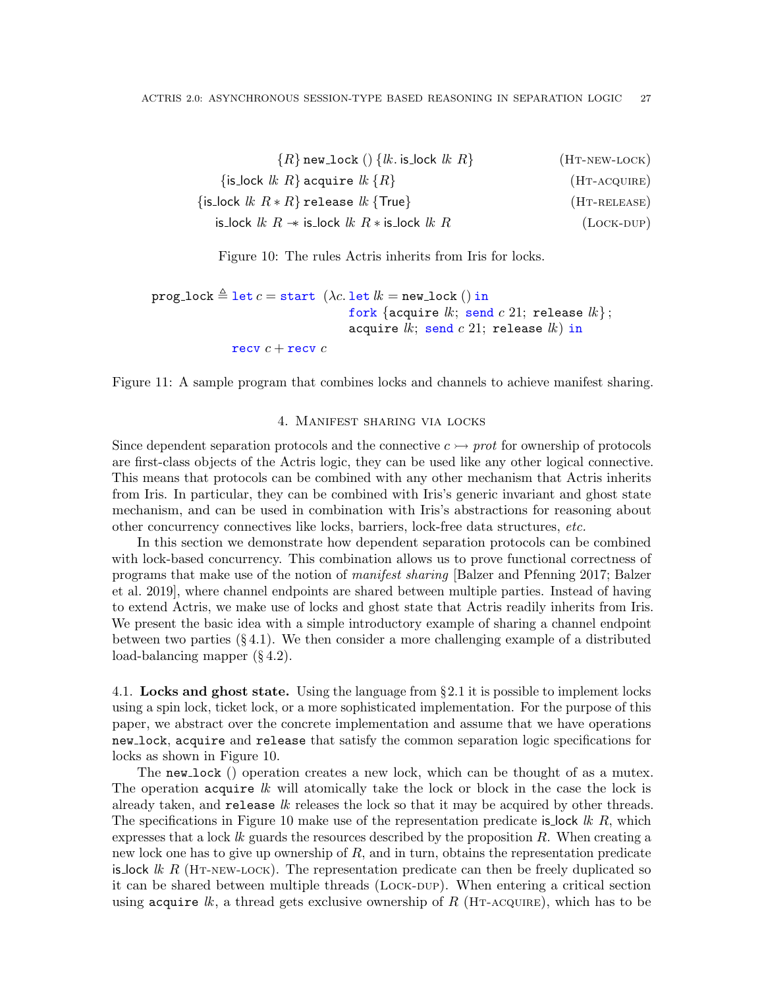| $\{R\}$ new_lock () $\{lk$ is lock $lk$ $R\}$                      | $(HT-NEW-LOCK)$  |
|--------------------------------------------------------------------|------------------|
| $\{$ is_lock $lk R\}$ acquire $lk \{R\}$                           | $(HT-ACQUIRE)$   |
| $\{\textsf{is-lock }lk \ R * R\}$ release $lk \ \{\textsf{True}\}$ | $(HT-RELEASE)$   |
| is_lock $lk R \rightarrow$ is_lock $lk R *$ is_lock $lk R$         | $(L$ OCK-DUP $)$ |

<span id="page-26-6"></span><span id="page-26-5"></span><span id="page-26-4"></span><span id="page-26-3"></span><span id="page-26-2"></span>Figure 10: The rules Actris inherits from Iris for locks.

prog lock  $\triangleq$  let  $c =$  start  $(\lambda c.$  let  $lk =$  new lock  $()$  in fork {acquire  $lk$ ; send  $c$  21; release  $lk$ }; acquire  $lk$ ; send  $c$  21; release  $lk$ ) in recv  $c$  + recv  $c$ 

<span id="page-26-7"></span>Figure 11: A sample program that combines locks and channels to achieve manifest sharing.

#### 4. Manifest sharing via locks

<span id="page-26-0"></span>Since dependent separation protocols and the connective  $c \rightarrow$  prot for ownership of protocols are first-class objects of the Actris logic, they can be used like any other logical connective. This means that protocols can be combined with any other mechanism that Actris inherits from Iris. In particular, they can be combined with Iris's generic invariant and ghost state mechanism, and can be used in combination with Iris's abstractions for reasoning about other concurrency connectives like locks, barriers, lock-free data structures, etc.

In this section we demonstrate how dependent separation protocols can be combined with lock-based concurrency. This combination allows us to prove functional correctness of programs that make use of the notion of manifest sharing [\[Balzer and Pfenning 2017;](#page-52-7) [Balzer](#page-52-8) [et al.](#page-52-8) [2019\]](#page-52-8), where channel endpoints are shared between multiple parties. Instead of having to extend Actris, we make use of locks and ghost state that Actris readily inherits from Iris. We present the basic idea with a simple introductory example of sharing a channel endpoint between two parties  $(\S 4.1)$  $(\S 4.1)$ . We then consider a more challenging example of a distributed load-balancing mapper (§ [4.2\)](#page-28-0).

<span id="page-26-1"></span>4.1. Locks and ghost state. Using the language from §[2.1](#page-8-1) it is possible to implement locks using a spin lock, ticket lock, or a more sophisticated implementation. For the purpose of this paper, we abstract over the concrete implementation and assume that we have operations new lock, acquire and release that satisfy the common separation logic specifications for locks as shown in Figure [10.](#page-26-2)

The new lock () operation creates a new lock, which can be thought of as a mutex. The operation acquire  $lk$  will atomically take the lock or block in the case the lock is already taken, and release  $lk$  releases the lock so that it may be acquired by other threads. The specifications in Figure [10](#page-26-2) make use of the representation predicate is lock lk R, which expresses that a lock  $lk$  guards the resources described by the proposition  $R$ . When creating a new lock one has to give up ownership of  $R$ , and in turn, obtains the representation predicate is lock lk R (HT-NEW-LOCK). The representation predicate can then be freely duplicated so it can be shared between multiple threads (Lock-DUP). When entering a critical section using acquire lk, a thread gets exclusive ownership of R (HT-ACQUIRE), which has to be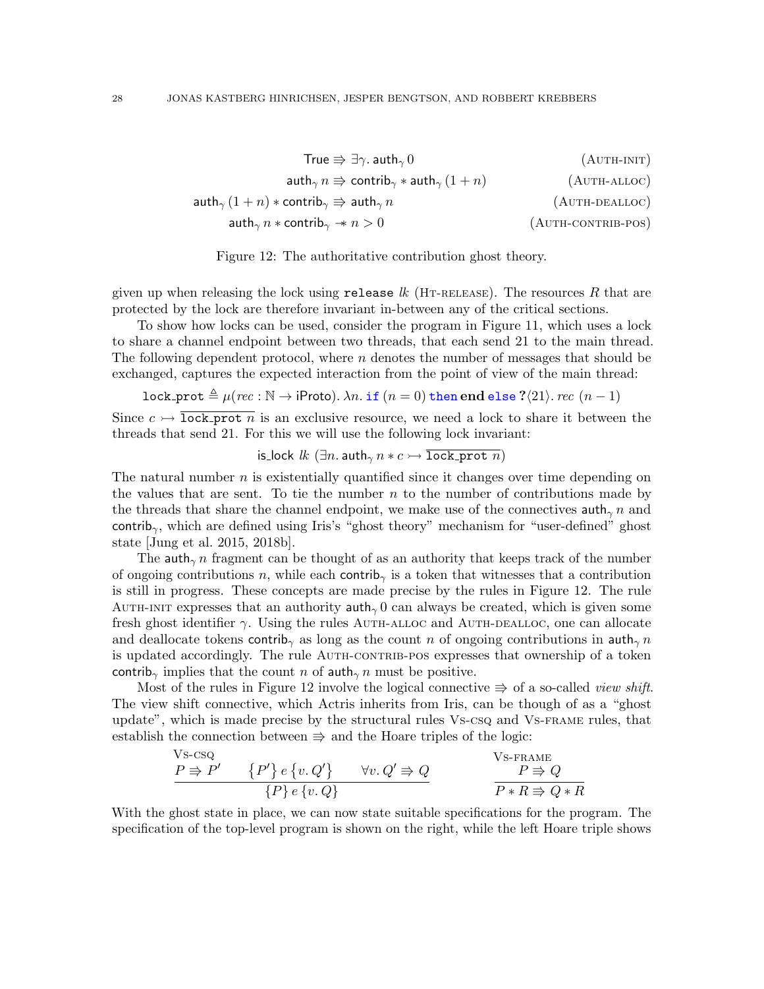<span id="page-27-2"></span><span id="page-27-1"></span>
$$
\text{True} \Rrightarrow \exists \gamma \text{. } \text{auth}_{\gamma} \, 0 \tag{AUTH-INIT}
$$
\n
$$
\text{auth}_{\gamma} \, n \Rrightarrow \text{contrib}_{\gamma} * \text{auth}_{\gamma} \, (1 + n) \tag{AUTH-ALLOC}
$$
\n
$$
\text{auth}_{\gamma} \, (1 + n) * \text{contrib}_{\gamma} \Rrightarrow \text{auth}_{\gamma} \, n
$$
\n
$$
\text{auth}_{\gamma} \, n * \text{contrib}_{\gamma} \Rightarrow n > 0 \tag{AUTH-ONTRB-POS}
$$

<span id="page-27-4"></span><span id="page-27-3"></span><span id="page-27-0"></span>

given up when releasing the lock using release  $lk$  (HT-RELEASE). The resources R that are protected by the lock are therefore invariant in-between any of the critical sections.

To show how locks can be used, consider the program in Figure [11,](#page-26-7) which uses a lock to share a channel endpoint between two threads, that each send 21 to the main thread. The following dependent protocol, where  $n$  denotes the number of messages that should be exchanged, captures the expected interaction from the point of view of the main thread:

lock prot  $\triangleq \mu(rec : \mathbb{N} \to \text{iProb}).$   $\lambda n.$  if  $(n = 0)$  then end else ? $\langle 21 \rangle$ . rec  $(n - 1)$ 

Since  $c \rightarrow \overline{\text{lock}}$  prot n is an exclusive resource, we need a lock to share it between the threads that send 21. For this we will use the following lock invariant:

is lock 
$$
lk
$$
 ( $\exists n$ .  $\text{auth}_{\gamma} n * c \rightarrow \text{lock\_prot } n$ )

The natural number  $n$  is existentially quantified since it changes over time depending on the values that are sent. To tie the number  $n$  to the number of contributions made by the threads that share the channel endpoint, we make use of the connectives  $\text{auth}_{\gamma} n$  and contrib<sub>γ</sub>, which are defined using Iris's "ghost theory" mechanism for "user-defined" ghost state [\[Jung et al. 2015,](#page-53-1) [2018b\]](#page-53-3).

The auth<sub> $\gamma$ </sub> n fragment can be thought of as an authority that keeps track of the number of ongoing contributions n, while each contrib<sub>γ</sub> is a token that witnesses that a contribution is still in progress. These concepts are made precise by the rules in Figure [12.](#page-27-0) The rule AUTH-INIT expresses that an authority  $\text{auth}_{\gamma}$  0 can always be created, which is given some fresh ghost identifier  $\gamma$ . Using the rules AUTH-ALLOC and AUTH-DEALLOC, one can allocate and deallocate tokens contrib<sub>γ</sub> as long as the count n of ongoing contributions in auth<sub>γ</sub> n is updated accordingly. The rule AUTH-CONTRIB-POS expresses that ownership of a token contrib<sub>γ</sub> implies that the count n of auth<sub>γ</sub> n must be positive.

Most of the rules in Figure [12](#page-27-0) involve the logical connective  $\Rightarrow$  of a so-called *view shift*. The view shift connective, which Actris inherits from Iris, can be though of as a "ghost update", which is made precise by the structural rules [Vs-csq](#page-27-5) and [Vs-frame](#page-27-6) rules, that establish the connection between  $\Rightarrow$  and the Hoare triples of the logic:

<span id="page-27-6"></span><span id="page-27-5"></span>
$$
\frac{V \text{s-csq}}{P \Rightarrow P'} \qquad \{P'\} e \{v, Q'\} \qquad \forall v, Q' \Rightarrow Q
$$
\n
$$
\frac{V \text{s-frame}}{P \Rightarrow Q} \qquad \frac{V \text{s-frame}}{P * R \Rightarrow Q * R}
$$

With the ghost state in place, we can now state suitable specifications for the program. The specification of the top-level program is shown on the right, while the left Hoare triple shows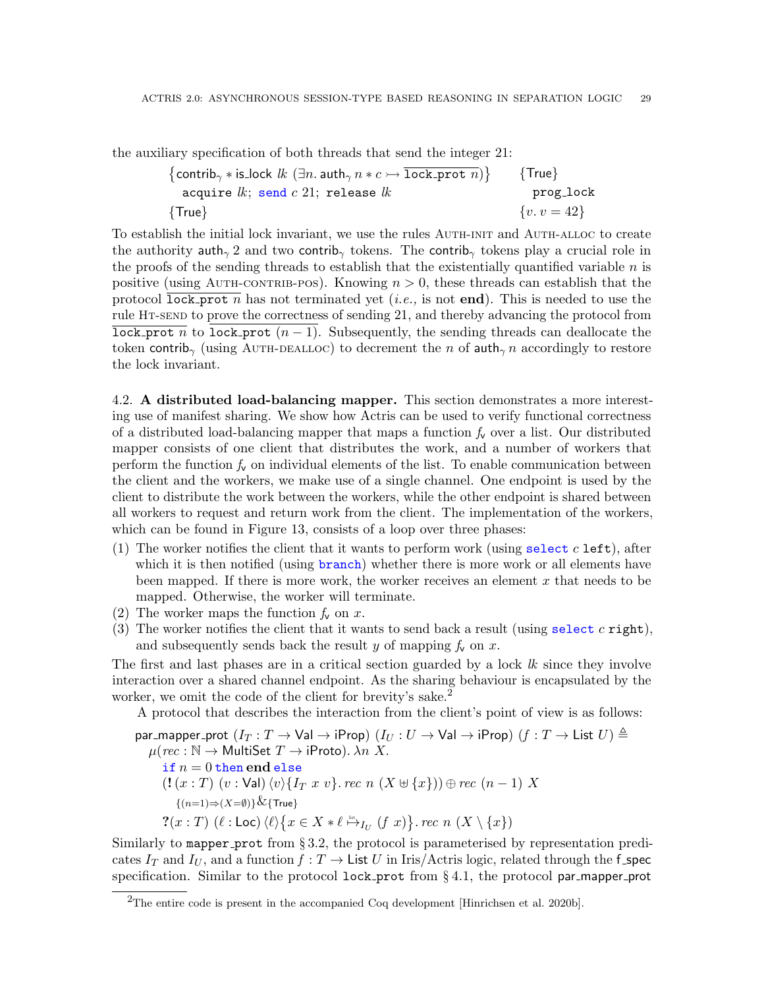the auxiliary specification of both threads that send the integer 21:

$$
{\begin{array}{ll} \left\{ \text{contrib}_\gamma * \text{is\_lock } \textit{lk}\ (\exists n.\ \text{auth}_\gamma\ n * c \rightarrow \overline{\text{lock\_prot}\ n}) \right\} & \ \left\{ \text{True} \right\} \\ \text{acquire } \textit{lk};\ \text{send } c\ 21;\ \text{release } \textit{lk} & \text{prog\_lock} \\ \left\{ \text{True} \right\} & \ \left\{ v\cdot v = 42 \right\} \end{array}}
$$

To establish the initial lock invariant, we use the rules [Auth-init](#page-27-1) and [Auth-alloc](#page-27-2) to create the authority auth<sub>γ</sub> 2 and two contrib<sub>γ</sub> tokens. The contrib<sub>γ</sub> tokens play a crucial role in the proofs of the sending threads to establish that the existentially quantified variable  $n$  is positive (using AUTH-CONTRIB-POS). Knowing  $n > 0$ , these threads can establish that the protocol lock prot n has not terminated yet (*i.e.*, is not end). This is needed to use the rule [Ht-send](#page-9-6) to prove the correctness of sending 21, and thereby advancing the protocol from lock prot n to lock prot  $(n-1)$ . Subsequently, the sending threads can deallocate the token contrib<sub>γ</sub> (using AUTH-DEALLOC) to decrement the n of auth<sub>γ</sub> n accordingly to restore the lock invariant.

<span id="page-28-0"></span>4.2. A distributed load-balancing mapper. This section demonstrates a more interesting use of manifest sharing. We show how Actris can be used to verify functional correctness of a distributed load-balancing mapper that maps a function  $f_v$  over a list. Our distributed mapper consists of one client that distributes the work, and a number of workers that perform the function  $f_{\mathbf{v}}$  on individual elements of the list. To enable communication between the client and the workers, we make use of a single channel. One endpoint is used by the client to distribute the work between the workers, while the other endpoint is shared between all workers to request and return work from the client. The implementation of the workers, which can be found in Figure [13,](#page-29-0) consists of a loop over three phases:

- (1) The worker notifies the client that it wants to perform work (using select  $c$  left), after which it is then notified (using branch) whether there is more work or all elements have been mapped. If there is more work, the worker receives an element x that needs to be mapped. Otherwise, the worker will terminate.
- (2) The worker maps the function  $f_v$  on x.
- (3) The worker notifies the client that it wants to send back a result (using select c right), and subsequently sends back the result y of mapping  $f_v$  on x.

The first and last phases are in a critical section guarded by a lock  $lk$  since they involve interaction over a shared channel endpoint. As the sharing behaviour is encapsulated by the worker, we omit the code of the client for brevity's sake.<sup>[2](#page-28-1)</sup>

A protocol that describes the interaction from the client's point of view is as follows:

$$
\begin{array}{l} \textsf{par\_mapper\_prot}\ (I_T: T \rightarrow \textsf{Val} \rightarrow \textsf{iProp})\ (I_U: U \rightarrow \textsf{Val} \rightarrow \textsf{iProp})\ (f: T \rightarrow \textsf{List}\ U) \triangleq \\ \mu (rec: \mathbb{N} \rightarrow \textsf{MultiSet}\ T \rightarrow \textsf{iProb}). \ \lambda n\ X. \\ \text{if}\ n = 0\ \textsf{then}\ \textsf{end}\ \textsf{else} \\ \quad \ \ (\mathop{\textbf{!}} (x:T)\ (v:\textsf{Val}) \langle v \rangle \{I_T\ x\ v\}. \ rec\ n\ (X \uplus \{x\})) \oplus rec\ (n-1)\ X \\ \quad \ \ \{(\textit{n=1}) \Rightarrow (X = \emptyset)\} \& \{\textsf{True}\} \\ \quad \ \ \, \mathcal{R}(x:T)\ (\ell:\textsf{Loc}) \langle \ell \rangle \big\{ x \in X * \ell \stackrel{\textsf{dis}}{\mapsto}_{I_U}\ (f\ x)\big\}. \ rec\ n\ (X \setminus \{x\}) \end{array}
$$

Similarly to mapper prot from § [3.2,](#page-21-0) the protocol is parameterised by representation predicates  $I_T$  and  $I_U$ , and a function  $f: T \to \text{List } U$  in Iris/Actris logic, related through the f\_spec specification. Similar to the protocol lock prot from  $\S 4.1$ , the protocol par mapper prot

<span id="page-28-1"></span> $2$ The entire code is present in the accompanied Coq development [\[Hinrichsen et al. 2020b\]](#page-53-9).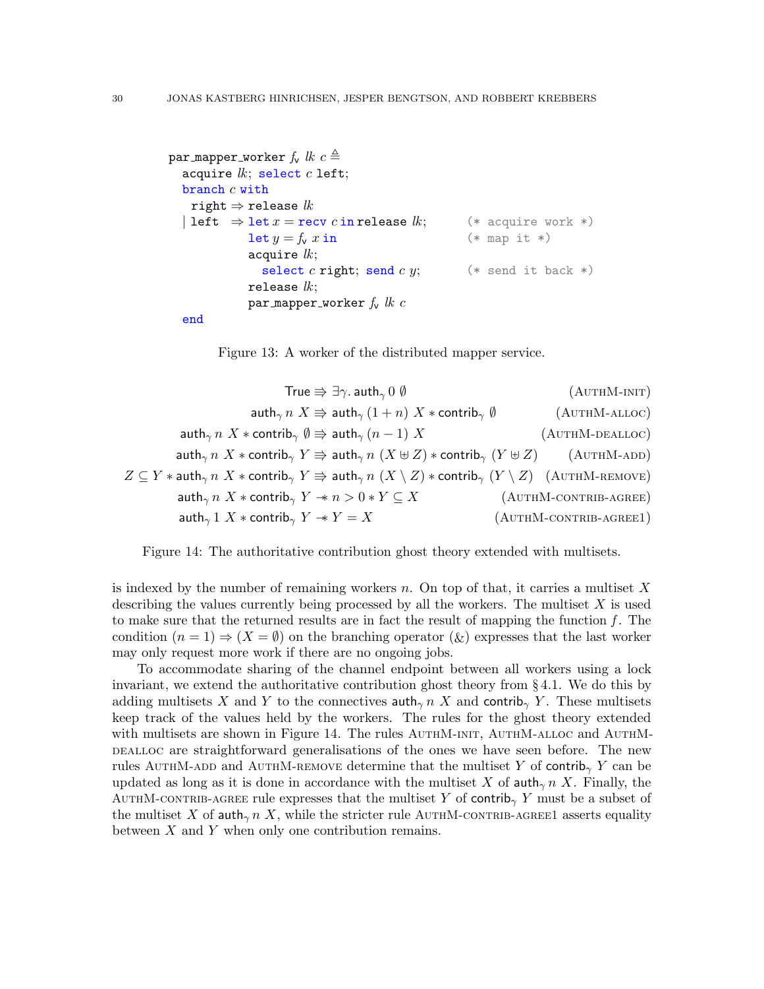```
par mapper worker f_v lk c \triangleqacquire lk; select c left;
  branch c withright \Rightarrow release lk| left \Rightarrow let x = recv c in release lk; (* acquire work *)
             \text{let } y = f_v \ x \text{ in} (* map it *)
             acquire lk;
               select c right; send c y; (*) send it back *)
             release lk;
             par mapper worker f_v lk c
  end
```
<span id="page-29-8"></span><span id="page-29-7"></span><span id="page-29-6"></span><span id="page-29-5"></span><span id="page-29-4"></span><span id="page-29-3"></span><span id="page-29-2"></span><span id="page-29-0"></span>Figure 13: A worker of the distributed mapper service.

| True $\Rightarrow \exists \gamma$ . auth <sub><math>\gamma</math></sub> 0 $\emptyset$                                                                                        | $(AUTHM-INT)$             |
|------------------------------------------------------------------------------------------------------------------------------------------------------------------------------|---------------------------|
| $\int \mathsf{auth}_{\gamma} n \; X \Rightarrow \int \mathsf{auth}_{\gamma} (1+n) \; X * \mathsf{contrib}_{\gamma} \; \emptyset$                                             | $(AUTHM-ALLOC)$           |
| auth <sub><math>\gamma</math></sub> $n$ $X$ $*$ contrib $\gamma$ $\emptyset \Rightarrow$ auth $\gamma$ $(n-1)$ $X$                                                           | $(AUTHM-DEALLOC)$         |
| $\mathsf{auth}_{\gamma} n X * \mathsf{contrib}_{\gamma} Y \Rightarrow \mathsf{auth}_{\gamma} n (X \cup Z) * \mathsf{contrib}_{\gamma} (Y \cup Z)$                            | $(AUTHM-ADD)$             |
| $Z \subseteq Y *$ auth $_{\gamma} n$ $X *$ contrib $_{\gamma} Y \Rrightarrow$ auth $_{\gamma} n$ $(X \setminus Z) *$ contrib $_{\gamma}$ $(Y \setminus Z)$ $(A$ UTHM-REMOVE) |                           |
| $\int \mathsf{auth}_{\gamma} n \; X * \mathsf{contrib}_{\gamma} \; Y \to n > 0 * Y \subseteq X$                                                                              | $(AUTHM-CONTRIB-AGREE)$   |
| $\mathsf{auth}_{\gamma} 1 \; X * \mathsf{contrib}_{\gamma} \; Y \to Y = X$                                                                                                   | $(AUTHM$ -CONTRIB-AGREE1) |

<span id="page-29-1"></span>Figure 14: The authoritative contribution ghost theory extended with multisets.

is indexed by the number of remaining workers  $n$ . On top of that, it carries a multiset X describing the values currently being processed by all the workers. The multiset  $X$  is used to make sure that the returned results are in fact the result of mapping the function  $f$ . The condition  $(n = 1) \Rightarrow (X = \emptyset)$  on the branching operator  $(\&)$  expresses that the last worker may only request more work if there are no ongoing jobs.

To accommodate sharing of the channel endpoint between all workers using a lock invariant, we extend the authoritative contribution ghost theory from § [4.1.](#page-26-1) We do this by adding multisets X and Y to the connectives  $\text{auth}_{\gamma}$  n X and contrib<sub> $\gamma$ </sub> Y. These multisets keep track of the values held by the workers. The rules for the ghost theory extended with multisets are shown in Figure [14.](#page-29-1) The rules AUTHM-INIT, AUTHM-ALLOC and AUTHMdefinition are straightforward generalisations of the ones we have seen before. The new rules AUTHM-ADD and AUTHM-REMOVE determine that the multiset Y of contrib<sub>γ</sub> Y can be updated as long as it is done in accordance with the multiset X of auth $\gamma$  n X. Finally, the AUTHM-CONTRIB-AGREE rule expresses that the multiset Y of contrib<sub>γ</sub> Y must be a subset of the multiset X of auth<sub> $\gamma$ </sub> n X, while the stricter rule AUTHM-CONTRIB-AGREE1 asserts equality between  $X$  and  $Y$  when only one contribution remains.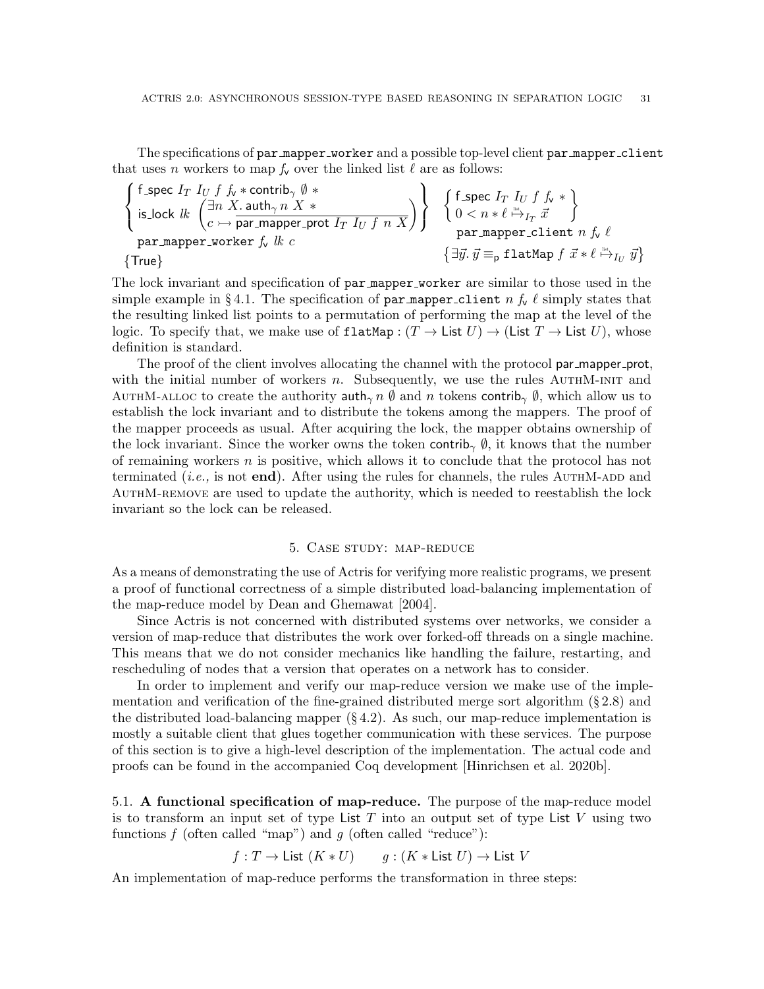The specifications of par mapper worker and a possible top-level client par mapper client that uses n workers to map  $f_v$  over the linked list  $\ell$  are as follows:

$$
\begin{Bmatrix} \text{f\_spec } I_T \ I_U \ f \ f_\star * \text{contrib}_\gamma \ \emptyset \ * \\ \text{is\_lock } lk \ \begin{Bmatrix} \exists n \ X \ . \ \text{auth}_\gamma \ n \ X \ * \\ c \ \rightarrow \text{par\_mapper\_prot } I_T \ I_U \ f \ n \ X \end{Bmatrix} \end{Bmatrix} \quad \begin{Bmatrix} \text{f\_spec } I_T \ I_U \ f \ f_\star \ * \\ 0 < n * \ell \ \xrightarrow{\text{lin}} I_T \ \vec{x} \end{Bmatrix}
$$
\n
$$
\text{par\_mapper\_worker } f_\nu \ lk \ c \qquad \{\exists \vec{y} \ . \ \vec{y} \equiv_{\text{p}} \text{flatMap } f \ \vec{x} \ * \ell \ \xrightarrow{\text{lin}} I_U \ \vec{y} \}
$$

The lock invariant and specification of par mapper worker are similar to those used in the simple example in §[4.1.](#page-26-1) The specification of par mapper client n  $f_v \ell$  simply states that the resulting linked list points to a permutation of performing the map at the level of the logic. To specify that, we make use of flatMap :  $(T \to \text{List } U) \to (\text{List } T \to \text{List } U)$ , whose definition is standard.

The proof of the client involves allocating the channel with the protocol par mapper prot, with the initial number of workers n. Subsequently, we use the rules  $AUTHM-INT$  and AUTHM-aLLOC to create the authority auth<sub>γ</sub> n  $\emptyset$  and n tokens contrib<sub>γ</sub>  $\emptyset$ , which allow us to establish the lock invariant and to distribute the tokens among the mappers. The proof of the mapper proceeds as usual. After acquiring the lock, the mapper obtains ownership of the lock invariant. Since the worker owns the token contrib<sub>γ</sub>  $\emptyset$ , it knows that the number of remaining workers  $n$  is positive, which allows it to conclude that the protocol has not terminated (*i.e.*, is not **end**). After using the rules for channels, the rules AUTHM-ADD and [AuthM-remove](#page-29-6) are used to update the authority, which is needed to reestablish the lock invariant so the lock can be released.

### 5. Case study: map-reduce

<span id="page-30-0"></span>As a means of demonstrating the use of Actris for verifying more realistic programs, we present a proof of functional correctness of a simple distributed load-balancing implementation of the map-reduce model by [Dean and Ghemawat](#page-52-5) [\[2004\]](#page-52-5).

Since Actris is not concerned with distributed systems over networks, we consider a version of map-reduce that distributes the work over forked-off threads on a single machine. This means that we do not consider mechanics like handling the failure, restarting, and rescheduling of nodes that a version that operates on a network has to consider.

In order to implement and verify our map-reduce version we make use of the implementation and verification of the fine-grained distributed merge sort algorithm (§ [2.8\)](#page-15-0) and the distributed load-balancing mapper  $(\S 4.2)$  $(\S 4.2)$ . As such, our map-reduce implementation is mostly a suitable client that glues together communication with these services. The purpose of this section is to give a high-level description of the implementation. The actual code and proofs can be found in the accompanied Coq development [\[Hinrichsen et al. 2020b\]](#page-53-9).

<span id="page-30-1"></span>5.1. A functional specification of map-reduce. The purpose of the map-reduce model is to transform an input set of type List  $T$  into an output set of type List  $V$  using two functions f (often called "map") and g (often called "reduce"):

 $f: T \to \mathsf{List}(K * U)$  g:  $(K * \mathsf{List} U) \to \mathsf{List} V$ 

An implementation of map-reduce performs the transformation in three steps: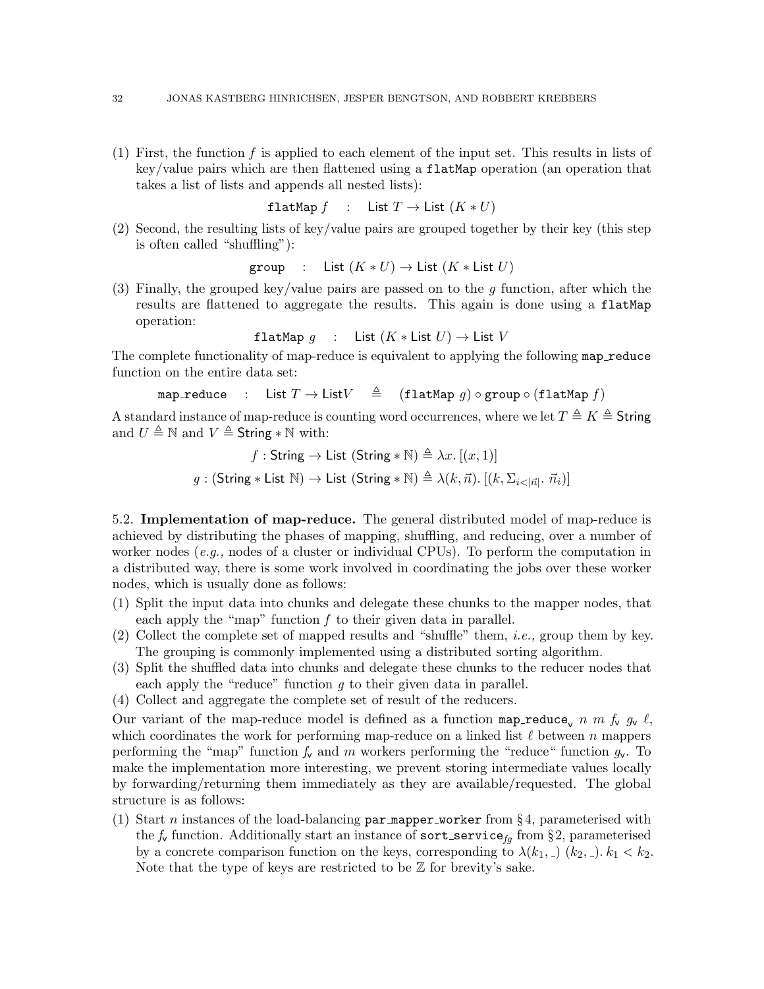(1) First, the function f is applied to each element of the input set. This results in lists of key/value pairs which are then flattened using a flatMap operation (an operation that takes a list of lists and appends all nested lists):

$$
flatMap f : List T \to List (K * U)
$$

(2) Second, the resulting lists of key/value pairs are grouped together by their key (this step is often called "shuffling"):

group : List  $(K * U) \to$  List  $(K * List U)$ 

(3) Finally, the grouped key/value pairs are passed on to the  $g$  function, after which the results are flattened to aggregate the results. This again is done using a flatMap operation:

flatMap q : List  $(K * List U) \rightarrow List V$ 

The complete functionality of map-reduce is equivalent to applying the following map reduce function on the entire data set:

map reduce : List  $T \to \text{List}V \triangleq$  (flatMap g)  $\circ$  group  $\circ$  (flatMap f)

A standard instance of map-reduce is counting word occurrences, where we let  $T \triangleq K \triangleq$  String and  $U \triangleq \mathbb{N}$  and  $V \triangleq$  String  $* \mathbb{N}$  with:

> f : String  $\rightarrow$  List (String  $\ast \mathbb{N}$ )  $\triangleq \lambda x$ . [(x, 1)]  $g : (\mathsf{String} * \mathsf{List} \ \mathbb{N}) \to \mathsf{List} \ (\mathsf{String} * \mathbb{N}) \triangleq \lambda(k, \vec{n}).\ [(k, \Sigma_{i < |\vec{n}|} \cdot \vec{n}_i)]$

5.2. Implementation of map-reduce. The general distributed model of map-reduce is achieved by distributing the phases of mapping, shuffling, and reducing, over a number of worker nodes  $(e.g.,$  nodes of a cluster or individual CPUs). To perform the computation in a distributed way, there is some work involved in coordinating the jobs over these worker nodes, which is usually done as follows:

- (1) Split the input data into chunks and delegate these chunks to the mapper nodes, that each apply the "map" function f to their given data in parallel.
- (2) Collect the complete set of mapped results and "shuffle" them, *i.e.*, group them by key. The grouping is commonly implemented using a distributed sorting algorithm.
- (3) Split the shuffled data into chunks and delegate these chunks to the reducer nodes that each apply the "reduce" function  $q$  to their given data in parallel.
- (4) Collect and aggregate the complete set of result of the reducers.

Our variant of the map-reduce model is defined as a function map-reduce<sub>v</sub> n m  $f_v$   $g_v \ell$ , which coordinates the work for performing map-reduce on a linked list  $\ell$  between n mappers performing the "map" function  $f_v$  and m workers performing the "reduce" function  $g_v$ . To make the implementation more interesting, we prevent storing intermediate values locally by forwarding/returning them immediately as they are available/requested. The global structure is as follows:

(1) Start n instances of the load-balancing par mapper worker from §[4,](#page-26-0) parameterised with the  $f_{\mathbf{v}}$  function. Additionally start an instance of sort\_service<sub>fg</sub> from §[2,](#page-8-0) parameterised by a concrete comparison function on the keys, corresponding to  $\lambda(k_1, \, \ldots)$   $(k_2, \, \ldots)$ .  $k_1 < k_2$ . Note that the type of keys are restricted to be  $\mathbb Z$  for brevity's sake.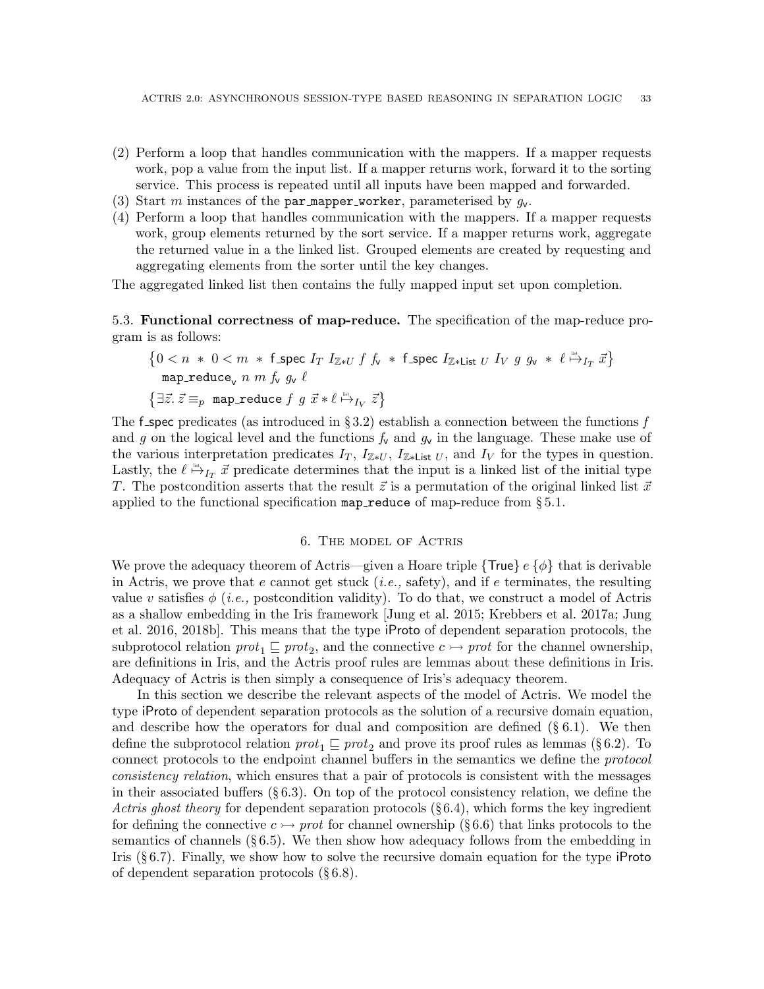- (2) Perform a loop that handles communication with the mappers. If a mapper requests work, pop a value from the input list. If a mapper returns work, forward it to the sorting service. This process is repeated until all inputs have been mapped and forwarded.
- (3) Start m instances of the par mapper worker, parameterised by  $q_v$ .
- (4) Perform a loop that handles communication with the mappers. If a mapper requests work, group elements returned by the sort service. If a mapper returns work, aggregate the returned value in a the linked list. Grouped elements are created by requesting and aggregating elements from the sorter until the key changes.

The aggregated linked list then contains the fully mapped input set upon completion.

5.3. Functional correctness of map-reduce. The specification of the map-reduce program is as follows:

$$
\{0 < n * 0 < m * \text{ f\_spec } I_T \ I_{\mathbb{Z}*U} \ f \ f_v * \ \text{f\_spec } I_{\mathbb{Z}*List \ U} \ I_V \ g \ g_v * \ \ell \overset{\text{def}}{\mapsto}_{I_T} \vec{x} \}
$$
\n
$$
\{\exists \vec{z} \ldotp \vec{z} \equiv_p \text{ map\_reduce } f \ g \ \vec{x} * \ell \overset{\text{def}}{\mapsto}_{I_V} \vec{z}\}
$$

The f-spec predicates (as introduced in §[3.2\)](#page-21-0) establish a connection between the functions f and g on the logical level and the functions  $f_v$  and  $g_v$  in the language. These make use of the various interpretation predicates  $I_T$ ,  $I_{\mathbb{Z}*U}$ ,  $I_{\mathbb{Z}*L}$  ist U, and  $I_V$  for the types in question. Lastly, the  $\ell \stackrel{\text{list}}{\mapsto} I_T \vec{x}$  predicate determines that the input is a linked list of the initial type T. The postcondition asserts that the result  $\vec{z}$  is a permutation of the original linked list  $\vec{x}$ applied to the functional specification map reduce of map-reduce from  $\S 5.1$ .

### 6. The model of Actris

<span id="page-32-0"></span>We prove the adequacy theorem of Actris—given a Hoare triple  $\{True\} e \{\phi\}$  that is derivable in Actris, we prove that e cannot get stuck (*i.e.*, safety), and if e terminates, the resulting value v satisfies  $\phi$  (*i.e.*, postcondition validity). To do that, we construct a model of Actris as a shallow embedding in the Iris framework [\[Jung et al.](#page-53-1) [2015;](#page-53-1) [Krebbers et al.](#page-54-0) [2017a;](#page-54-0) [Jung](#page-53-2) [et al.](#page-53-2) [2016,](#page-53-2) [2018b\]](#page-53-3). This means that the type iProto of dependent separation protocols, the subprotocol relation  $prot_1 \sqsubseteq prot_2$ , and the connective  $c \rightarrow prot$  for the channel ownership, are definitions in Iris, and the Actris proof rules are lemmas about these definitions in Iris. Adequacy of Actris is then simply a consequence of Iris's adequacy theorem.

In this section we describe the relevant aspects of the model of Actris. We model the type iProto of dependent separation protocols as the solution of a recursive domain equation, and describe how the operators for dual and composition are defined  $(\S 6.1)$  $(\S 6.1)$ . We then define the subprotocol relation  $prot_1 \sqsubseteq prot_2$  and prove its proof rules as lemmas (§[6.2\)](#page-34-0). To connect protocols to the endpoint channel buffers in the semantics we define the protocol consistency relation, which ensures that a pair of protocols is consistent with the messages in their associated buffers  $(\S 6.3)$  $(\S 6.3)$ . On top of the protocol consistency relation, we define the Actris ghost theory for dependent separation protocols  $(\S 6.4)$  $(\S 6.4)$ , which forms the key ingredient for defining the connective  $c \rightarrow prot$  for channel ownership (§[6.6\)](#page-39-0) that links protocols to the semantics of channels  $(\S 6.5)$  $(\S 6.5)$ . We then show how adequacy follows from the embedding in Iris  $(\S 6.7)$  $(\S 6.7)$ . Finally, we show how to solve the recursive domain equation for the type iProto of dependent separation protocols (§ [6.8\)](#page-40-2).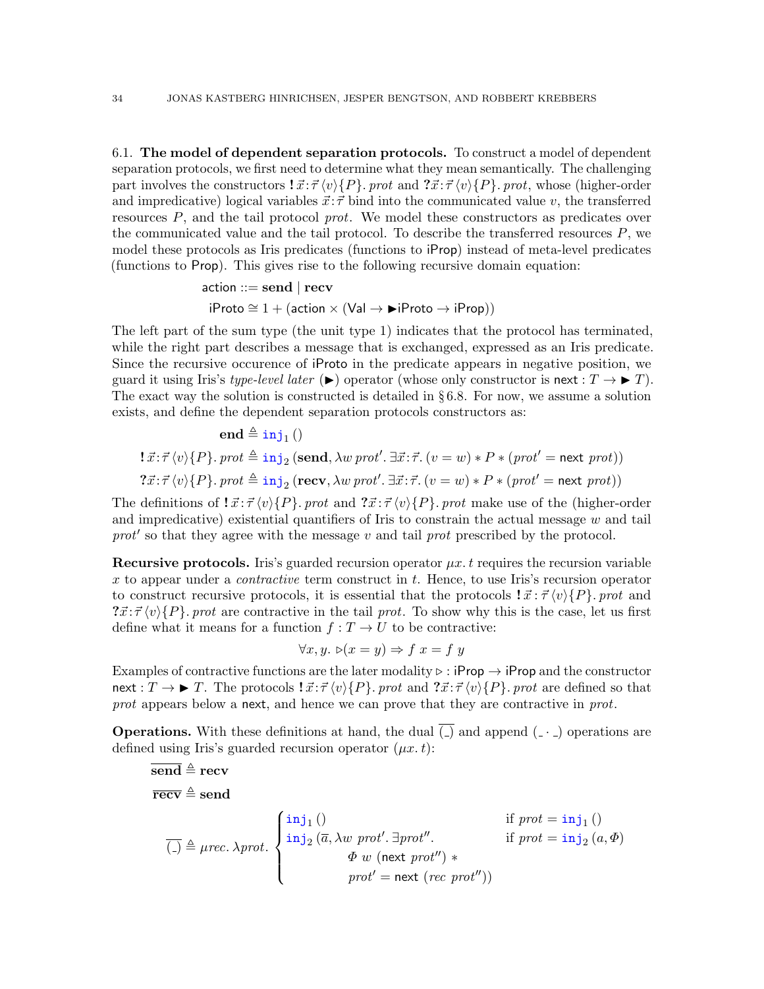<span id="page-33-0"></span>6.1. The model of dependent separation protocols. To construct a model of dependent separation protocols, we first need to determine what they mean semantically. The challenging part involves the constructors  $\vec{x} \cdot \vec{\tau} \langle v \rangle \{P\}$ . prot and  $\vec{x} \cdot \vec{\tau} \langle v \rangle \{P\}$ . prot, whose (higher-order and impredicative) logical variables  $\vec{x}$ :  $\vec{\tau}$  bind into the communicated value v, the transferred resources P, and the tail protocol prot. We model these constructors as predicates over the communicated value and the tail protocol. To describe the transferred resources  $P$ , we model these protocols as Iris predicates (functions to iProp) instead of meta-level predicates (functions to Prop). This gives rise to the following recursive domain equation:

$$
\begin{aligned}\n\text{action} & ::= \mathbf{send} \mid \mathbf{recv} \\
\text{if} \quad \text{Prob} & \cong 1 + (\text{action} \times (\text{Val} \rightarrow \blacktriangleright \text{iProto} \rightarrow \text{iProp}))\n\end{aligned}
$$

The left part of the sum type (the unit type 1) indicates that the protocol has terminated, while the right part describes a message that is exchanged, expressed as an Iris predicate. Since the recursive occurence of iProto in the predicate appears in negative position, we guard it using Iris's type-level later  $(\blacktriangleright)$  operator (whose only constructor is next :  $T \to \blacktriangleright T$ ). The exact way the solution is constructed is detailed in  $\S 6.8$ . For now, we assume a solution exists, and define the dependent separation protocols constructors as:

$$
\mathbf{end} \triangleq \text{inj}_1 \text{)}
$$
\n
$$
!\ \vec{x}:\vec{\tau}\langle v\rangle\{P\}.\text{prot} \triangleq \text{inj}_2 \left(\mathbf{send}, \lambda w \text{prot}', \exists \vec{x}:\vec{\tau}. (v = w) * P * (\text{prot}' = \text{next} \text{prot})\right)
$$
\n
$$
? \vec{x}:\vec{\tau}\langle v\rangle\{P\}.\text{prot} \triangleq \text{inj}_2 \left(\mathbf{recv}, \lambda w \text{prot}', \exists \vec{x}:\vec{\tau}. (v = w) * P * (\text{prot}' = \text{next} \text{prot})\right)
$$

The definitions of  $\vec{x} : \vec{\tau} \langle v \rangle \{P\}$ . prot and  $\vec{x} : \vec{\tau} \langle v \rangle \{P\}$ . prot make use of the (higher-order and impredicative) existential quantifiers of Iris to constrain the actual message  $w$  and tail  $prot'$  so that they agree with the message v and tail prot prescribed by the protocol.

**Recursive protocols.** Iris's guarded recursion operator  $\mu x$ . t requires the recursion variable x to appear under a *contractive* term construct in t. Hence, to use Iris's recursion operator to construct recursive protocols, it is essential that the protocols  $\mathbf{1} \vec{x} : \vec{\tau} \langle v \rangle \{P\}$ . prot and  $\{x:\vec{\tau}(v)\}$ . prot are contractive in the tail prot. To show why this is the case, let us first define what it means for a function  $f: T \to U$  to be contractive:

$$
\forall x, y. \; \triangleright(x = y) \Rightarrow f \; x = f \; y
$$

Examples of contractive functions are the later modality  $\triangleright$  : iProp  $\rightarrow$  iProp and the constructor  $\text{next}: T \to \blacktriangleright T$ . The protocols  $\exists \vec{x} : \vec{\tau} \langle v \rangle \{P\}$ , prot and  $\exists \vec{x} : \vec{\tau} \langle v \rangle \{P\}$ , prot are defined so that prot appears below a next, and hence we can prove that they are contractive in prot.

**Operations.** With these definitions at hand, the dual  $\overline{(.)}$  and append  $\overline{(-)}$  operations are defined using Iris's guarded recursion operator  $(\mu x. t)$ :

$$
\overline{\text{recv}} \triangleq \text{rev}
$$
\n
$$
\overline{\text{recv}} \triangleq \text{send}
$$
\n
$$
\overline{(-)} \triangleq \mu rec. \lambda prot.
$$
\n
$$
\begin{cases}\n\text{inj}_1() & \text{if } prot = \text{inj}_1() \\
\text{inj}_2(\overline{a}, \lambda w \text{ prot}'.\overline{a} \text{prot}'') & \text{if } prot = \text{inj}_2(a, \Phi) \\
\Phi w (\text{next prot}'') * \\
\text{prot}' = \text{next } (rec \text{ prot}''))\n\end{cases}
$$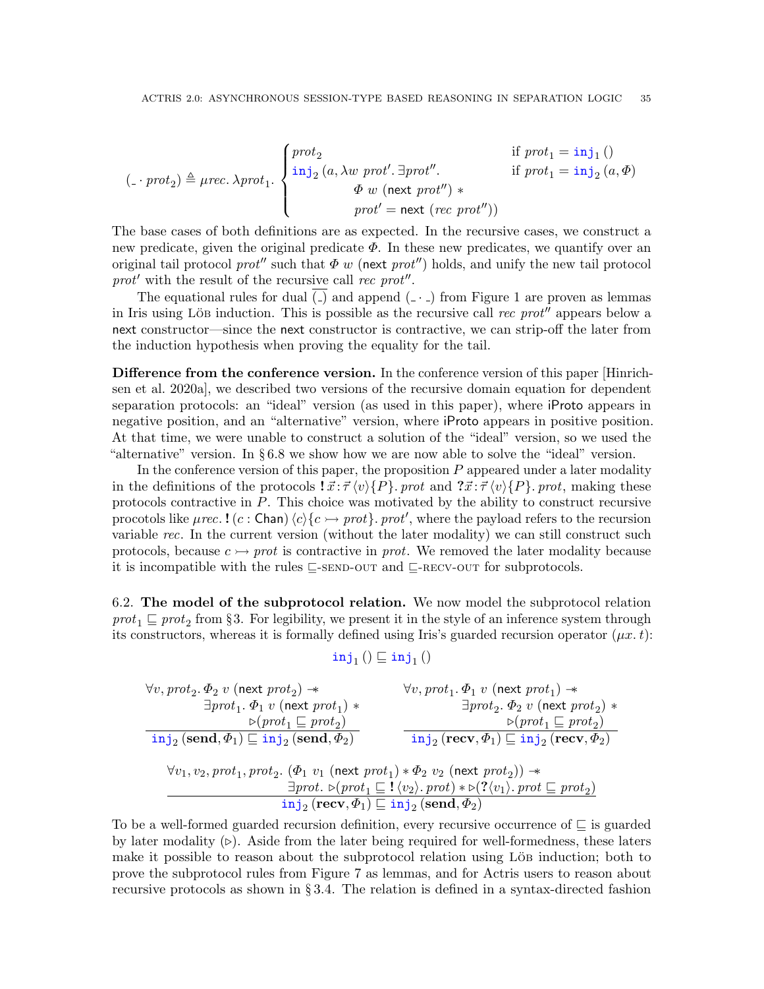$$
(\underline{\hspace{1cm}} \cdot \text{prot}_2) \triangleq \text{prec. } \lambda \text{prot}_1. \begin{cases} \text{prot}_2 & \text{if } \text{prot}_1 = \text{inj}_1 \text{ } ( ) \\ \text{inj}_2 \text{ } (a, \lambda w \text{ prot'. } \exists \text{prot''}. \\ \Phi \text{ } w \text{ } (\text{next } \text{prot''}) \text{ } * \\ \text{prot'} = \text{next } (\text{rec } \text{prot''}) ) \end{cases}
$$

The base cases of both definitions are as expected. In the recursive cases, we construct a new predicate, given the original predicate  $\Phi$ . In these new predicates, we quantify over an original tail protocol prot<sup>''</sup> such that  $\Phi w$  (next prot'') holds, and unify the new tail protocol prot' with the result of the recursive call rec prot".

The equational rules for dual  $\overline{(-)}$  and append  $(-)$  from Figure [1](#page-9-0) are proven as lemmas in Iris using Löb induction. This is possible as the recursive call rec prot<sup>n</sup> appears below a next constructor—since the next constructor is contractive, we can strip-off the later from the induction hypothesis when proving the equality for the tail.

Difference from the conference version. In the conference version of this paper [\[Hinrich](#page-53-6)[sen et al.](#page-53-6) [2020a\]](#page-53-6), we described two versions of the recursive domain equation for dependent separation protocols: an "ideal" version (as used in this paper), where iProto appears in negative position, and an "alternative" version, where iProto appears in positive position. At that time, we were unable to construct a solution of the "ideal" version, so we used the "alternative" version. In § [6.8](#page-40-2) we show how we are now able to solve the "ideal" version.

In the conference version of this paper, the proposition  $P$  appeared under a later modality in the definitions of the protocols  $\vec{x}$ :  $\vec{\tau} \langle v \rangle \{P\}$ . prot and  $\vec{x}$ :  $\vec{\tau} \langle v \rangle \{P\}$ . prot, making these protocols contractive in P. This choice was motivated by the ability to construct recursive procotols like  $\mu$ rec. ! (c: Chan)  $\langle c \rangle \{c \rightarrow prot\}$ . prot', where the payload refers to the recursion variable rec. In the current version (without the later modality) we can still construct such protocols, because  $c \rightarrow prot$  is contractive in *prot*. We removed the later modality because it is incompatible with the rules  $\subseteq$ [-send-out](#page-20-1) and  $\subseteq$ [-recv-out](#page-20-2) for subprotocols.

<span id="page-34-0"></span>6.2. The model of the subprotocol relation. We now model the subprotocol relation  $prot_1 \sqsubseteq prot_2$  from §[3.](#page-17-0) For legibility, we present it in the style of an inference system through its constructors, whereas it is formally defined using Iris's guarded recursion operator  $(\mu x. t)$ :

$$
\mathtt{inj}_1\,()\sqsubseteq\mathtt{inj}_1\,()
$$

 $\forall v,prot_2.\ \Phi_2\ v\ ({\sf next}\ prot_2) \twoheadrightarrow$  $\exists prot_1.\ \Phi_1\ v\ ({\sf next}\ prot_1)\ *$  $\triangleright$ (prot<sub>1</sub>  $\sqsubseteq$  prot<sub>2</sub>)  $\mathtt{inj}_2\,(\mathbf{send}, \varPhi_1) \sqsubseteq \mathtt{inj}_2\,(\mathbf{send}, \varPhi_2)$  $\forall v,prot_1.\ \Phi_1\ v\ ({\sf next}\ prot_1) \twoheadrightarrow$  $\exists \mathit{prot}_2 \ldotp \varPhi_2 \ v \ (\mathsf{next}\ \mathit{prot}_2) \ *$  $\triangleright$ (prot<sub>1</sub>  $\sqsubseteq$  prot<sub>2</sub>)  $\mathtt{inj}_2\,(\text{recv},\varPhi_1) \sqsubseteq \mathtt{inj}_2\,(\text{recv},\varPhi_2)$  $\forall v_1, v_2, prot_1, prot_2.\; (\varPhi_1\; v_1 \;(\mathrm{next}\; prot_1) * \varPhi_2\; v_2 \;(\mathrm{next}\; prot_2)) *$  $\exists prot. \; \triangleright (prot_1 \sqsubseteq ! \langle v_2 \rangle . \; prot) * \triangleright (?\langle v_1 \rangle . \; prot \sqsubseteq prot_2)$  $\mathtt{inj}_2\,(\text{recv}, \varPhi_1) \sqsubseteq \mathtt{inj}_2\,(\text{send}, \varPhi_2)$ 

To be a well-formed guarded recursion definition, every recursive occurrence of  $\sqsubseteq$  is guarded by later modality  $(\triangleright)$ . Aside from the later being required for well-formedness, these laters make it possible to reason about the subprotocol relation using Löb induction; both to prove the subprotocol rules from Figure [7](#page-20-0) as lemmas, and for Actris users to reason about recursive protocols as shown in § [3.4.](#page-24-0) The relation is defined in a syntax-directed fashion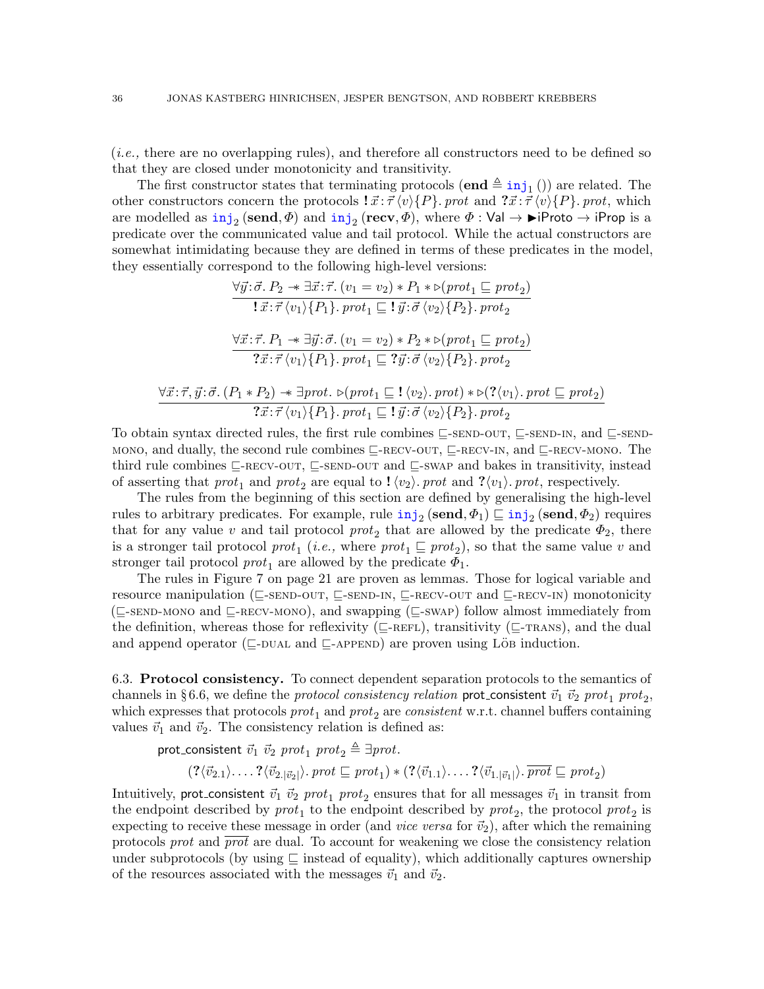(i.e., there are no overlapping rules), and therefore all constructors need to be defined so that they are closed under monotonicity and transitivity.

The first constructor states that terminating protocols  $(\mathbf{end} \triangleq \text{inj}_1()$  are related. The other constructors concern the protocols  $\vec{x}$ :  $\vec{\tau} \langle v \rangle \{P\}$ . prot and  $\vec{x}$ :  $\vec{\tau} \langle v \rangle \{P\}$ . prot, which are modelled as  $\mathtt{inj}_2(\mathbf{send}, \Phi)$  and  $\mathtt{inj}_2(\mathbf{recv}, \Phi)$ , where  $\Phi : \mathsf{Val} \to \mathsf{P}$ Proto  $\to \mathtt{iProp}$  is a predicate over the communicated value and tail protocol. While the actual constructors are somewhat intimidating because they are defined in terms of these predicates in the model, they essentially correspond to the following high-level versions:

$$
\forall \vec{y} : \vec{\sigma} \cdot P_2 \twoheadrightarrow \exists \vec{x} : \vec{\tau} \cdot (v_1 = v_2) * P_1 * \triangleright (prot_1 \sqsubseteq prot_2)
$$
\n
$$
\mathbf{1} \cdot \vec{x} : \vec{\tau} \langle v_1 \rangle \{P_1\} \cdot prot_1 \sqsubseteq \mathbf{1} \vec{y} : \vec{\sigma} \langle v_2 \rangle \{P_2\} \cdot prot_2
$$
\n
$$
\forall \vec{x} : \vec{\tau} \cdot P_1 \twoheadrightarrow \exists \vec{y} : \vec{\sigma} \cdot (v_1 = v_2) * P_2 * \triangleright (prot_1 \sqsubseteq prot_2)
$$
\n
$$
\mathbf{2} \cdot \vec{x} : \vec{\tau} \langle v_1 \rangle \{P_1\} \cdot prot_1 \sqsubseteq \mathbf{2} \vec{y} : \vec{\sigma} \langle v_2 \rangle \{P_2\} \cdot prot_2
$$
\n
$$
\forall \vec{x} : \vec{\tau}, \vec{y} : \vec{\sigma} \cdot (P_1 * P_2) \twoheadrightarrow \exists prot \cdot \triangleright (prot_1 \sqsubseteq \mathbf{1} \langle v_2 \rangle \cdot prot) * \triangleright (\mathbf{2} \langle v_1 \rangle \cdot prot \sqsubseteq prot_2)
$$
\n
$$
\mathbf{2} \cdot \vec{x} : \vec{\tau} \langle v_1 \rangle \{P_1\} \cdot prot_1 \sqsubseteq \mathbf{1} \vec{y} : \vec{\sigma} \langle v_2 \rangle \{P_2\} \cdot prot_2
$$

To obtain syntax directed rules, the first rule combines  $\sqsubseteq$ [-send-out](#page-20-1),  $\sqsubseteq$ [-send-in](#page-20-3), and  $\sqsubseteq$ [-send](#page-20-5)[mono](#page-20-5), and dually, the second rule combines  $\sqsubseteq$ [-recv-out](#page-20-2),  $\sqsubseteq$ -recv- $\sqcap$ , and  $\sqsubseteq$ [-recv-mono](#page-20-6). The third rule combines  $\subseteq$ -RECV-OUT,  $\subseteq$ -SEND-OUT and  $\subseteq$ -SWAP and bakes in transitivity, instead of asserting that  $prot_1$  and  $prot_2$  are equal to  $\langle v_2 \rangle$ . prot and  $\langle v_1 \rangle$ . prot, respectively.

The rules from the beginning of this section are defined by generalising the high-level rules to arbitrary predicates. For example, rule  $\text{inj}_2$  (send,  $\Phi_1$ )  $\sqsubseteq$   $\text{inj}_2$  (send,  $\Phi_2$ ) requires that for any value v and tail protocol  $prot_2$  that are allowed by the predicate  $\Phi_2$ , there is a stronger tail protocol  $prot_1$  (*i.e.*, where  $prot_1 \sqsubseteq prot_2$ ), so that the same value v and stronger tail protocol  $prot_1$  are allowed by the predicate  $\Phi_1$ .

The rules in Figure [7](#page-20-0) on page [21](#page-20-0) are proven as lemmas. Those for logical variable and resource manipulation ( $\sqsubseteq$ [-send-out](#page-20-1),  $\sqsubseteq$ [-send-in](#page-20-3),  $\sqsubseteq$ [-recv-out](#page-20-2) and  $\sqsubseteq$ [-recv-in](#page-20-4)) monotonicity  $(\subseteq$ [-send-mono](#page-20-5) and  $\subseteq$ [-recv-mono](#page-20-6)), and swapping ( $\subseteq$ [-swap](#page-20-7)) follow almost immediately from the definition, whereas those for reflexivity ( $\subseteq$ [-refl](#page-20-8)exivity ( $\subseteq$ -reflexivity ( $\subseteq$ -reflexivity ( $\subseteq$ -reflexivity ( $\subseteq$ -reflexivity ( $\subseteq$ -reflexivity ( $\subseteq$ -reflexivity ( $\subseteq$ -reflexivity ( $\subseteq$ -reflexivity ( $\subseteq$ -reflexi and append operator ( $\sqsubseteq$ -DUAL and  $\sqsubseteq$ -APPEND) are proven using LöB induction.

<span id="page-35-0"></span>6.3. Protocol consistency. To connect dependent separation protocols to the semantics of channels in §[6.6,](#page-39-0) we define the *protocol consistency relation* prot\_consistent  $\vec{v}_1 ~\vec{v}_2 ~prot_1 ~prot_2,$ which expresses that protocols  $prot_1$  and  $prot_2$  are consistent w.r.t. channel buffers containing values  $\vec{v}_1$  and  $\vec{v}_2$ . The consistency relation is defined as:

prot\_consistent  $\vec{v}_1$   $\vec{v}_2$  prot<sub>1</sub> prot<sub>2</sub>  $\triangleq \exists \text{prot.}$ 

$$
(? \langle \vec{v}_{2.1} \rangle \ldots ? \langle \vec{v}_{2.|\vec{v}_2|} \rangle \text{.} \text{ } prot \sqsubseteq \text{ } prot_1) * (? \langle \vec{v}_{1.1} \rangle \ldots ? \langle \vec{v}_{1.|\vec{v}_1|} \rangle \text{.} \text{ } \overline{\text{ } prot} \sqsubseteq \text{ } prot_2)
$$

Intuitively, prot\_consistent  $\vec{v}_1 ~\vec{v}_2 ~prot_1 ~prot_2$  ensures that for all messages  $\vec{v}_1$  in transit from the endpoint described by  $prot_1$  to the endpoint described by  $prot_2$ , the protocol  $prot_2$  is expecting to receive these message in order (and *vice versa* for  $\vec{v}_2$ ), after which the remaining protocols *prot* and  $\overline{prot}$  are dual. To account for weakening we close the consistency relation under subprotocols (by using  $\subseteq$  instead of equality), which additionally captures ownership of the resources associated with the messages  $\vec{v}_1$  and  $\vec{v}_2$ .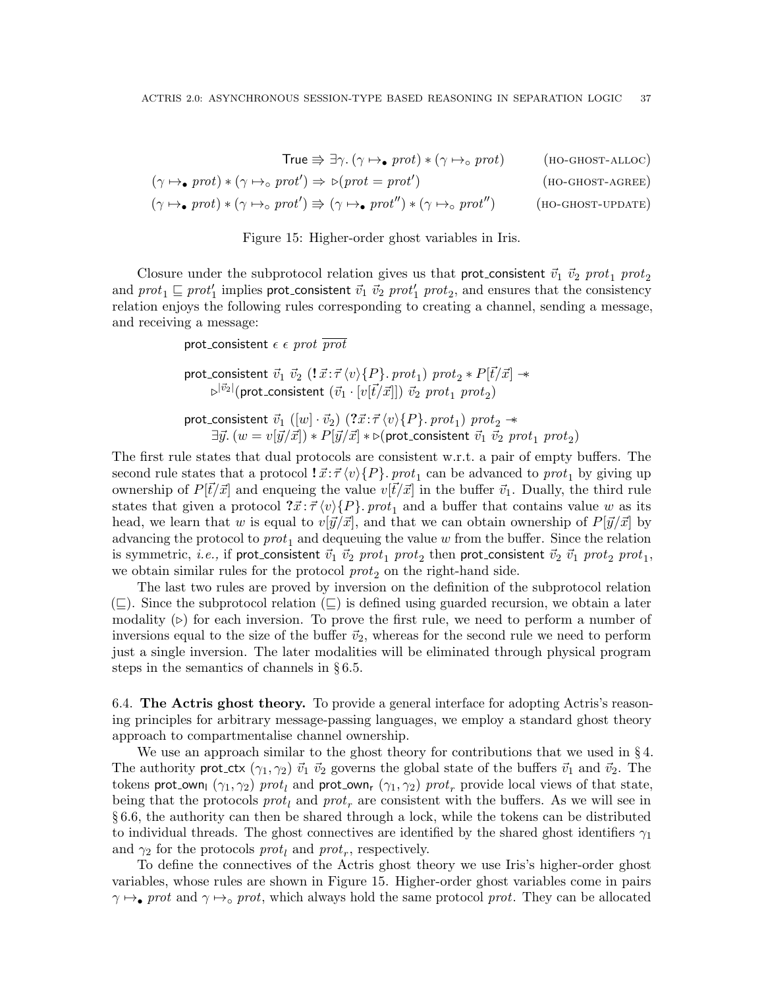$$
True \nArr \exists \gamma. (\gamma \mapsto \text{prot}) * (\gamma \mapsto \text{prot}) \qquad \text{(no-ghosT-ALLOC)}
$$
\n
$$
(\gamma \mapsto \text{prot}) * (\gamma \mapsto \text{prot}') \Rightarrow \triangleright (\text{prot} = \text{prot}') \qquad \text{(no-ghosT-ALLOC)}
$$
\n
$$
(\gamma \mapsto \text{prot}) * (\gamma \mapsto \text{prot}') \Rightarrow (\gamma \mapsto \text{prot}'') * (\gamma \mapsto \text{prot}'') \qquad \text{(no-ghosT-UPDATE)}
$$

<span id="page-36-4"></span><span id="page-36-3"></span><span id="page-36-2"></span><span id="page-36-1"></span>

Closure under the subprotocol relation gives us that prot-consistent  $\vec{v}_1 ~\vec{v}_2 ~prot_1 ~prot_2$ and  $prot_1 \sqsubseteq prot'_1$  implies prot\_consistent  $\vec{v}_1$   $\vec{v}_2$   $prot'_1$   $prot_2$ , and ensures that the consistency relation enjoys the following rules corresponding to creating a channel, sending a message, and receiving a message:

prot\_consistent  $\epsilon \epsilon$  prot  $\overline{prot}$ 

prot\_consistent  $~\vec{v}_1 ~\vec{v}_2 ~(\mathbf{!} ~\vec{x}~:~\vec{\tau}~\langle v\rangle\{P\}~.~prot_1)~prot_2*P[\vec{t}/\vec{x}]\twoheadrightarrow$  $\varphi^{|\vec v_2|}(\mathsf{prot}\_\mathsf{consistent}\;(\vec v_1\cdot[v[\vec t/\vec x]])\;\vec v_2\;prot_1\;prot_2)$ 

prot\_consistent  $~\vec{v}_1 ~([w] \cdot \vec{v}_2) ~ (?\vec{x} \!:\! \vec{\tau} \, \langle v \rangle \{P\} .~ prot_1)~prot_2~\! \rightarrow$  $\exists \vec{y}.~(w=v[\vec{y}/\vec{x}]) * P[\vec{y}/\vec{x}] * \triangleright$ (prot\_consistent  $\vec{v}_1$   $\vec{v}_2$   $prot_1$   $prot_2)$ 

The first rule states that dual protocols are consistent w.r.t. a pair of empty buffers. The second rule states that a protocol  $\vec{x}$ : $\vec{\tau} \langle v \rangle \{P\}$ . prot<sub>1</sub> can be advanced to prot<sub>1</sub> by giving up ownership of  $P[\vec{t}/\vec{x}]$  and enqueing the value  $v[\vec{t}/\vec{x}]$  in the buffer  $\vec{v}_1$ . Dually, the third rule states that given a protocol  $\vec{x}$ :  $\vec{\tau} \langle v \rangle \{P\}$ . prot<sub>1</sub> and a buffer that contains value w as its head, we learn that w is equal to  $v[\vec{y}/\vec{x}]$ , and that we can obtain ownership of  $P[\vec{y}/\vec{x}]$  by advancing the protocol to  $prot_1$  and dequeuing the value w from the buffer. Since the relation is symmetric,  $i.e.,$  if prot\_consistent  $\vec{v}_1 ~\vec{v}_2 ~prot_1 ~prot_2$  then prot\_consistent  $\vec{v}_2 ~\vec{v}_1 ~prot_2 ~prot_1,$ we obtain similar rules for the protocol  $prot_2$  on the right-hand side.

The last two rules are proved by inversion on the definition of the subprotocol relation  $(\subseteq)$ . Since the subprotocol relation  $(\subseteq)$  is defined using guarded recursion, we obtain a later modality  $(\triangleright)$  for each inversion. To prove the first rule, we need to perform a number of inversions equal to the size of the buffer  $\vec{v}_2$ , whereas for the second rule we need to perform just a single inversion. The later modalities will be eliminated through physical program steps in the semantics of channels in § [6.5.](#page-38-0)

<span id="page-36-0"></span>6.4. The Actris ghost theory. To provide a general interface for adopting Actris's reasoning principles for arbitrary message-passing languages, we employ a standard ghost theory approach to compartmentalise channel ownership.

We use an approach similar to the ghost theory for contributions that we used in § [4.](#page-26-0) The authority prot ctx  $(\gamma_1, \gamma_2)$   $\vec{v}_1$   $\vec{v}_2$  governs the global state of the buffers  $\vec{v}_1$  and  $\vec{v}_2$ . The tokens prot\_own<sub>l</sub>  $(\gamma_1, \gamma_2)$  prot<sub>l</sub> and prot\_own<sub>r</sub>  $(\gamma_1, \gamma_2)$  prot<sub>r</sub> provide local views of that state, being that the protocols  $prot_l$  and  $prot_r$  are consistent with the buffers. As we will see in § [6.6,](#page-39-0) the authority can then be shared through a lock, while the tokens can be distributed to individual threads. The ghost connectives are identified by the shared ghost identifiers  $\gamma_1$ and  $\gamma_2$  for the protocols *prot<sub>l</sub>* and *prot<sub>r</sub>*, respectively.

To define the connectives of the Actris ghost theory we use Iris's higher-order ghost variables, whose rules are shown in Figure [15.](#page-36-1) Higher-order ghost variables come in pairs  $\gamma \mapsto$ • prot and  $\gamma \mapsto$ ° prot, which always hold the same protocol prot. They can be allocated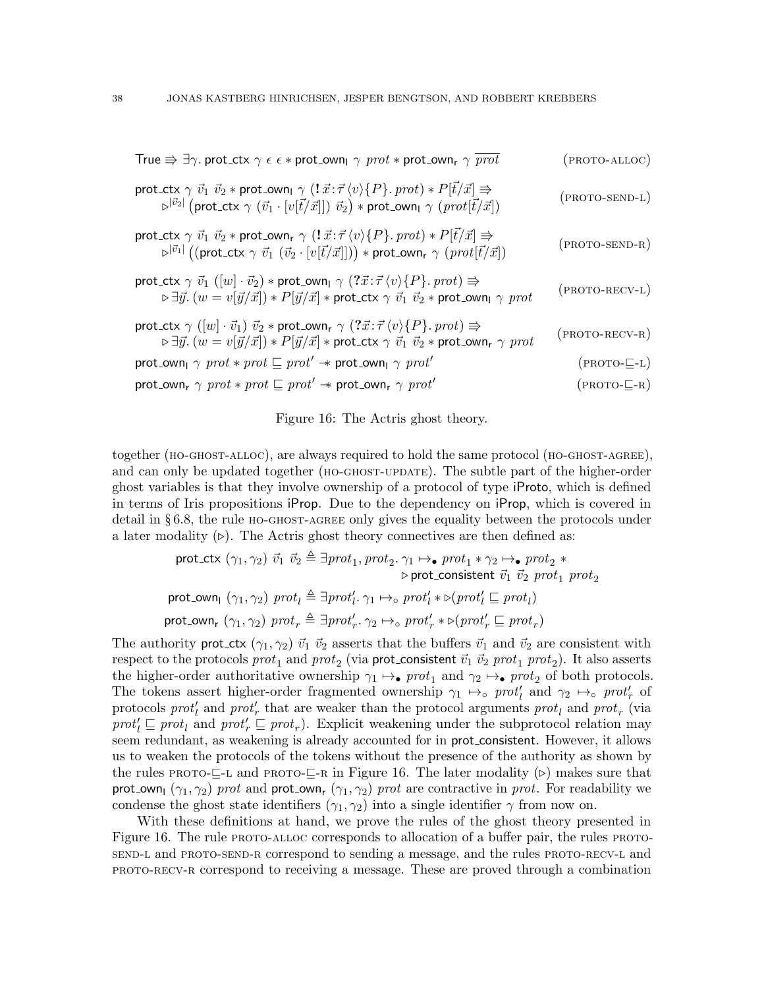| True $\Rightarrow \exists \gamma$ . prot_ctx $\gamma \in \epsilon *$ prot_own <sub>1</sub> $\gamma$ prot $*$ prot_own <sub>r</sub> $\gamma$ prot                                                                                                                                                                                                                                                                                                                                                                                                            | (PROTO-ALLOC)    |
|-------------------------------------------------------------------------------------------------------------------------------------------------------------------------------------------------------------------------------------------------------------------------------------------------------------------------------------------------------------------------------------------------------------------------------------------------------------------------------------------------------------------------------------------------------------|------------------|
| $\begin{array}{c} \mathsf{prot\_ctx} \ \gamma \ \vec{v_1} \ \vec{v_2} * \mathsf{prot\_own}_{\mathsf{I}} \ \gamma \ (!\ \vec{x} : \vec{\tau} \ \langle v \rangle \{P\}.\ \mathit{prot}) * P[\vec{t}/\vec{x}] \Rrightarrow \\ \hspace{2.5cm} \triangleright^{ \vec{v_2} } \big( \mathsf{prot\_ctx} \ \gamma \ \big( \vec{v_1} \cdot [v[\vec{t}/\vec{x}]]) \ \vec{v_2} \big) * \mathsf{prot\_own}_{\mathsf{I}} \ \gamma \ \big( \mathit{prot}[\vec{t}/\vec{x}] \big) \end{array}$                                                                              | (PROTO-SEND-L)   |
| $\begin{array}{c} \text{prot\_ctx} \ \gamma \ \vec{v_1} \ \vec{v_2} * \text{prot\_own}_{\mathsf{r}} \ \gamma \ \big( !\ \vec{x} : \vec{\tau} \ \langle v \rangle \{P\}.\ \textit{prot}) * P[\vec{t}/\vec{x}] \ \Rightarrow \\ \hspace{2.5cm} \triangleright^{ \vec{v_1} } \big( (\text{prot\_ctx} \ \gamma \ \vec{v_1} \ \vec{v_2} \cdot [v[\vec{t}/\vec{x}]]) \big) * \text{prot\_own}_{\mathsf{r}} \ \gamma \ \big( \textit{prot}[\vec{t}/\vec{x}] \big) \end{array}$                                                                                     | $(PROTO-SEND-R)$ |
| $\begin{array}{l} \textnormal{\texttt{prot}\_\textnormal{\texttt{ctx}}\_\gamma\;\vec{v}_1\;([w]\cdot\vec{v}_2)\ast\textnormal{\texttt{prot}\_\textnormal{\texttt{own}}\_\gamma\;(\textnormal{?}\vec{x}:\vec{\tau}\,\langle v\rangle\{P\}.\textnormal{\texttt{prot}})\Rrightarrow }\\ \textnormal{\texttt{b}\exists\vec{y}.\,(w=v[\vec{y}/\vec{x}])\ast P[\vec{y}/\vec{x}]\ast\textnormal{\texttt{prot}\_\textnormal{\texttt{ctx}}\_\gamma\;\vec{v}_1\;\vec{v}_2\ast\textnormal{\texttt{prot}\_\textnormal{\texttt{own}}\_\gamma\ \gamma\textnormal{\texttt$ | $(PROTO-RECV-L)$ |
| prot_ctx $\gamma$ ([w] $\cdot \vec{v}_1$ ) $\vec{v}_2$ * prot_own <sub>r</sub> $\gamma$ (? $\vec{x}$ : $\vec{\tau}$ {v}{P}. prot) $\Rightarrow$<br>$\triangleright \exists \vec{y}.~(w=v[\vec{y}/\vec{x}]) * P[\vec{y}/\vec{x}] * \mathsf{prot\_ctx}~\gamma~\vec{v_1}~\vec{v_2} * \mathsf{prot\_own_r}~\gamma~prot$                                                                                                                                                                                                                                         | $(PROTO-RECV-R)$ |
| prot_own <sub>l</sub> $\gamma$ prot $*$ prot $\sqsubseteq$ prot' $*$ prot_own <sub>l</sub> $\gamma$ prot'                                                                                                                                                                                                                                                                                                                                                                                                                                                   | $(PROTO-E-L)$    |
| $\mathsf{prot\_own_r} \ \gamma \ \mathit{prot} * \mathit{prot} \sqsubseteq \mathit{prot}' \twoheadrightarrow \mathsf{prot\_own_r} \ \gamma \ \mathit{prot}'$                                                                                                                                                                                                                                                                                                                                                                                                | $(PROTO-E-R)$    |

<span id="page-37-7"></span><span id="page-37-6"></span><span id="page-37-5"></span><span id="page-37-4"></span><span id="page-37-3"></span><span id="page-37-2"></span><span id="page-37-1"></span><span id="page-37-0"></span>Figure 16: The Actris ghost theory.

together (HO-GHOST-ALLOC), are always required to hold the same protocol (HO-GHOST-AGREE), and can only be updated together ([ho-ghost-update](#page-36-4)). The subtle part of the higher-order ghost variables is that they involve ownership of a protocol of type iProto, which is defined in terms of Iris propositions iProp. Due to the dependency on iProp, which is covered in detail in § [6.8,](#page-40-2) the rule [ho-ghost-agree](#page-36-3) only gives the equality between the protocols under a later modality  $(\triangleright)$ . The Actris ghost theory connectives are then defined as:

$$
\begin{aligned}\n &\text{prot\_ctx } (\gamma_1, \gamma_2) \ \vec{v}_1 \ \vec{v}_2 \triangleq \exists prot_1, prot_2. \ \gamma_1 \mapsto_{\bullet} prot_1 * \gamma_2 \mapsto_{\bullet} prot_2 * \\
 &\qquad \qquad \triangleright \text{prot\_consistent } \ \vec{v}_1 \ \vec{v}_2 \ \text{prot}_1 \ \text{prot}_2 \\
 &\text{prot\_own}_1 \ (\gamma_1, \gamma_2) \ \text{prot}_l \triangleq \exists prot'_l. \ \gamma_1 \mapsto_{\circ} prot'_l * \triangleright (\text{prot}'_l \sqsubseteq \text{prot}_l) \\
 &\text{prot\_own}_r \ (\gamma_1, \gamma_2) \ \text{prot}_r \triangleq \exists prot'_{r}. \ \gamma_2 \mapsto_{\circ} prot'_{r} * \triangleright (\text{prot}'_{r} \sqsubseteq \text{prot}_{r})\n \end{aligned}
$$

The authority prot ctx  $(\gamma_1, \gamma_2)$   $\vec{v}_1$   $\vec{v}_2$  asserts that the buffers  $\vec{v}_1$  and  $\vec{v}_2$  are consistent with respect to the protocols  $prot_1$  and  $prot_2$  (via prot\_consistent  $\vec{v}_1$   $\vec{v}_2$   $prot_1$   $prot_2$ ). It also asserts the higher-order authoritative ownership  $\gamma_1 \mapsto \mathbf{r}$  prot<sub>1</sub> and  $\gamma_2 \mapsto \mathbf{r}$  prot<sub>2</sub> of both protocols. The tokens assert higher-order fragmented ownership  $\gamma_1 \mapsto_{\text{o}} \text{prot}_l'$  and  $\gamma_2 \mapsto_{\text{o}} \text{prot}_r'$  of protocols  $prot<sub>l</sub>$  and  $prot<sub>r</sub>$  that are weaker than the protocol arguments  $prot<sub>l</sub>$  and  $prot<sub>r</sub>$  (via  $prot_l' \sqsubseteq prot_l$  and  $prot_r' \sqsubseteq prot_r$ ). Explicit weakening under the subprotocol relation may seem redundant, as weakening is already accounted for in prot consistent. However, it allows us to weaken the protocols of the tokens without the presence of the authority as shown by the rules PROTO- $\sqsubseteq$ -L and PROTO- $\sqsubseteq$ -R in Figure [16.](#page-37-2) The later modality ( $\triangleright$ ) makes sure that prot own<sub>l</sub>  $(\gamma_1, \gamma_2)$  prot and prot own<sub>r</sub>  $(\gamma_1, \gamma_2)$  prot are contractive in prot. For readability we condense the ghost state identifiers  $(\gamma_1, \gamma_2)$  into a single identifier  $\gamma$  from now on.

With these definitions at hand, we prove the rules of the ghost theory presented in Figure [16.](#page-37-2) The rule [proto-alloc](#page-37-3) corresponds to allocation of a buffer pair, the rules [proto](#page-37-4)[send-l](#page-37-4) and [proto-send-r](#page-37-5) correspond to sending a message, and the rules [proto-recv-l](#page-37-6) and [proto-recv-r](#page-37-7) correspond to receiving a message. These are proved through a combination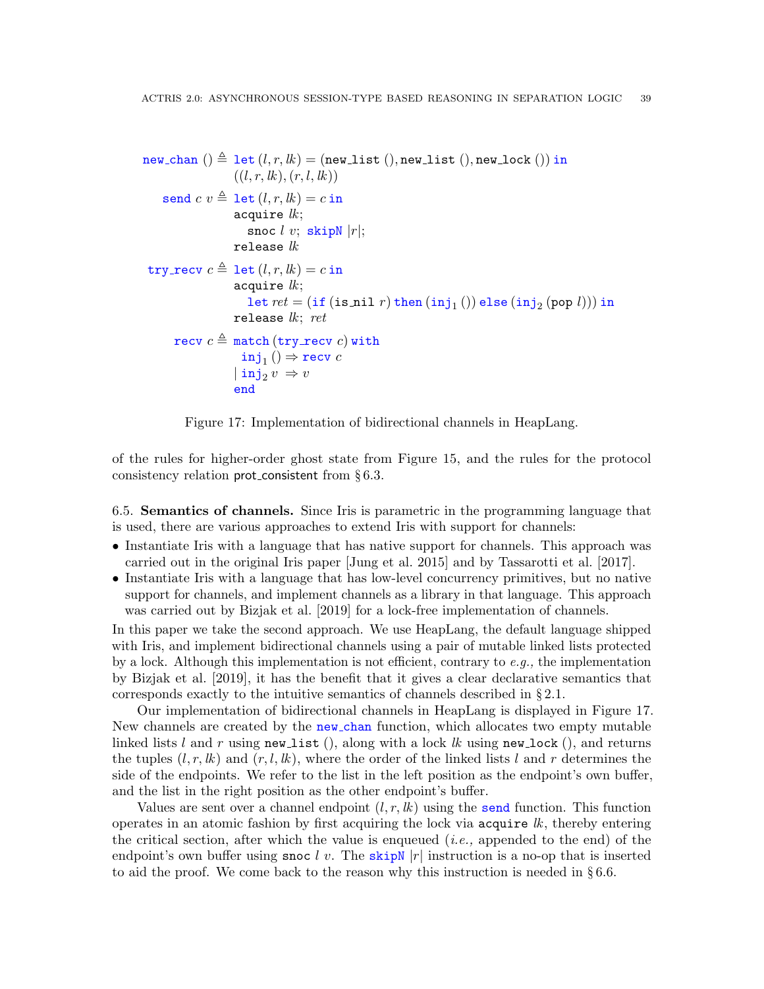```
new chan () \triangleq let (l, r, lk) = (new list (), new list (), new lock ()) in
                     ((l, r, lk), (r, l, lk))send c v \triangleq let (l, r, lk) = c in
                     acquire lk;snoc l v; skipN |r|;
                     release lktry recv c \triangleq let (l, r, lk) = c in
                      acquire lk;
                         \mathtt{let}~ret = (\mathtt{if}~(\mathtt{is\_nil}~r)\mathtt{then}~(\mathtt{inj}_1~())~\mathtt{else}~(\mathtt{inj}_2~(\mathtt{pop}~l)))~\mathtt{in}release lk; ret
       recv c \triangleq match (try recv c) with
                        inj_1 ()\Rightarrow recv c\vert \verb"inj"_{2} v \Rightarrow vend
```
<span id="page-38-1"></span>Figure 17: Implementation of bidirectional channels in HeapLang.

of the rules for higher-order ghost state from Figure [15,](#page-36-1) and the rules for the protocol consistency relation prot consistent from § [6.3.](#page-35-0)

<span id="page-38-0"></span>6.5. Semantics of channels. Since Iris is parametric in the programming language that is used, there are various approaches to extend Iris with support for channels:

- Instantiate Iris with a language that has native support for channels. This approach was carried out in the original Iris paper [\[Jung et al. 2015\]](#page-53-1) and by [Tassarotti et al.](#page-55-2) [\[2017\]](#page-55-2).
- Instantiate Iris with a language that has low-level concurrency primitives, but no native support for channels, and implement channels as a library in that language. This approach was carried out by [Bizjak et al.](#page-52-9) [\[2019\]](#page-52-9) for a lock-free implementation of channels.

In this paper we take the second approach. We use HeapLang, the default language shipped with Iris, and implement bidirectional channels using a pair of mutable linked lists protected by a lock. Although this implementation is not efficient, contrary to  $e.g.,$  the implementation by [Bizjak et al.](#page-52-9) [\[2019\]](#page-52-9), it has the benefit that it gives a clear declarative semantics that corresponds exactly to the intuitive semantics of channels described in § [2.1.](#page-8-1)

Our implementation of bidirectional channels in HeapLang is displayed in Figure [17.](#page-38-1) New channels are created by the new chan function, which allocates two empty mutable linked lists l and r using new list (), along with a lock lk using new lock (), and returns the tuples  $(l, r, lk)$  and  $(r, l, lk)$ , where the order of the linked lists l and r determines the side of the endpoints. We refer to the list in the left position as the endpoint's own buffer, and the list in the right position as the other endpoint's buffer.

Values are sent over a channel endpoint  $(l, r, lk)$  using the send function. This function operates in an atomic fashion by first acquiring the lock via  $acquire$   $lk$ , thereby entering the critical section, after which the value is enqueued  $(i.e.,$  appended to the end) of the endpoint's own buffer using snoc l v. The skipN  $|r|$  instruction is a no-op that is inserted to aid the proof. We come back to the reason why this instruction is needed in § [6.6.](#page-39-0)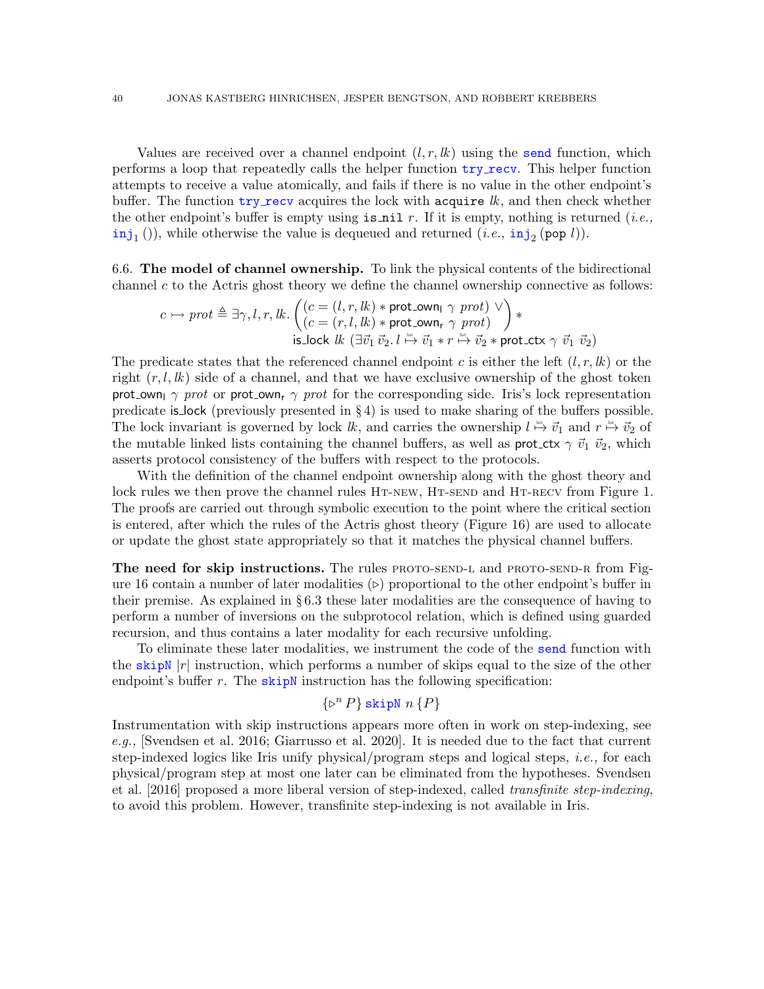Values are received over a channel endpoint  $(l, r, lk)$  using the send function, which performs a loop that repeatedly calls the helper function try recv. This helper function attempts to receive a value atomically, and fails if there is no value in the other endpoint's buffer. The function  $try\_recv$  acquires the lock with acquire  $lk$ , and then check whether the other endpoint's buffer is empty using  $\exists$   $\exists$   $\exists$   $\exists$   $r$ . If it is empty, nothing is returned (*i.e.*,  $\text{inj}_1$  ()), while otherwise the value is dequeued and returned  $(i.e., \text{inj}_2 \text{ (pop } l)).$ 

<span id="page-39-0"></span>6.6. The model of channel ownership. To link the physical contents of the bidirectional channel  $c$  to the Actris ghost theory we define the channel ownership connective as follows:

$$
c \rightarrow \text{prot} \triangleq \exists \gamma, l, r, lk. \begin{pmatrix} (c = (l, r, lk) * \text{prot\_own}_1 \gamma \text{ prot}) \\ (c = (r, l, lk) * \text{prot\_own}_r \gamma \text{ prot}) \end{pmatrix} * \text{is\_lock } lk \ (\exists \vec{v_1} \ \vec{v_2}, l \xrightarrow{\text{rs}} \vec{v_1} * r \xrightarrow{\text{rs}} \vec{v_2} * \text{prot\_ctx} \gamma \ \vec{v_1} \ \vec{v_2})
$$

The predicate states that the referenced channel endpoint c is either the left  $(l, r, lk)$  or the right  $(r, l, lk)$  side of a channel, and that we have exclusive ownership of the ghost token prot own  $\gamma$  prot or prot own,  $\gamma$  prot for the corresponding side. Iris's lock representation predicate is lock (previously presented in § [4\)](#page-26-0) is used to make sharing of the buffers possible. The lock invariant is governed by lock  $lk$ , and carries the ownership  $l \stackrel{\text{def}}{\mapsto} \vec{v}_1$  and  $r \stackrel{\text{def}}{\mapsto} \vec{v}_2$  of the mutable linked lists containing the channel buffers, as well as prot\_ctx  $\gamma \vec{v_1} \vec{v_2}$ , which asserts protocol consistency of the buffers with respect to the protocols.

With the definition of the channel endpoint ownership along with the ghost theory and lock rules we then prove the channel rules HT-NEW, HT-SEND and HT-RECV from Figure [1.](#page-9-0) The proofs are carried out through symbolic execution to the point where the critical section is entered, after which the rules of the Actris ghost theory (Figure [16\)](#page-37-2) are used to allocate or update the ghost state appropriately so that it matches the physical channel buffers.

The need for skip instructions. The rules PROTO-SEND-L and PROTO-SEND-R from Fig-ure [16](#page-37-2) contain a number of later modalities  $(\triangleright)$  proportional to the other endpoint's buffer in their premise. As explained in  $\S 6.3$  $\S 6.3$  these later modalities are the consequence of having to perform a number of inversions on the subprotocol relation, which is defined using guarded recursion, and thus contains a later modality for each recursive unfolding.

To eliminate these later modalities, we instrument the code of the send function with the skipN  $|r|$  instruction, which performs a number of skips equal to the size of the other endpoint's buffer  $r$ . The skipN instruction has the following specification:

$$
\{ \triangleright^n P \}
$$
skipN  $n \{ P \}$ 

Instrumentation with skip instructions appears more often in work on step-indexing, see e.g., [\[Svendsen et al.](#page-54-11) [2016;](#page-54-11) [Giarrusso et al.](#page-53-10) [2020\]](#page-53-10). It is needed due to the fact that current step-indexed logics like Iris unify physical/program steps and logical steps, *i.e.*, for each physical/program step at most one later can be eliminated from the hypotheses. [Svendsen](#page-54-11) [et al.](#page-54-11) [\[2016\]](#page-54-11) proposed a more liberal version of step-indexed, called transfinite step-indexing, to avoid this problem. However, transfinite step-indexing is not available in Iris.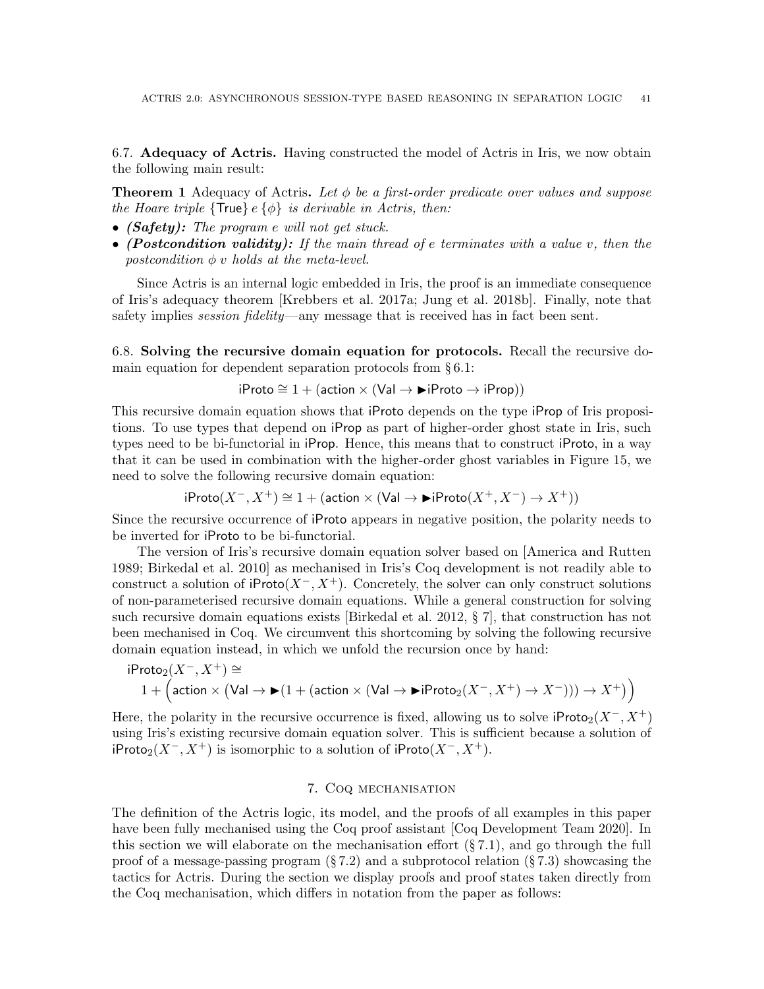<span id="page-40-1"></span>6.7. Adequacy of Actris. Having constructed the model of Actris in Iris, we now obtain the following main result:

**Theorem 1** Adequacy of Actris. Let  $\phi$  be a first-order predicate over values and suppose the Hoare triple  $\{True\}$  e $\{\phi\}$  is derivable in Actris, then:

- (Safety): The program e will not get stuck.
- (Postcondition validity): If the main thread of e terminates with a value v, then the postcondition  $\phi$  v holds at the meta-level.

Since Actris is an internal logic embedded in Iris, the proof is an immediate consequence of Iris's adequacy theorem [\[Krebbers et al.](#page-54-0) [2017a;](#page-54-0) [Jung et al.](#page-53-3) [2018b\]](#page-53-3). Finally, note that safety implies *session fidelity*—any message that is received has in fact been sent.

<span id="page-40-2"></span>6.8. Solving the recursive domain equation for protocols. Recall the recursive domain equation for dependent separation protocols from § [6.1:](#page-33-0)

iProto  $\cong$  1 + (action  $\times$  (Val  $\rightarrow \blacktriangleright$  iProto  $\rightarrow$  iProp))

This recursive domain equation shows that iProto depends on the type iProp of Iris propositions. To use types that depend on iProp as part of higher-order ghost state in Iris, such types need to be bi-functorial in iProp. Hence, this means that to construct iProto, in a way that it can be used in combination with the higher-order ghost variables in Figure [15,](#page-36-1) we need to solve the following recursive domain equation:

$$
\mathrm{iProb}(X^-, X^+) \cong 1 + (\mathrm{action} \times (\mathrm{Val} \to \mathrm{I\!Froto}(X^+, X^-) \to X^+))
$$

Since the recursive occurrence of iProto appears in negative position, the polarity needs to be inverted for iProto to be bi-functorial.

The version of Iris's recursive domain equation solver based on [\[America and Rutten](#page-52-10) [1989;](#page-52-10) [Birkedal et al.](#page-52-11) [2010\]](#page-52-11) as mechanised in Iris's Coq development is not readily able to construct a solution of iProto $(X^-, X^+)$ . Concretely, the solver can only construct solutions of non-parameterised recursive domain equations. While a general construction for solving such recursive domain equations exists [\[Birkedal et al.](#page-52-12) [2012,](#page-52-12) § 7], that construction has not been mechanised in Coq. We circumvent this shortcoming by solving the following recursive domain equation instead, in which we unfold the recursion once by hand:

$$
iProb_2(X^-, X^+) \cong
$$
  
1 + (action × (Val → **)**(1 + (action × (Val → **)**iProb<sub>2</sub>(X^-, X^+) → X^-))) → X<sup>+</sup>)

Here, the polarity in the recursive occurrence is fixed, allowing us to solve  $iProto<sub>2</sub>(X<sup>-</sup>, X<sup>+</sup>)$ using Iris's existing recursive domain equation solver. This is sufficient because a solution of iProto<sub>2</sub>( $X^-$ ,  $X^+$ ) is isomorphic to a solution of iProto( $X^-$ ,  $X^+$ ).

#### 7. Coq mechanisation

<span id="page-40-0"></span>The definition of the Actris logic, its model, and the proofs of all examples in this paper have been fully mechanised using the Coq proof assistant [\[Coq Development Team 2020\]](#page-52-13). In this section we will elaborate on the mechanisation effort  $(\S 7.1)$  $(\S 7.1)$ , and go through the full proof of a message-passing program  $(\S 7.2)$  $(\S 7.2)$  and a subprotocol relation  $(\S 7.3)$  $(\S 7.3)$  showcasing the tactics for Actris. During the section we display proofs and proof states taken directly from the Coq mechanisation, which differs in notation from the paper as follows: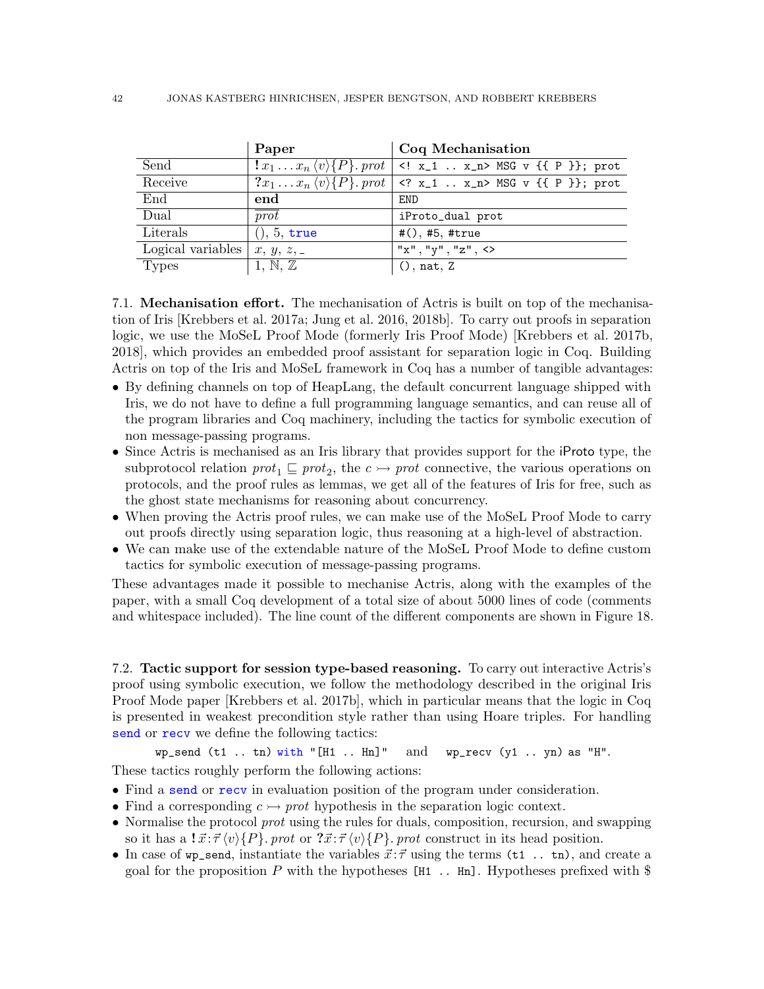|                   | Paper        | Coq Mechanisation                                                       |
|-------------------|--------------|-------------------------------------------------------------------------|
| Send              |              | $ x_1x_n \langle v \rangle \{P\}$ . prot   x_1  x_n MSG v {{ P }}; prot |
| Receive           |              | $?x_1x_n \langle v \rangle \{P\}$ . prot   x_1  x_n MSG v {{ P }}; prot |
| End               | end          | END                                                                     |
| Dual              | prot         | iProto_dual prot                                                        |
| Literals          | (0, 5, true) | $#()$ , #5, #true                                                       |
| Logical variables | x, y, z, z   | "x", "y", "z", <                                                        |
| Types             | 1, N, Z      | (), nat, Z                                                              |

<span id="page-41-0"></span>7.1. Mechanisation effort. The mechanisation of Actris is built on top of the mechanisation of Iris [\[Krebbers et al.](#page-54-0) [2017a;](#page-54-0) [Jung et al.](#page-53-2) [2016,](#page-53-2) [2018b\]](#page-53-3). To carry out proofs in separation logic, we use the MoSeL Proof Mode (formerly Iris Proof Mode) [\[Krebbers et al.](#page-54-12) [2017b,](#page-54-12) [2018\]](#page-54-13), which provides an embedded proof assistant for separation logic in Coq. Building Actris on top of the Iris and MoSeL framework in Coq has a number of tangible advantages:

- By defining channels on top of HeapLang, the default concurrent language shipped with Iris, we do not have to define a full programming language semantics, and can reuse all of the program libraries and Coq machinery, including the tactics for symbolic execution of non message-passing programs.
- Since Actris is mechanised as an Iris library that provides support for the iProto type, the subprotocol relation  $prot_1 \sqsubseteq prot_2$ , the  $c \rightarrow prot$  connective, the various operations on protocols, and the proof rules as lemmas, we get all of the features of Iris for free, such as the ghost state mechanisms for reasoning about concurrency.
- When proving the Actris proof rules, we can make use of the MoSeL Proof Mode to carry out proofs directly using separation logic, thus reasoning at a high-level of abstraction.
- We can make use of the extendable nature of the MoSeL Proof Mode to define custom tactics for symbolic execution of message-passing programs.

These advantages made it possible to mechanise Actris, along with the examples of the paper, with a small Coq development of a total size of about 5000 lines of code (comments and whitespace included). The line count of the different components are shown in Figure [18.](#page-42-0)

<span id="page-41-1"></span>7.2. Tactic support for session type-based reasoning. To carry out interactive Actris's proof using symbolic execution, we follow the methodology described in the original Iris Proof Mode paper [\[Krebbers et al.](#page-54-12) [2017b\]](#page-54-12), which in particular means that the logic in Coq is presented in weakest precondition style rather than using Hoare triples. For handling send or recv we define the following tactics:

wp\_send (t1 .. tn) with "[H1 .. Hn]" and wp\_recv (y1 .. yn) as "H".

These tactics roughly perform the following actions:

- Find a send or recv in evaluation position of the program under consideration.
- Find a corresponding  $c \rightarrow$  prot hypothesis in the separation logic context.
- Normalise the protocol *prot* using the rules for duals, composition, recursion, and swapping so it has a  $\vec{x} \cdot \vec{\tau} \langle v \rangle \{P\}$ . prot or  $\vec{x} \cdot \vec{\tau} \langle v \rangle \{P\}$ . prot construct in its head position.
- In case of wp\_send, instantiate the variables  $\vec{x}$ :  $\vec{\tau}$  using the terms (t1.. tn), and create a goal for the proposition  $P$  with the hypotheses [H1 .. Hn]. Hypotheses prefixed with  $\$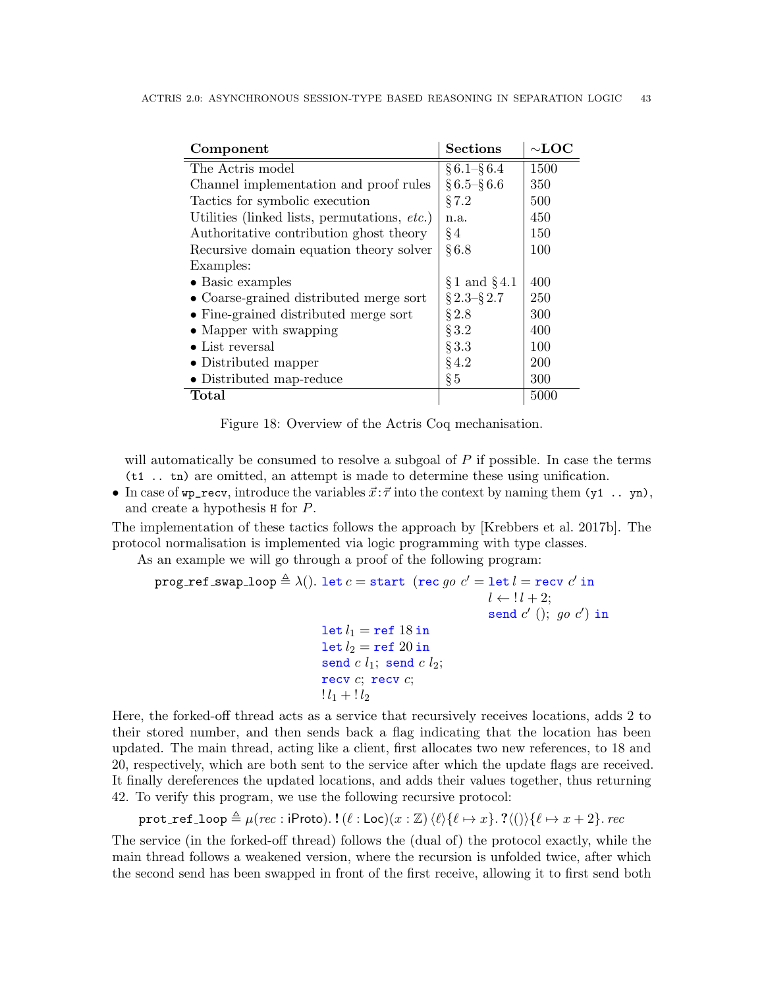| Component                                    | <b>Sections</b>   | $\sim$ LOC |
|----------------------------------------------|-------------------|------------|
| The Actris model                             | $\S 6.1 - \S 6.4$ | 1500       |
| Channel implementation and proof rules       | $\S 6.5 - \S 6.6$ | 350        |
| Tactics for symbolic execution               | §7.2              | 500        |
| Utilities (linked lists, permutations, etc.) | n.a.              | 450        |
| Authoritative contribution ghost theory      | $§$ 4             | 150        |
| Recursive domain equation theory solver      | §6.8              | 100        |
| Examples:                                    |                   |            |
| $\bullet$ Basic examples                     | $§ 1$ and $§ 4.1$ | 400        |
| • Coarse-grained distributed merge sort      | $\S 2.3 - \S 2.7$ | 250        |
| • Fine-grained distributed merge sort        | $\S 2.8$          | 300        |
| $\bullet$ Mapper with swapping               | $\S 3.2$          | 400        |
| $\bullet$ List reversal                      | $\S 3.3$          | 100        |
| • Distributed mapper                         | $§$ 4.2           | 200        |
| • Distributed map-reduce                     | $\S 5$            | 300        |
| Total                                        |                   | 5000       |

<span id="page-42-0"></span>Figure 18: Overview of the Actris Coq mechanisation.

will automatically be consumed to resolve a subgoal of  $P$  if possible. In case the terms (t1 .. tn) are omitted, an attempt is made to determine these using unification.

• In case of  $wp\_recv$ , introduce the variables  $\vec{x}$ :  $\vec{\tau}$  into the context by naming them (y1 .. yn), and create a hypothesis H for P.

The implementation of these tactics follows the approach by [\[Krebbers et al.](#page-54-12) [2017b\]](#page-54-12). The protocol normalisation is implemented via logic programming with type classes.

As an example we will go through a proof of the following program:

```
\texttt{prog\_ref\_swap\_loop} \triangleq \lambda() . \texttt{ let } c = \texttt{start} \hspace{0.2cm} (\texttt{rec} \hspace{0.2cm} go \hspace{0.2cm} c' = \texttt{let} \hspace{0.2cm} l = \texttt{recv} \hspace{0.2cm} c' \hspace{0.2cm} \texttt{in}l \leftarrow ! l + 2;
                                                                                                                    send c' (); go\ c') in
                                                         let l_1 = \text{ref } 18 in
                                                         let l_2 = ref 20 in
                                                         send c l_1; send c l_2;
                                                         recv c; recv c;
                                                         ! l_1 + l_2
```
Here, the forked-off thread acts as a service that recursively receives locations, adds 2 to their stored number, and then sends back a flag indicating that the location has been updated. The main thread, acting like a client, first allocates two new references, to 18 and 20, respectively, which are both sent to the service after which the update flags are received. It finally dereferences the updated locations, and adds their values together, thus returning 42. To verify this program, we use the following recursive protocol:

prot\_ref\_loop  $\triangleq \mu(rec : \text{iProb}).$ ! $(\ell : \text{Loc})(x : \mathbb{Z})\langle \ell \rangle \{\ell \mapsto x\}.$ ? $\langle \ell \rangle \{\ell \mapsto x + 2\}.$  rec

The service (in the forked-off thread) follows the (dual of) the protocol exactly, while the main thread follows a weakened version, where the recursion is unfolded twice, after which the second send has been swapped in front of the first receive, allowing it to first send both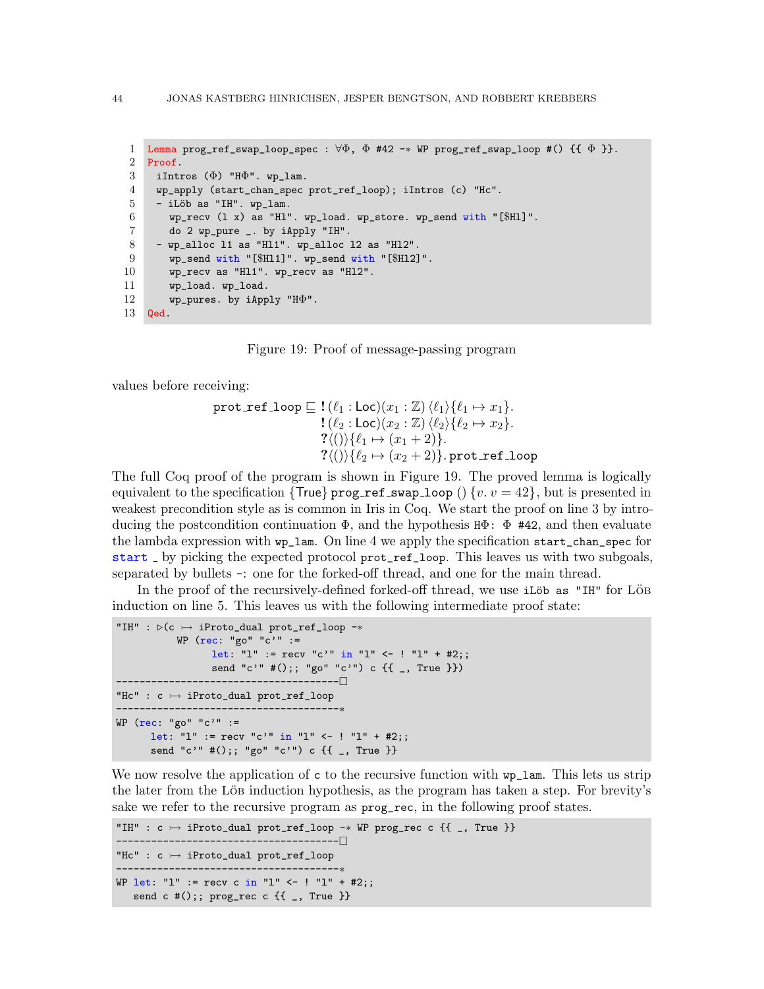```
1 Lemma prog_ref_swap_loop_spec : \forall \Phi, \Phi #42 -* WP prog_ref_swap_loop #() {{ \Phi }}.
 2 Proof.
 3 iIntros (\Phi) "H\Phi". wp_lam.
 4 wp_apply (start_chan_spec prot_ref_loop); iIntros (c) "Hc".
 5 - iLöb as "IH". wp_lam.
 6 wp_recv (1 \t x) as "H1". wp_load. wp_store. wp_send with "[$H11]".
 7 do 2 wp_pure _. by iApply "IH".
 8 - wp_alloc l1 as "Hl1". wp_alloc l2 as "Hl2".
9 wp_send with "[$Hl1]". wp_send with "[$Hl2]".
10 wp_recv as "Hl1". wp_recv as "Hl2".
11 wp_load. wp_load.
12 wp_pures. by iApply "H\Phi".
13 Qed.
```
<span id="page-43-0"></span>Figure 19: Proof of message-passing program

<span id="page-43-10"></span><span id="page-43-9"></span>values before receiving:

$$
\texttt{prot\_ref\_loop} \sqsubseteq ! (\ell_1 : \texttt{Loc})(x_1 : \mathbb{Z}) \langle \ell_1 \rangle \{ \ell_1 \mapsto x_1 \}.
$$
\n
$$
! (\ell_2 : \texttt{Loc})(x_2 : \mathbb{Z}) \langle \ell_2 \rangle \{ \ell_2 \mapsto x_2 \}.
$$
\n
$$
? \langle () \rangle \{ \ell_1 \mapsto (x_1 + 2) \}.
$$
\n
$$
? \langle () \rangle \{ \ell_2 \mapsto (x_2 + 2) \}.\texttt{prot\_ref\_loop}
$$

The full Coq proof of the program is shown in Figure [19.](#page-43-0) The proved lemma is logically equivalent to the specification { $True$ } prog\_ref\_swap\_loop () {v.  $v = 42$ }, but is presented in weakest precondition style as is common in Iris in Coq. We start the proof on [line 3](#page-43-1) by introducing the postcondition continuation  $\Phi$ , and the hypothesis  $H\Phi$ :  $\Phi$  #42, and then evaluate the lambda expression with wp\_lam. On [line 4](#page-43-2) we apply the specification start\_chan\_spec for start by picking the expected protocol prot\_ref\_loop. This leaves us with two subgoals, separated by bullets -: one for the forked-off thread, and one for the main thread.

In the proof of the recursively-defined forked-off thread, we use  $i$ Löb as "IH" for Löb induction on [line 5.](#page-43-3) This leaves us with the following intermediate proof state:

```
"IH" : \triangleright(c \rightarrow iProto_dual prot_ref_loop -*
           WP (rec: "go" "c'" :=
                  let: "1" := recv "c'" in "1" <- ! "1" + #2;;
                  send "c'" #();; "go" "c'") c \{{ _, True }})
               --------------------------------------
"Hc" : c \rightarrow iProto_dual prot_ref_loop
    --------------------------------------∗
WP (rec: "go" "c'" :=
      let: "l" := recv "c'" in "l" <- ! "l" + #2;;
      send "c'" #();; "go" "c'") c {{ _, True }}
```
We now resolve the application of c to the recursive function with  $wp\_lam$ . This lets us strip the later from the Löb induction hypothesis, as the program has taken a step. For brevity's sake we refer to the recursive program as  $\mathbf{prog\_rec}$ , in the following proof states.

```
"IH" : c \rightarrow iProto_dual prot_ref_loop -* WP prog_rec c {{ _, True }}
         --------------------------------------
"Hc" : c \rightarrow iProto_dual prot_ref_loop
     .-----------------------------------
WP let: "1" := recv c in "1" <- ! "1" + #2;;
   send c #();; prog_rec c {f_{-}}, True }
```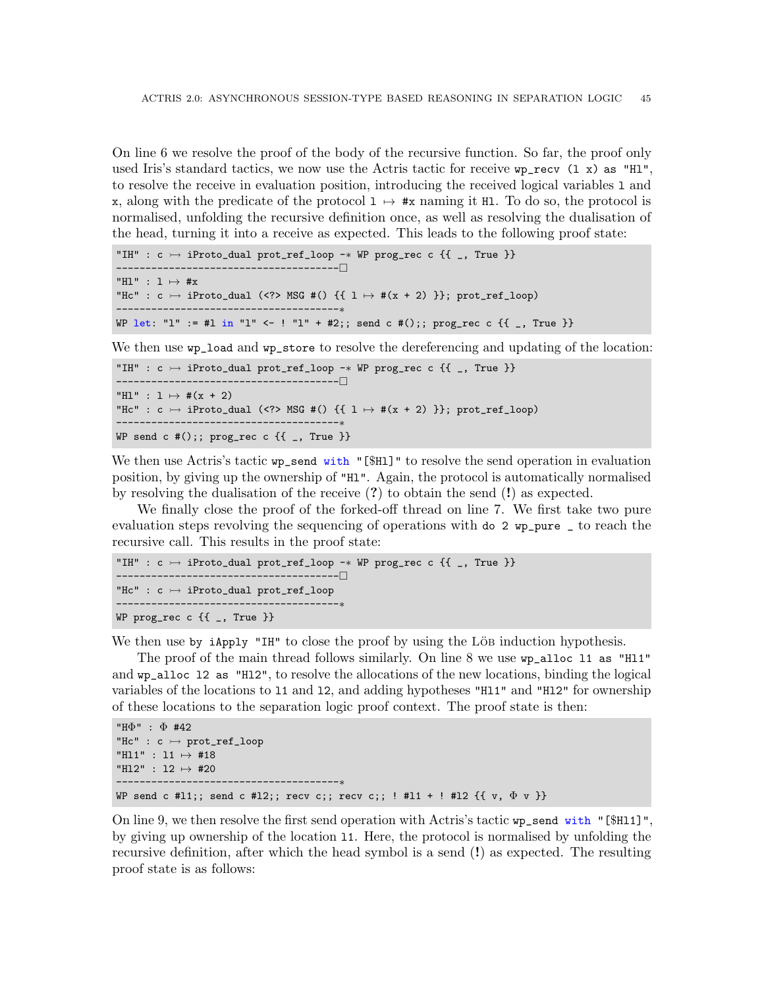On [line 6](#page-43-4) we resolve the proof of the body of the recursive function. So far, the proof only used Iris's standard tactics, we now use the Actris tactic for receive  $wp\_recv$  (1 x) as "H1", to resolve the receive in evaluation position, introducing the received logical variables l and x, along with the predicate of the protocol  $1 \mapsto \#x$  naming it Hl. To do so, the protocol is normalised, unfolding the recursive definition once, as well as resolving the dualisation of the head, turning it into a receive as expected. This leads to the following proof state:

```
"IH" : c \rightarrow iProto_dual prot_ref_loop -* WP prog_rec c {{ _, True }}
                             --------------------------------------
"Hl" : 1 \mapsto \#x"Hc" : c \rightarrow iProto_dual (<?> MSG #() {{ 1 \rightarrow #(x + 2) }}; prot_ref_loop)
                        --------------------------------------∗
WP let: "1" := #1 in "1" <- ! "1" + #2;; send c #();; prog_rec c {{ _, True }}
```
We then use wp\_load and wp\_store to resolve the dereferencing and updating of the location:

```
"IH" : c \rightarrow iProto_dual prot_ref_loop -* WP prog_rec c {{ _, True }}
 --------------------------------------
"H1" : 1 \mapsto #(x + 2)"Hc" : c \rightarrow iProto_dual (<?> MSG #() {{ 1 \mapsto #(x + 2) }}; prot_ref_loop)
        ---------------------------------
WP send c #();; prog_rec c {f_{-.} True }}
```
We then use Actris's tactic wp\_send with "[\$H1]" to resolve the send operation in evaluation position, by giving up the ownership of "Hl". Again, the protocol is automatically normalised by resolving the dualisation of the receive  $(?)$  to obtain the send  $(!)$  as expected.

We finally close the proof of the forked-off thread on [line 7.](#page-43-5) We first take two pure evaluation steps revolving the sequencing of operations with do 2 wp\_pure \_ to reach the recursive call. This results in the proof state:

```
"IH" : c \rightarrow iProto_dual prot_ref_loop -* WP prog_rec c {{ _, True }}
 --------------------------------------
"Hc" : c \rightarrow iProto_dual prot_ref_loop
------------------------------------<sub>*</sub>
WP prog_rec c {{ _, True }}
```
We then use by  $i$ Apply "IH" to close the proof by using the LöB induction hypothesis.

The proof of the main thread follows similarly. On [line 8](#page-43-6) we use wp\_alloc l1 as "Hl1" and wp\_alloc l2 as "Hl2", to resolve the allocations of the new locations, binding the logical variables of the locations to l1 and l2, and adding hypotheses "Hl1" and "Hl2" for ownership of these locations to the separation logic proof context. The proof state is then:

```
"HΦ" : Φ #42
"Hc" : c \rightarrow prot_ref_loop
"Hl1" : l1 7→ #18
"H12" : 12 \mapsto #20
--------------------------------------∗
WP send c #11;; send c #12;; recv c;; recv c;; ! #11 + ! #12 \{\{ v, \Phi v \} \}
```
On [line 9,](#page-43-7) we then resolve the first send operation with Actris's tactic wp\_send with "[\$Hl1]", by giving up ownership of the location l1. Here, the protocol is normalised by unfolding the recursive definition, after which the head symbol is a send (!) as expected. The resulting proof state is as follows: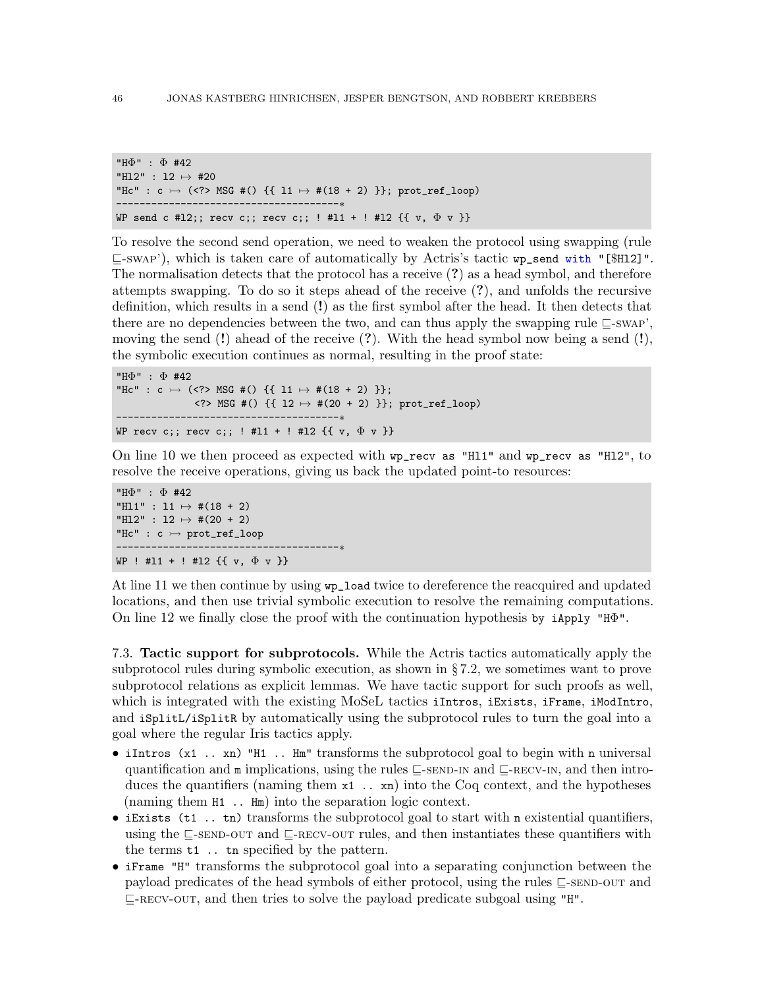```
"HΦ" : Φ #42
"H12" : 12 \mapsto #20
"Hc" : c \rightarrow (<?> MSG #() {{ 11 \mapsto #(18 + 2) }}; prot_ref_loop)
           .______________________________<sub>*</sub>
WP send c #12;; recv c;; recv c;; ! #11 + ! #12 \{ \{ v, \Phi v \} \}
```
To resolve the second send operation, we need to weaken the protocol using swapping (rule  $\sqsubseteq$ [-swap'](#page-18-3)), which is taken care of automatically by Actris's tactic wp\_send with "[\$H12]". The normalisation detects that the protocol has a receive (?) as a head symbol, and therefore attempts swapping. To do so it steps ahead of the receive (?), and unfolds the recursive definition, which results in a send (!) as the first symbol after the head. It then detects that there are no dependencies between the two, and can thus apply the swapping rule  $\subseteq$ [-swap'](#page-18-3), moving the send  $(!)$  ahead of the receive  $(?)$ . With the head symbol now being a send  $(!)$ , the symbolic execution continues as normal, resulting in the proof state:

```
"HΦ" : Φ #42
"Hc" : c \rightarrow (<?> MSG #() {{ 11 \rightarrow #(18 + 2) }};
              \langle ? \rangle MSG #() {{ 12 \mapsto #(20 + 2) }}; prot_ref_loop)
--------------------------------------∗
WP recv c;; recv c;; ! #11 + ! #12 \{ \{ v, \Phi v \} \}
```
On [line 10](#page-43-8) we then proceed as expected with wp\_recv as "Hl1" and wp\_recv as "Hl2", to resolve the receive operations, giving us back the updated point-to resources:

```
"HΦ" : Φ #42
"H11" : 11 \mapsto #(18 + 2)
"H12" : 12 \mapsto #(20 + 2)
"Hc" : c \rightarrow prot_ref_loop
--------------------------------------∗
WP ! #11 + ! #12 \{ \{ v, \Phi v \} \}
```
At [line 11](#page-43-9) we then continue by using wp\_load twice to dereference the reacquired and updated locations, and then use trivial symbolic execution to resolve the remaining computations. On [line 12](#page-43-10) we finally close the proof with the continuation hypothesis by iApply "HΦ".

<span id="page-45-0"></span>7.3. Tactic support for subprotocols. While the Actris tactics automatically apply the subprotocol rules during symbolic execution, as shown in § [7.2,](#page-41-1) we sometimes want to prove subprotocol relations as explicit lemmas. We have tactic support for such proofs as well, which is integrated with the existing MoSeL tactics iIntros, iExists, iFrame, iModIntro, and iSplitL/iSplitR by automatically using the subprotocol rules to turn the goal into a goal where the regular Iris tactics apply.

- iIntros (x1.. xn) "H1.. Hm" transforms the subprotocol goal to begin with n universal quantification and  $m$  implications, using the rules  $\sqsubseteq$ [-send-in](#page-20-3) and  $\sqsubseteq$ [-recv-in](#page-20-4), and then introduces the quantifiers (naming them  $x1$ ..  $xn$ ) into the Coq context, and the hypotheses (naming them H1 .. Hm) into the separation logic context.
- iExists (t1 .. tn) transforms the subprotocol goal to start with n existential quantifiers, using the  $\subseteq$ [-send-out](#page-20-1) and  $\subseteq$ [-recv-out](#page-20-2) rules, and then instantiates these quantifiers with the terms t1 .. tn specified by the pattern.
- iFrame "H" transforms the subprotocol goal into a separating conjunction between the payload predicates of the head symbols of either protocol, using the rules  $\subseteq$ [-send-out](#page-20-1) and  $\sqsubseteq$ -RECV-OUT, and then tries to solve the payload predicate subgoal using "H".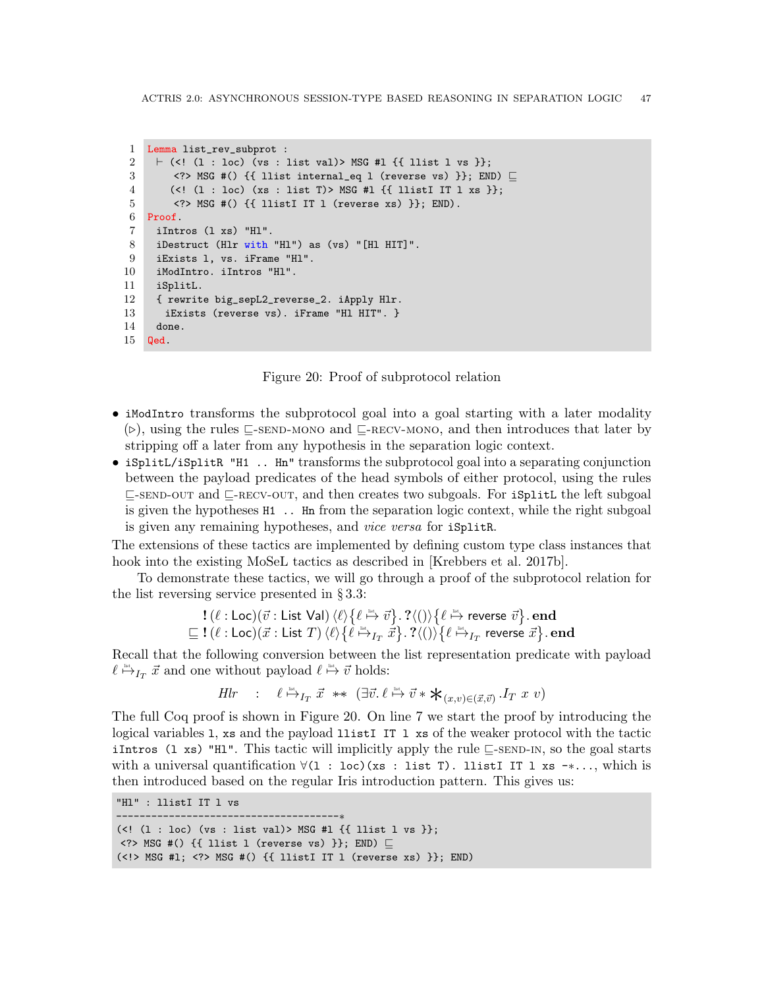```
1 Lemma list_rev_subprot :
 2 \vdash (<! (1 : loc) (vs : list val)> MSG #l {{ llist l vs }};
 3 <?> MSG #() {{ llist internal_eq l (reverse vs) }}; END) \sqsubseteq4 (<! (l : loc) (xs : list T)> MSG #l {{ llistI IT l xs }};
 5 <?> MSG #() {{ llistI IT l (reverse xs) }}; END).
 6 Proof.
 7 iIntros (l xs) "Hl".
 8 iDestruct (Hlr with "Hl") as (vs) "[Hl HIT]".
 9 iExists l, vs. iFrame "Hl".
10 iModIntro. iIntros "Hl".
11 iSplitL.
12 { rewrite big_sepL2_reverse_2. iApply Hlr.
13 iExists (reverse vs). iFrame "Hl HIT". }
14 done.
15 Qed.
```
<span id="page-46-0"></span>Figure 20: Proof of subprotocol relation

- <span id="page-46-8"></span><span id="page-46-7"></span><span id="page-46-6"></span>• iModIntro transforms the subprotocol goal into a goal starting with a later modality  $(\triangleright)$ , using the rules  $\sqsubseteq$ [-send-mono](#page-20-5) and  $\sqsubseteq$ [-recv-mono](#page-20-6), and then introduces that later by stripping off a later from any hypothesis in the separation logic context.
- iSplitL/iSplitR "H1 .. Hn" transforms the subprotocol goal into a separating conjunction between the payload predicates of the head symbols of either protocol, using the rules  $\sqsubseteq$ [-send-out](#page-20-1) and  $\sqsubseteq$ [-recv-out](#page-20-2), and then creates two subgoals. For iSplitL the left subgoal is given the hypotheses H1 .. Hn from the separation logic context, while the right subgoal is given any remaining hypotheses, and vice versa for iSplitR.

The extensions of these tactics are implemented by defining custom type class instances that hook into the existing MoSeL tactics as described in [\[Krebbers et al. 2017b\]](#page-54-12).

To demonstrate these tactics, we will go through a proof of the subprotocol relation for the list reversing service presented in § [3.3:](#page-23-0)

$$
\begin{array}{l} \textbf{!}\ (\ell:\mathsf{Loc})(\vec{v}:\mathsf{List}\ \mathsf{Val}) \ \langle \ell \rangle \big\{ \ell \stackrel{\scriptscriptstyle{\mathsf{list}}}{\mapsto} \vec{v} \big\}.\ \textbf{?}\langle () \rangle \big\{ \ell \stackrel{\scriptscriptstyle{\mathsf{list}}}{\mapsto} \text{reverse}\ \vec{v} \big\}.\ \mathbf{end} \\ \sqsubseteq \textbf{!}\ (\ell:\mathsf{Loc})(\vec{x}:\mathsf{List}\ T)\ \langle \ell \rangle \big\{ \ell \stackrel{\scriptscriptstyle{\mathsf{list}}}{\mapsto}_{I_T} \vec{x} \big\}.\ \textbf{?}\langle () \rangle \big\{ \ell \stackrel{\scriptscriptstyle{\mathsf{list}}}{\mapsto}_{I_T} \text{reverse}\ \vec{x} \big\}.\ \mathbf{end} \\ \end{array}
$$

Recall that the following conversion between the list representation predicate with payload  $\ell \stackrel{\text{dist}}{\mapsto} I_T \ \vec{x}$  and one without payload  $\ell \stackrel{\text{dist}}{\mapsto} \vec{v}$  holds:

*Hlr* : 
$$
\ell \stackrel{\text{list}}{\mapsto} I_T \vec{x} \ast \left( \exists \vec{v}, \ell \stackrel{\text{list}}{\mapsto} \vec{v} \ast \star_{(x,v) \in (\vec{x}, \vec{v})} I_T x v \right)
$$

The full Coq proof is shown in Figure [20.](#page-46-0) On [line 7](#page-46-1) we start the proof by introducing the logical variables l, xs and the payload llistI IT l xs of the weaker protocol with the tactic iIntros (1 xs) "H1". This tactic will implicitly apply the rule  $\subseteq$ -SEND-IN, so the goal starts with a universal quantification ∀(l : loc)(xs : list T). llistI IT l xs -∗..., which is then introduced based on the regular Iris introduction pattern. This gives us:

"Hl" : llistI IT l vs

--------------------------------------∗ (<! (1 : loc) (vs : list val)> MSG #1 {{ llist 1 vs }};  $\langle$ ?> MSG #() {{ llist l (reverse vs) }}; END)  $\Box$ (<!> MSG #l; <?> MSG #() {{ llistI IT l (reverse xs) }}; END)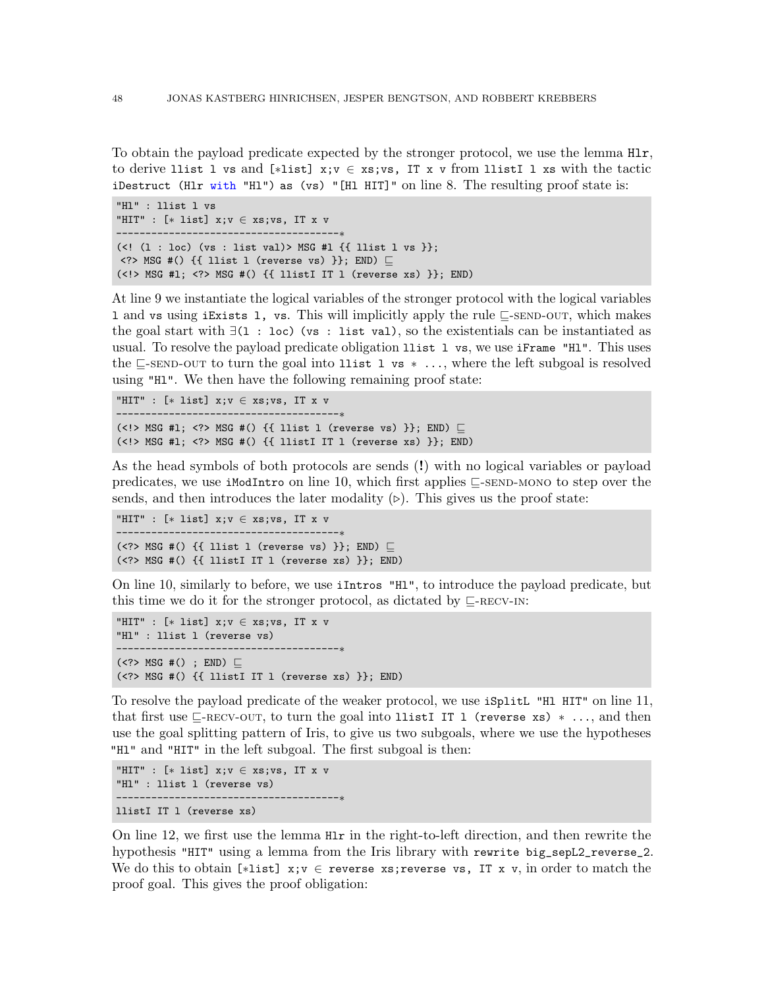To obtain the payload predicate expected by the stronger protocol, we use the lemma Hlr, to derive llist l vs and [∗list] x;v ∈ xs;vs, IT x v from llistI l xs with the tactic iDestruct (Hlr with "Hl") as (vs) "[Hl HIT]" on [line 8.](#page-46-2) The resulting proof state is:

```
"Hl" : llist l vs
"HIT" : [* list] x; v \in xs; vs, IT x v---------------------------------
(<! (1 : loc) (vs : list val)> MSG #1 \{ { llist 1 vs }};
\langle?> MSG #() {{ llist l (reverse vs) }}; END) \Box(\langle\cdot|\rangle) MSG #1; \langle\cdot|\rangle MSG #() {{ llistI IT l (reverse xs) }}; END)
```
At [line 9](#page-46-3) we instantiate the logical variables of the stronger protocol with the logical variables 1 and vs using iExists 1, vs. This will implicitly apply the rule  $\sqsubseteq$ [-send-out](#page-20-1), which makes the goal start with  $\exists$ (1 : loc) (vs : list val), so the existentials can be instantiated as usual. To resolve the payload predicate obligation llist l vs, we use iFrame "Hl". This uses the  $\subseteq$ [-send-out](#page-20-1) to turn the goal into llist l vs  $* \dots$ , where the left subgoal is resolved using "Hl". We then have the following remaining proof state:

```
"HIT" : [* list] x; v \in xs; vs. IT x v
--------------------------------------∗
(<!> MSG #1; <?> MSG #() {{ llist l (reverse vs) }}; END) \Box(\langle \cdot | \cdot \rangle) MSG #1; \langle \cdot | \cdot \rangle MSG #() {{ llistI IT 1 (reverse xs) }}; END)
```
As the head symbols of both protocols are sends (!) with no logical variables or payload predicates, we use iModIntro on [line 10,](#page-46-4) which first applies  $\subseteq$ [-send-mono](#page-20-5) to step over the sends, and then introduces the later modality  $(\triangleright)$ . This gives us the proof state:

```
"HIT" : [* list] x; v \in xs; vs, IT x v--------------------------------------∗
(<?> MSG #() {{ llist l (reverse vs) }}; END) \Box(<?> MSG #() {{ llistI IT l (reverse xs) }}; END)
```
On [line 10,](#page-46-4) similarly to before, we use iIntros "Hl", to introduce the payload predicate, but this time we do it for the stronger protocol, as dictated by  $\Box$ -RECV-IN:

```
"HIT" : [* list] x; v \in xs; vs, IT x v"Hl" : llist l (reverse vs)
--------------------------------------∗
(\langle ? \rangle MSG #() ; END) \square(\langle ? \rangle MSG #() \{ [listI IT l (reverse xs) \}; END)
```
To resolve the payload predicate of the weaker protocol, we use iSplitL "Hl HIT" on [line 11,](#page-46-5) that first use  $\Box$ [-recv-out](#page-20-2), to turn the goal into llistI IT l (reverse xs)  $*$ ..., and then use the goal splitting pattern of Iris, to give us two subgoals, where we use the hypotheses "HI" and "HIT" in the left subgoal. The first subgoal is then:

```
"HIT" : [* list] x; v \in xs; vs, IT x v"Hl" : llist l (reverse vs)
        --------------------------------------∗
llistI IT l (reverse xs)
```
On [line 12,](#page-46-6) we first use the lemma Hlr in the right-to-left direction, and then rewrite the hypothesis "HIT" using a lemma from the Iris library with rewrite big\_sepL2\_reverse\_2. We do this to obtain [\*list]  $x; v \in$  reverse xs;reverse vs, IT x v, in order to match the proof goal. This gives the proof obligation: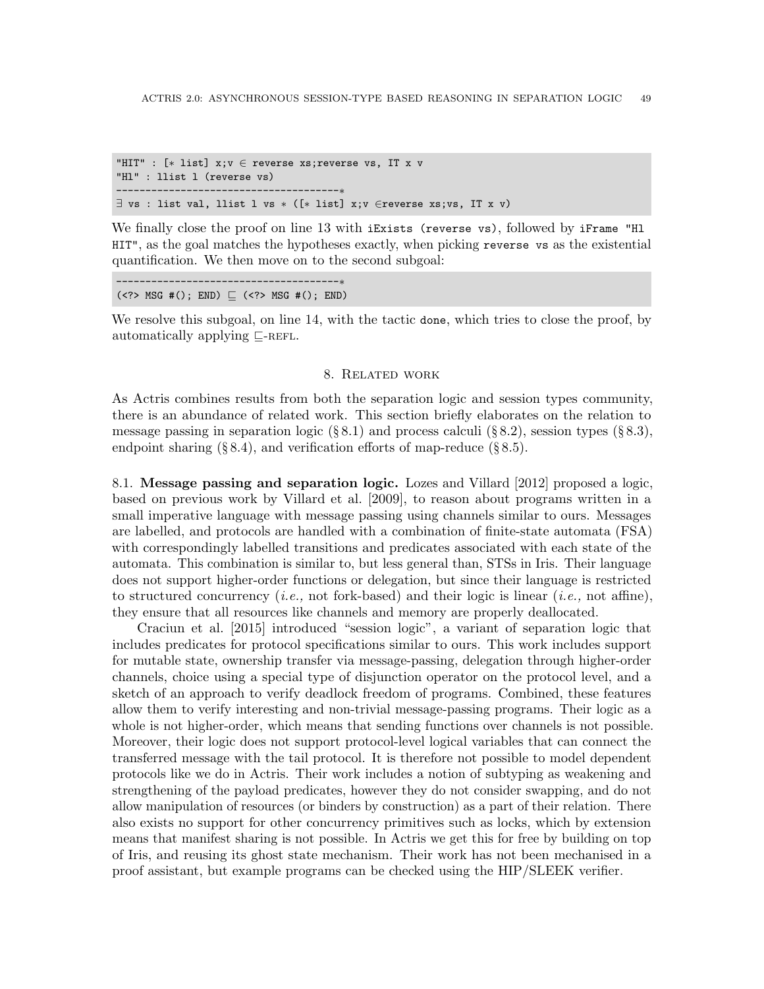```
"HIT" : [∗ list] x;v ∈ reverse xs;reverse vs, IT x v
"Hl" : llist l (reverse vs)
--------------------------------------∗
\exists vs : list val, llist l vs * ([* list] x; v \inreverse xs; vs, IT x v)
```
We finally close the proof on [line 13](#page-46-7) with iExists (reverse vs), followed by iFrame "Hl HIT", as the goal matches the hypotheses exactly, when picking reverse vs as the existential quantification. We then move on to the second subgoal:

--------------------------------------∗  $(\langle ? \rangle$  MSG #(); END)  $\sqsubseteq$  ( $\langle ? \rangle$  MSG #(); END)

We resolve this subgoal, on [line 14,](#page-46-8) with the tactic done, which tries to close the proof, by automatically applying  $\sqsubset$ -REFL.

#### 8. Related work

As Actris combines results from both the separation logic and session types community, there is an abundance of related work. This section briefly elaborates on the relation to message passing in separation logic  $(\S 8.1)$  $(\S 8.1)$  and process calculi  $(\S 8.2)$  $(\S 8.2)$ , session types  $(\S 8.3)$  $(\S 8.3)$ , endpoint sharing  $(\S 8.4)$  $(\S 8.4)$ , and verification efforts of map-reduce  $(\S 8.5)$  $(\S 8.5)$ .

<span id="page-48-0"></span>8.1. Message passing and separation logic. [Lozes and Villard](#page-54-3) [\[2012\]](#page-54-3) proposed a logic, based on previous work by [Villard et al.](#page-55-3) [\[2009\]](#page-55-3), to reason about programs written in a small imperative language with message passing using channels similar to ours. Messages are labelled, and protocols are handled with a combination of finite-state automata (FSA) with correspondingly labelled transitions and predicates associated with each state of the automata. This combination is similar to, but less general than, STSs in Iris. Their language does not support higher-order functions or delegation, but since their language is restricted to structured concurrency (*i.e.*, not fork-based) and their logic is linear (*i.e.*, not affine), they ensure that all resources like channels and memory are properly deallocated.

[Craciun et al.](#page-52-0) [\[2015\]](#page-52-0) introduced "session logic", a variant of separation logic that includes predicates for protocol specifications similar to ours. This work includes support for mutable state, ownership transfer via message-passing, delegation through higher-order channels, choice using a special type of disjunction operator on the protocol level, and a sketch of an approach to verify deadlock freedom of programs. Combined, these features allow them to verify interesting and non-trivial message-passing programs. Their logic as a whole is not higher-order, which means that sending functions over channels is not possible. Moreover, their logic does not support protocol-level logical variables that can connect the transferred message with the tail protocol. It is therefore not possible to model dependent protocols like we do in Actris. Their work includes a notion of subtyping as weakening and strengthening of the payload predicates, however they do not consider swapping, and do not allow manipulation of resources (or binders by construction) as a part of their relation. There also exists no support for other concurrency primitives such as locks, which by extension means that manifest sharing is not possible. In Actris we get this for free by building on top of Iris, and reusing its ghost state mechanism. Their work has not been mechanised in a proof assistant, but example programs can be checked using the HIP/SLEEK verifier.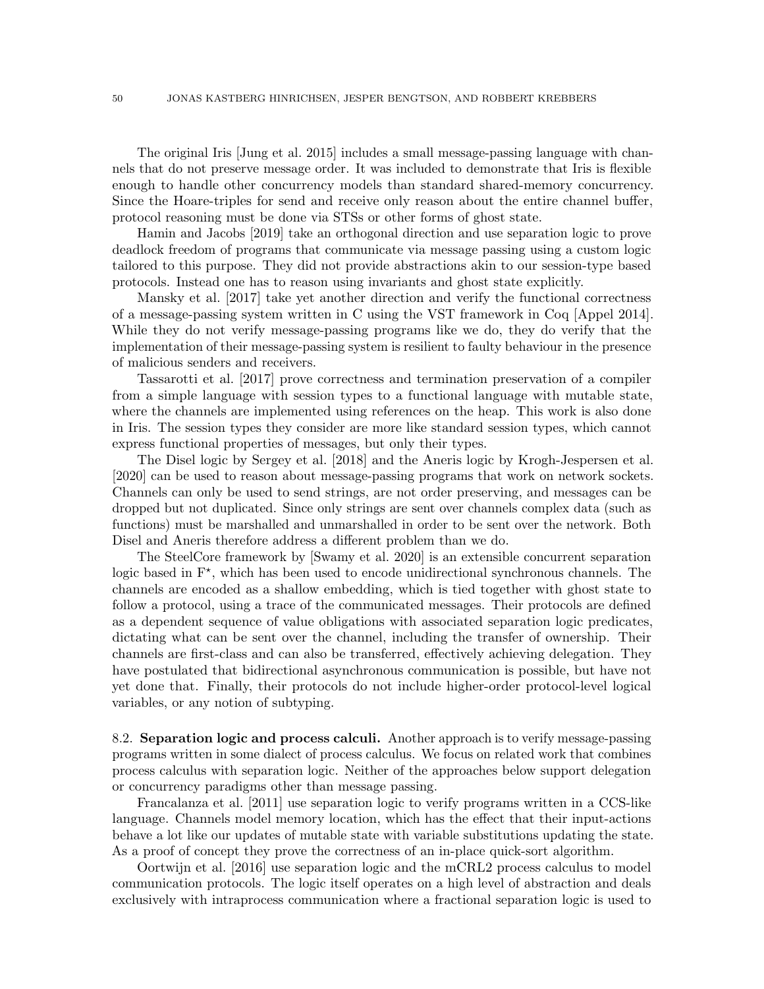The original Iris [\[Jung et al.](#page-53-1) [2015\]](#page-53-1) includes a small message-passing language with channels that do not preserve message order. It was included to demonstrate that Iris is flexible enough to handle other concurrency models than standard shared-memory concurrency. Since the Hoare-triples for send and receive only reason about the entire channel buffer, protocol reasoning must be done via STSs or other forms of ghost state.

[Hamin and Jacobs](#page-53-11) [\[2019\]](#page-53-11) take an orthogonal direction and use separation logic to prove deadlock freedom of programs that communicate via message passing using a custom logic tailored to this purpose. They did not provide abstractions akin to our session-type based protocols. Instead one has to reason using invariants and ghost state explicitly.

[Mansky et al.](#page-54-14) [\[2017\]](#page-54-14) take yet another direction and verify the functional correctness of a message-passing system written in C using the VST framework in Coq [\[Appel 2014\]](#page-52-2). While they do not verify message-passing programs like we do, they do verify that the implementation of their message-passing system is resilient to faulty behaviour in the presence of malicious senders and receivers.

[Tassarotti et al.](#page-55-2) [\[2017\]](#page-55-2) prove correctness and termination preservation of a compiler from a simple language with session types to a functional language with mutable state, where the channels are implemented using references on the heap. This work is also done in Iris. The session types they consider are more like standard session types, which cannot express functional properties of messages, but only their types.

The Disel logic by [Sergey et al.](#page-54-6) [\[2018\]](#page-54-6) and the Aneris logic by [Krogh-Jespersen et al.](#page-54-7) [\[2020\]](#page-54-7) can be used to reason about message-passing programs that work on network sockets. Channels can only be used to send strings, are not order preserving, and messages can be dropped but not duplicated. Since only strings are sent over channels complex data (such as functions) must be marshalled and unmarshalled in order to be sent over the network. Both Disel and Aneris therefore address a different problem than we do.

The SteelCore framework by [\[Swamy et al.](#page-55-4) [2020\]](#page-55-4) is an extensible concurrent separation logic based in  $F^*$ , which has been used to encode unidirectional synchronous channels. The channels are encoded as a shallow embedding, which is tied together with ghost state to follow a protocol, using a trace of the communicated messages. Their protocols are defined as a dependent sequence of value obligations with associated separation logic predicates, dictating what can be sent over the channel, including the transfer of ownership. Their channels are first-class and can also be transferred, effectively achieving delegation. They have postulated that bidirectional asynchronous communication is possible, but have not yet done that. Finally, their protocols do not include higher-order protocol-level logical variables, or any notion of subtyping.

<span id="page-49-0"></span>8.2. **Separation logic and process calculi.** Another approach is to verify message-passing programs written in some dialect of process calculus. We focus on related work that combines process calculus with separation logic. Neither of the approaches below support delegation or concurrency paradigms other than message passing.

[Francalanza et al.](#page-53-5) [\[2011\]](#page-53-5) use separation logic to verify programs written in a CCS-like language. Channels model memory location, which has the effect that their input-actions behave a lot like our updates of mutable state with variable substitutions updating the state. As a proof of concept they prove the correctness of an in-place quick-sort algorithm.

[Oortwijn et al.](#page-54-2) [\[2016\]](#page-54-2) use separation logic and the mCRL2 process calculus to model communication protocols. The logic itself operates on a high level of abstraction and deals exclusively with intraprocess communication where a fractional separation logic is used to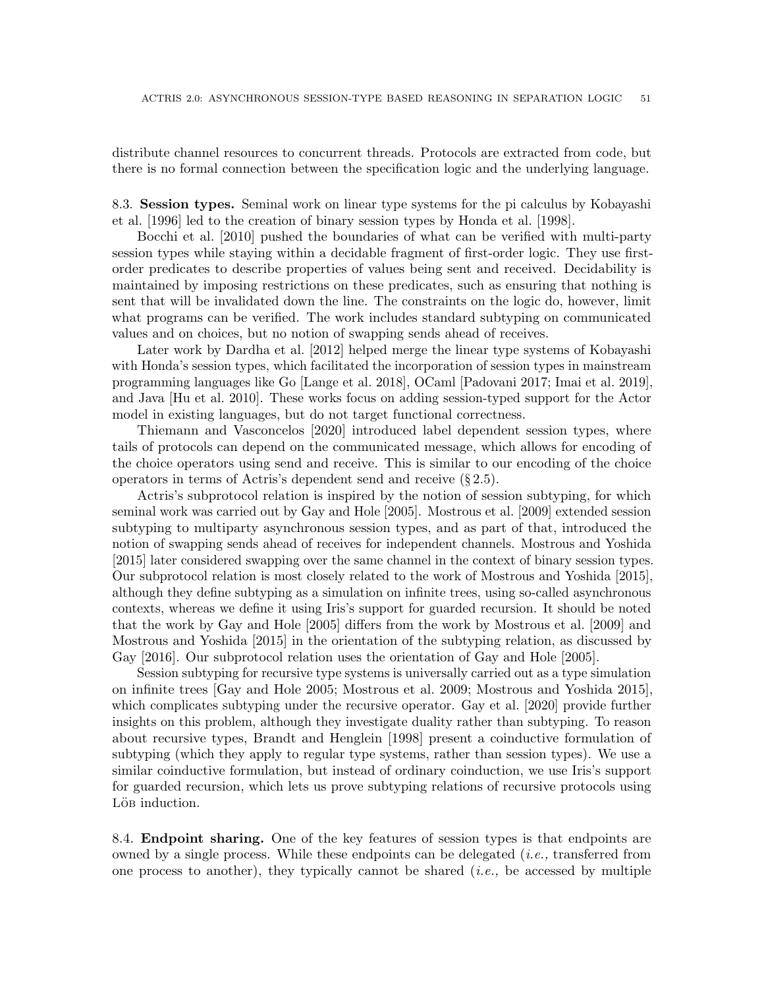distribute channel resources to concurrent threads. Protocols are extracted from code, but there is no formal connection between the specification logic and the underlying language.

<span id="page-50-0"></span>8.3. Session types. Seminal work on linear type systems for the pi calculus by [Kobayashi](#page-53-12) [et al.](#page-53-12) [\[1996\]](#page-53-12) led to the creation of binary session types by [Honda et al.](#page-53-4) [\[1998\]](#page-53-4).

[Bocchi et al.](#page-52-3) [\[2010\]](#page-52-3) pushed the boundaries of what can be verified with multi-party session types while staying within a decidable fragment of first-order logic. They use firstorder predicates to describe properties of values being sent and received. Decidability is maintained by imposing restrictions on these predicates, such as ensuring that nothing is sent that will be invalidated down the line. The constraints on the logic do, however, limit what programs can be verified. The work includes standard subtyping on communicated values and on choices, but no notion of swapping sends ahead of receives.

Later work by [Dardha et al.](#page-52-14) [\[2012\]](#page-52-14) helped merge the linear type systems of Kobayashi with Honda's session types, which facilitated the incorporation of session types in mainstream programming languages like Go [\[Lange et al.](#page-54-15) [2018\]](#page-54-15), OCaml [\[Padovani 2017;](#page-54-16) [Imai et al.](#page-53-13) [2019\]](#page-53-13), and Java [\[Hu et al.](#page-53-14) [2010\]](#page-53-14). These works focus on adding session-typed support for the Actor model in existing languages, but do not target functional correctness.

[Thiemann and Vasconcelos](#page-55-5) [\[2020\]](#page-55-5) introduced label dependent session types, where tails of protocols can depend on the communicated message, which allows for encoding of the choice operators using send and receive. This is similar to our encoding of the choice operators in terms of Actris's dependent send and receive (§ [2.5\)](#page-13-3).

Actris's subprotocol relation is inspired by the notion of session subtyping, for which seminal work was carried out by [Gay and Hole](#page-53-15) [\[2005\]](#page-53-15). [Mostrous et al.](#page-54-8) [\[2009\]](#page-54-8) extended session subtyping to multiparty asynchronous session types, and as part of that, introduced the notion of swapping sends ahead of receives for independent channels. [Mostrous and Yoshida](#page-54-9) [\[2015\]](#page-54-9) later considered swapping over the same channel in the context of binary session types. Our subprotocol relation is most closely related to the work of [Mostrous and Yoshida](#page-54-9) [\[2015\]](#page-54-9), although they define subtyping as a simulation on infinite trees, using so-called asynchronous contexts, whereas we define it using Iris's support for guarded recursion. It should be noted that the work by [Gay and Hole](#page-53-15) [\[2005\]](#page-53-15) differs from the work by [Mostrous et al.](#page-54-8) [\[2009\]](#page-54-8) and [Mostrous and Yoshida](#page-54-9) [\[2015\]](#page-54-9) in the orientation of the subtyping relation, as discussed by [Gay](#page-53-16) [\[2016\]](#page-53-16). Our subprotocol relation uses the orientation of [Gay and Hole](#page-53-15) [\[2005\]](#page-53-15).

Session subtyping for recursive type systems is universally carried out as a type simulation on infinite trees [\[Gay and Hole 2005;](#page-53-15) [Mostrous et al.](#page-54-8) [2009;](#page-54-8) [Mostrous and Yoshida 2015\]](#page-54-9), which complicates subtyping under the recursive operator. [Gay et al.](#page-53-17) [\[2020\]](#page-53-17) provide further insights on this problem, although they investigate duality rather than subtyping. To reason about recursive types, [Brandt and Henglein](#page-52-4) [\[1998\]](#page-52-4) present a coinductive formulation of subtyping (which they apply to regular type systems, rather than session types). We use a similar coinductive formulation, but instead of ordinary coinduction, we use Iris's support for guarded recursion, which lets us prove subtyping relations of recursive protocols using Lö<sub>B</sub> induction.

<span id="page-50-1"></span>8.4. Endpoint sharing. One of the key features of session types is that endpoints are owned by a single process. While these endpoints can be delegated  $(i.e.,$  transferred from one process to another), they typically cannot be shared  $(i.e.,$  be accessed by multiple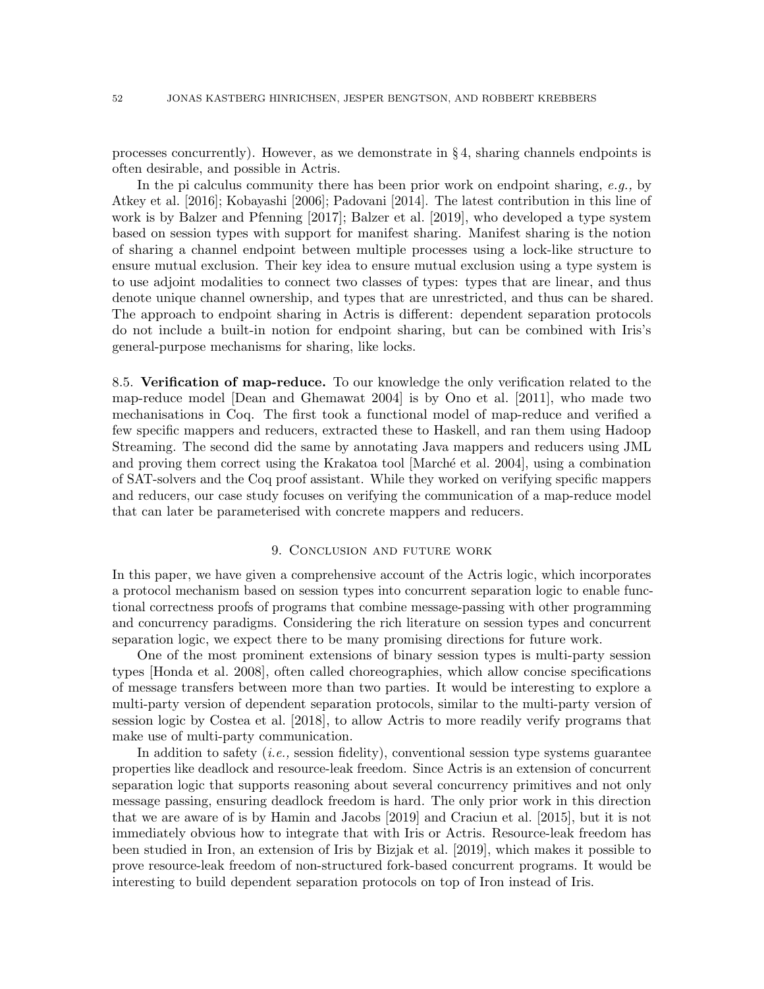processes concurrently). However, as we demonstrate in  $\S 4$ , sharing channels endpoints is often desirable, and possible in Actris.

In the pi calculus community there has been prior work on endpoint sharing, e.g., by [Atkey et al.](#page-52-15) [\[2016\]](#page-52-15); [Kobayashi](#page-53-18) [\[2006\]](#page-53-18); [Padovani](#page-54-17) [\[2014\]](#page-54-17). The latest contribution in this line of work is by [Balzer and Pfenning](#page-52-7) [\[2017\]](#page-52-7); [Balzer et al.](#page-52-8) [\[2019\]](#page-52-8), who developed a type system based on session types with support for manifest sharing. Manifest sharing is the notion of sharing a channel endpoint between multiple processes using a lock-like structure to ensure mutual exclusion. Their key idea to ensure mutual exclusion using a type system is to use adjoint modalities to connect two classes of types: types that are linear, and thus denote unique channel ownership, and types that are unrestricted, and thus can be shared. The approach to endpoint sharing in Actris is different: dependent separation protocols do not include a built-in notion for endpoint sharing, but can be combined with Iris's general-purpose mechanisms for sharing, like locks.

<span id="page-51-0"></span>8.5. Verification of map-reduce. To our knowledge the only verification related to the map-reduce model [\[Dean and Ghemawat 2004\]](#page-52-5) is by [Ono et al.](#page-54-18) [\[2011\]](#page-54-18), who made two mechanisations in Coq. The first took a functional model of map-reduce and verified a few specific mappers and reducers, extracted these to Haskell, and ran them using Hadoop Streaming. The second did the same by annotating Java mappers and reducers using JML and proving them correct using the Krakatoa tool Marché et al. 2004, using a combination of SAT-solvers and the Coq proof assistant. While they worked on verifying specific mappers and reducers, our case study focuses on verifying the communication of a map-reduce model that can later be parameterised with concrete mappers and reducers.

#### 9. Conclusion and future work

In this paper, we have given a comprehensive account of the Actris logic, which incorporates a protocol mechanism based on session types into concurrent separation logic to enable functional correctness proofs of programs that combine message-passing with other programming and concurrency paradigms. Considering the rich literature on session types and concurrent separation logic, we expect there to be many promising directions for future work.

One of the most prominent extensions of binary session types is multi-party session types [\[Honda et al.](#page-53-19) [2008\]](#page-53-19), often called choreographies, which allow concise specifications of message transfers between more than two parties. It would be interesting to explore a multi-party version of dependent separation protocols, similar to the multi-party version of session logic by [Costea et al.](#page-52-16) [\[2018\]](#page-52-16), to allow Actris to more readily verify programs that make use of multi-party communication.

In addition to safety  $(i.e.,$  session fidelity), conventional session type systems guarantee properties like deadlock and resource-leak freedom. Since Actris is an extension of concurrent separation logic that supports reasoning about several concurrency primitives and not only message passing, ensuring deadlock freedom is hard. The only prior work in this direction that we are aware of is by [Hamin and Jacobs](#page-53-11) [\[2019\]](#page-53-11) and [Craciun et al.](#page-52-0) [\[2015\]](#page-52-0), but it is not immediately obvious how to integrate that with Iris or Actris. Resource-leak freedom has been studied in Iron, an extension of Iris by [Bizjak et al.](#page-52-9) [\[2019\]](#page-52-9), which makes it possible to prove resource-leak freedom of non-structured fork-based concurrent programs. It would be interesting to build dependent separation protocols on top of Iron instead of Iris.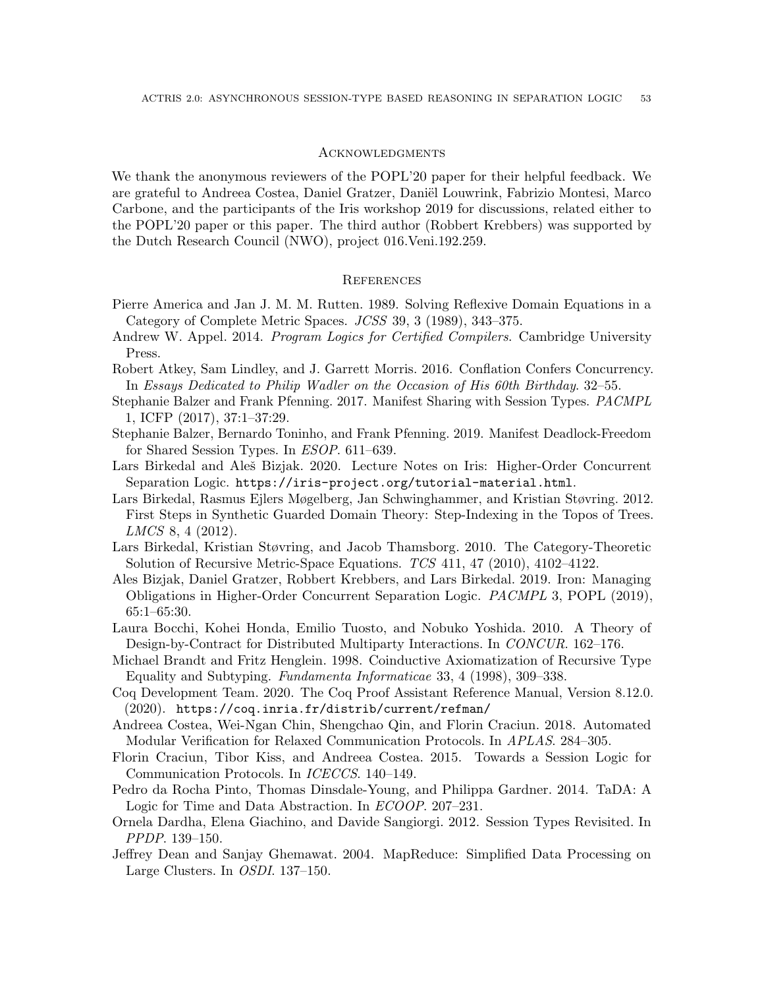#### **ACKNOWLEDGMENTS**

We thank the anonymous reviewers of the POPL'20 paper for their helpful feedback. We are grateful to Andreea Costea, Daniel Gratzer, Daniël Louwrink, Fabrizio Montesi, Marco Carbone, and the participants of the Iris workshop 2019 for discussions, related either to the POPL'20 paper or this paper. The third author (Robbert Krebbers) was supported by the Dutch Research Council (NWO), project 016.Veni.192.259.

### **REFERENCES**

- <span id="page-52-10"></span>Pierre America and Jan J. M. M. Rutten. 1989. Solving Reflexive Domain Equations in a Category of Complete Metric Spaces. JCSS 39, 3 (1989), 343–375.
- <span id="page-52-2"></span>Andrew W. Appel. 2014. *Program Logics for Certified Compilers*. Cambridge University Press.
- <span id="page-52-15"></span>Robert Atkey, Sam Lindley, and J. Garrett Morris. 2016. Conflation Confers Concurrency. In Essays Dedicated to Philip Wadler on the Occasion of His 60th Birthday. 32–55.
- <span id="page-52-7"></span>Stephanie Balzer and Frank Pfenning. 2017. Manifest Sharing with Session Types. PACMPL 1, ICFP (2017), 37:1–37:29.
- <span id="page-52-8"></span>Stephanie Balzer, Bernardo Toninho, and Frank Pfenning. 2019. Manifest Deadlock-Freedom for Shared Session Types. In ESOP. 611–639.
- <span id="page-52-6"></span>Lars Birkedal and Aleš Bizjak. 2020. Lecture Notes on Iris: Higher-Order Concurrent Separation Logic. <https://iris-project.org/tutorial-material.html>.
- <span id="page-52-12"></span>Lars Birkedal, Rasmus Ejlers Møgelberg, Jan Schwinghammer, and Kristian Støvring. 2012. First Steps in Synthetic Guarded Domain Theory: Step-Indexing in the Topos of Trees. LMCS 8, 4 (2012).
- <span id="page-52-11"></span>Lars Birkedal, Kristian Støvring, and Jacob Thamsborg. 2010. The Category-Theoretic Solution of Recursive Metric-Space Equations. TCS 411, 47 (2010), 4102–4122.
- <span id="page-52-9"></span>Ales Bizjak, Daniel Gratzer, Robbert Krebbers, and Lars Birkedal. 2019. Iron: Managing Obligations in Higher-Order Concurrent Separation Logic. PACMPL 3, POPL (2019), 65:1–65:30.
- <span id="page-52-3"></span>Laura Bocchi, Kohei Honda, Emilio Tuosto, and Nobuko Yoshida. 2010. A Theory of Design-by-Contract for Distributed Multiparty Interactions. In CONCUR. 162–176.
- <span id="page-52-4"></span>Michael Brandt and Fritz Henglein. 1998. Coinductive Axiomatization of Recursive Type Equality and Subtyping. Fundamenta Informaticae 33, 4 (1998), 309–338.
- <span id="page-52-13"></span>Coq Development Team. 2020. The Coq Proof Assistant Reference Manual, Version 8.12.0. (2020). <https://coq.inria.fr/distrib/current/refman/>
- <span id="page-52-16"></span>Andreea Costea, Wei-Ngan Chin, Shengchao Qin, and Florin Craciun. 2018. Automated Modular Verification for Relaxed Communication Protocols. In APLAS. 284–305.
- <span id="page-52-0"></span>Florin Craciun, Tibor Kiss, and Andreea Costea. 2015. Towards a Session Logic for Communication Protocols. In ICECCS. 140–149.
- <span id="page-52-1"></span>Pedro da Rocha Pinto, Thomas Dinsdale-Young, and Philippa Gardner. 2014. TaDA: A Logic for Time and Data Abstraction. In ECOOP. 207–231.
- <span id="page-52-14"></span>Ornela Dardha, Elena Giachino, and Davide Sangiorgi. 2012. Session Types Revisited. In PPDP. 139–150.
- <span id="page-52-5"></span>Jeffrey Dean and Sanjay Ghemawat. 2004. MapReduce: Simplified Data Processing on Large Clusters. In OSDI. 137–150.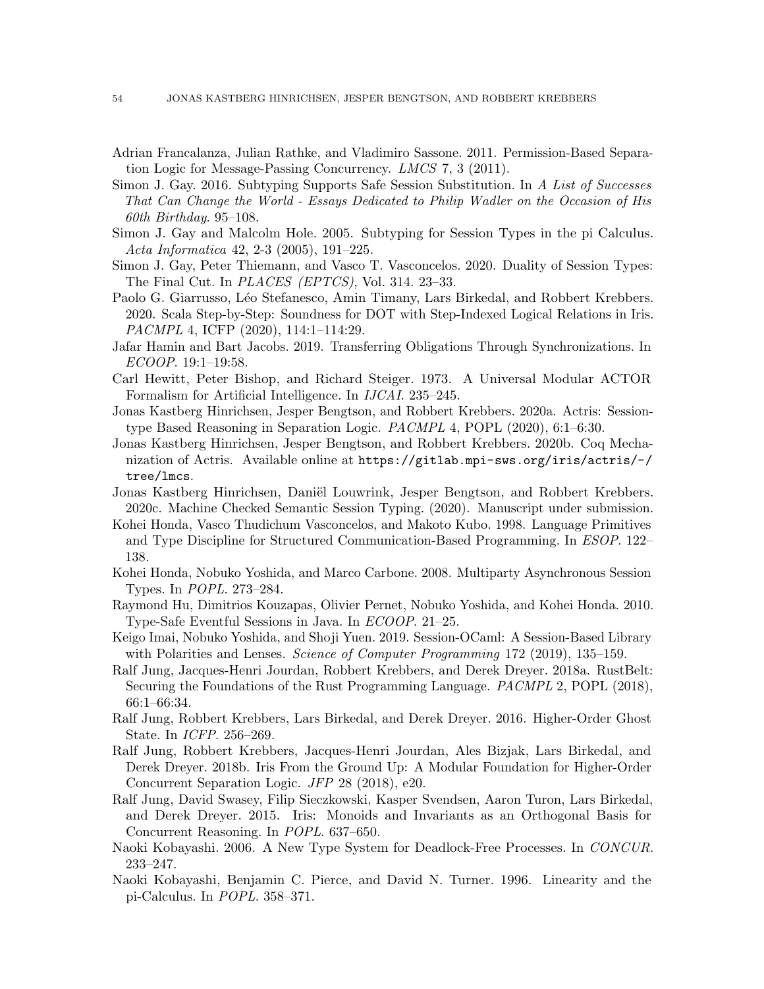- <span id="page-53-5"></span>Adrian Francalanza, Julian Rathke, and Vladimiro Sassone. 2011. Permission-Based Separation Logic for Message-Passing Concurrency. LMCS 7, 3 (2011).
- <span id="page-53-16"></span>Simon J. Gay. 2016. Subtyping Supports Safe Session Substitution. In A List of Successes That Can Change the World - Essays Dedicated to Philip Wadler on the Occasion of His 60th Birthday. 95–108.
- <span id="page-53-15"></span>Simon J. Gay and Malcolm Hole. 2005. Subtyping for Session Types in the pi Calculus. Acta Informatica 42, 2-3 (2005), 191–225.
- <span id="page-53-17"></span>Simon J. Gay, Peter Thiemann, and Vasco T. Vasconcelos. 2020. Duality of Session Types: The Final Cut. In PLACES (EPTCS), Vol. 314. 23–33.
- <span id="page-53-10"></span>Paolo G. Giarrusso, Léo Stefanesco, Amin Timany, Lars Birkedal, and Robbert Krebbers. 2020. Scala Step-by-Step: Soundness for DOT with Step-Indexed Logical Relations in Iris. PACMPL 4, ICFP (2020), 114:1–114:29.
- <span id="page-53-11"></span>Jafar Hamin and Bart Jacobs. 2019. Transferring Obligations Through Synchronizations. In ECOOP. 19:1–19:58.
- <span id="page-53-0"></span>Carl Hewitt, Peter Bishop, and Richard Steiger. 1973. A Universal Modular ACTOR Formalism for Artificial Intelligence. In IJCAI. 235–245.
- <span id="page-53-6"></span>Jonas Kastberg Hinrichsen, Jesper Bengtson, and Robbert Krebbers. 2020a. Actris: Sessiontype Based Reasoning in Separation Logic. PACMPL 4, POPL (2020), 6:1–6:30.
- <span id="page-53-9"></span>Jonas Kastberg Hinrichsen, Jesper Bengtson, and Robbert Krebbers. 2020b. Coq Mechanization of Actris. Available online at [https://gitlab.mpi-sws.org/iris/actris/-/](https://gitlab.mpi-sws.org/iris/actris/-/tree/lmcs) [tree/lmcs](https://gitlab.mpi-sws.org/iris/actris/-/tree/lmcs).
- <span id="page-53-7"></span>Jonas Kastberg Hinrichsen, Daniël Louwrink, Jesper Bengtson, and Robbert Krebbers. 2020c. Machine Checked Semantic Session Typing. (2020). Manuscript under submission.
- <span id="page-53-4"></span>Kohei Honda, Vasco Thudichum Vasconcelos, and Makoto Kubo. 1998. Language Primitives and Type Discipline for Structured Communication-Based Programming. In ESOP. 122– 138.
- <span id="page-53-19"></span>Kohei Honda, Nobuko Yoshida, and Marco Carbone. 2008. Multiparty Asynchronous Session Types. In POPL. 273–284.
- <span id="page-53-14"></span>Raymond Hu, Dimitrios Kouzapas, Olivier Pernet, Nobuko Yoshida, and Kohei Honda. 2010. Type-Safe Eventful Sessions in Java. In ECOOP. 21–25.
- <span id="page-53-13"></span>Keigo Imai, Nobuko Yoshida, and Shoji Yuen. 2019. Session-OCaml: A Session-Based Library with Polarities and Lenses. *Science of Computer Programming* 172 (2019), 135–159.
- <span id="page-53-8"></span>Ralf Jung, Jacques-Henri Jourdan, Robbert Krebbers, and Derek Dreyer. 2018a. RustBelt: Securing the Foundations of the Rust Programming Language. PACMPL 2, POPL (2018), 66:1–66:34.
- <span id="page-53-2"></span>Ralf Jung, Robbert Krebbers, Lars Birkedal, and Derek Dreyer. 2016. Higher-Order Ghost State. In ICFP. 256–269.
- <span id="page-53-3"></span>Ralf Jung, Robbert Krebbers, Jacques-Henri Jourdan, Ales Bizjak, Lars Birkedal, and Derek Dreyer. 2018b. Iris From the Ground Up: A Modular Foundation for Higher-Order Concurrent Separation Logic. JFP 28 (2018), e20.
- <span id="page-53-1"></span>Ralf Jung, David Swasey, Filip Sieczkowski, Kasper Svendsen, Aaron Turon, Lars Birkedal, and Derek Dreyer. 2015. Iris: Monoids and Invariants as an Orthogonal Basis for Concurrent Reasoning. In POPL. 637–650.
- <span id="page-53-18"></span>Naoki Kobayashi. 2006. A New Type System for Deadlock-Free Processes. In CONCUR. 233–247.
- <span id="page-53-12"></span>Naoki Kobayashi, Benjamin C. Pierce, and David N. Turner. 1996. Linearity and the pi-Calculus. In POPL. 358–371.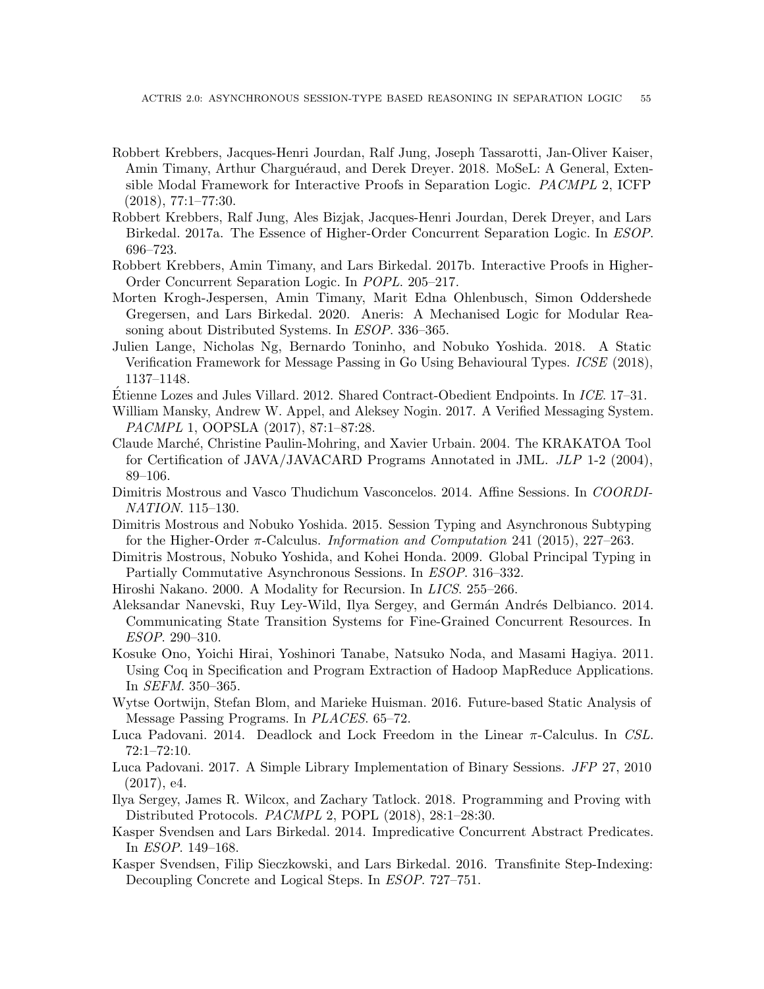- <span id="page-54-13"></span>Robbert Krebbers, Jacques-Henri Jourdan, Ralf Jung, Joseph Tassarotti, Jan-Oliver Kaiser, Amin Timany, Arthur Charguéraud, and Derek Dreyer. 2018. MoSeL: A General, Extensible Modal Framework for Interactive Proofs in Separation Logic. PACMPL 2, ICFP (2018), 77:1–77:30.
- <span id="page-54-0"></span>Robbert Krebbers, Ralf Jung, Ales Bizjak, Jacques-Henri Jourdan, Derek Dreyer, and Lars Birkedal. 2017a. The Essence of Higher-Order Concurrent Separation Logic. In ESOP. 696–723.
- <span id="page-54-12"></span>Robbert Krebbers, Amin Timany, and Lars Birkedal. 2017b. Interactive Proofs in Higher-Order Concurrent Separation Logic. In POPL. 205–217.
- <span id="page-54-7"></span>Morten Krogh-Jespersen, Amin Timany, Marit Edna Ohlenbusch, Simon Oddershede Gregersen, and Lars Birkedal. 2020. Aneris: A Mechanised Logic for Modular Reasoning about Distributed Systems. In ESOP. 336–365.
- <span id="page-54-15"></span>Julien Lange, Nicholas Ng, Bernardo Toninho, and Nobuko Yoshida. 2018. A Static Verification Framework for Message Passing in Go Using Behavioural Types. ICSE (2018), 1137–1148.
- <span id="page-54-3"></span>Etienne Lozes and Jules Villard. 2012. Shared Contract-Obedient Endpoints. In ICE. 17–31.
- <span id="page-54-14"></span>William Mansky, Andrew W. Appel, and Aleksey Nogin. 2017. A Verified Messaging System. PACMPL 1, OOPSLA (2017), 87:1–87:28.
- <span id="page-54-19"></span>Claude March´e, Christine Paulin-Mohring, and Xavier Urbain. 2004. The KRAKATOA Tool for Certification of JAVA/JAVACARD Programs Annotated in JML. JLP 1-2 (2004), 89–106.
- <span id="page-54-1"></span>Dimitris Mostrous and Vasco Thudichum Vasconcelos. 2014. Affine Sessions. In COORDI-NATION. 115–130.
- <span id="page-54-9"></span>Dimitris Mostrous and Nobuko Yoshida. 2015. Session Typing and Asynchronous Subtyping for the Higher-Order  $\pi$ -Calculus. *Information and Computation* 241 (2015), 227–263.
- <span id="page-54-8"></span>Dimitris Mostrous, Nobuko Yoshida, and Kohei Honda. 2009. Global Principal Typing in Partially Commutative Asynchronous Sessions. In ESOP. 316–332.
- <span id="page-54-10"></span>Hiroshi Nakano. 2000. A Modality for Recursion. In LICS. 255–266.
- <span id="page-54-5"></span>Aleksandar Nanevski, Ruy Ley-Wild, Ilya Sergey, and Germán Andrés Delbianco. 2014. Communicating State Transition Systems for Fine-Grained Concurrent Resources. In ESOP. 290–310.
- <span id="page-54-18"></span>Kosuke Ono, Yoichi Hirai, Yoshinori Tanabe, Natsuko Noda, and Masami Hagiya. 2011. Using Coq in Specification and Program Extraction of Hadoop MapReduce Applications. In SEFM. 350–365.
- <span id="page-54-2"></span>Wytse Oortwijn, Stefan Blom, and Marieke Huisman. 2016. Future-based Static Analysis of Message Passing Programs. In PLACES. 65–72.
- <span id="page-54-17"></span>Luca Padovani. 2014. Deadlock and Lock Freedom in the Linear  $\pi$ -Calculus. In CSL. 72:1–72:10.
- <span id="page-54-16"></span>Luca Padovani. 2017. A Simple Library Implementation of Binary Sessions. JFP 27, 2010 (2017), e4.
- <span id="page-54-6"></span>Ilya Sergey, James R. Wilcox, and Zachary Tatlock. 2018. Programming and Proving with Distributed Protocols. PACMPL 2, POPL (2018), 28:1–28:30.
- <span id="page-54-4"></span>Kasper Svendsen and Lars Birkedal. 2014. Impredicative Concurrent Abstract Predicates. In ESOP. 149–168.
- <span id="page-54-11"></span>Kasper Svendsen, Filip Sieczkowski, and Lars Birkedal. 2016. Transfinite Step-Indexing: Decoupling Concrete and Logical Steps. In ESOP. 727–751.